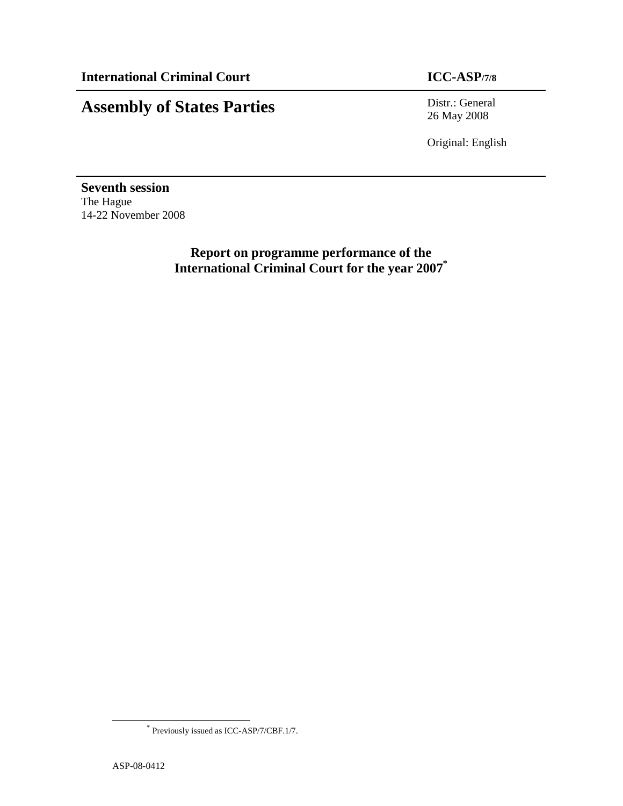# **Assembly of States Parties** Distr.: General

26 May 2008

Original: English

**Seventh session**  The Hague 14-22 November 2008

> **Report on programme performance of the International Criminal Court for the year 2007\***

-

<sup>\*</sup> Previously issued as ICC-ASP/7/CBF.1/7.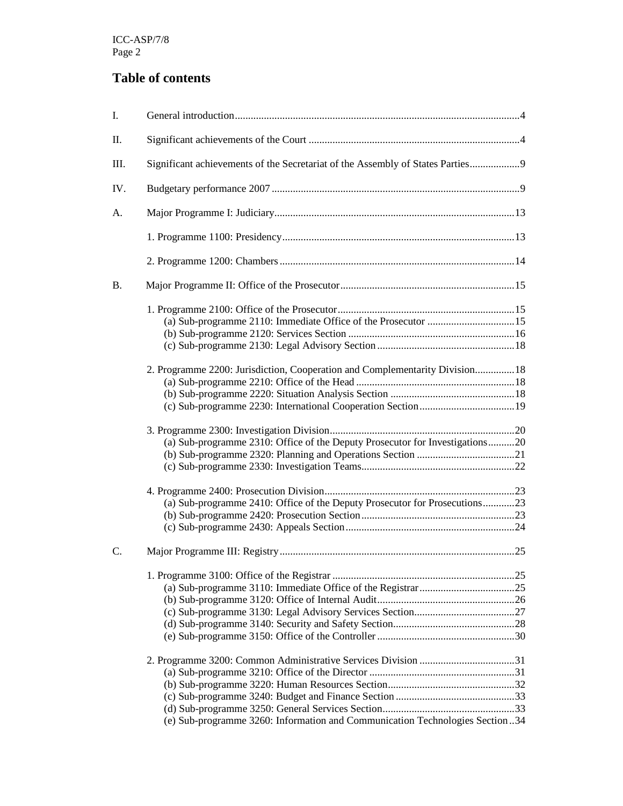## **Table of contents**

| I.        |                                                                                |  |
|-----------|--------------------------------------------------------------------------------|--|
| Π.        |                                                                                |  |
| Ш.        | Significant achievements of the Secretariat of the Assembly of States Parties9 |  |
| IV.       |                                                                                |  |
| A.        |                                                                                |  |
|           |                                                                                |  |
|           |                                                                                |  |
| <b>B.</b> |                                                                                |  |
|           | (a) Sub-programme 2110: Immediate Office of the Prosecutor 15                  |  |
|           | 2. Programme 2200: Jurisdiction, Cooperation and Complementarity Division 18   |  |
|           | (a) Sub-programme 2310: Office of the Deputy Prosecutor for Investigations20   |  |
|           | (a) Sub-programme 2410: Office of the Deputy Prosecutor for Prosecutions23     |  |
| C.        |                                                                                |  |
|           |                                                                                |  |
|           | (e) Sub-programme 3260: Information and Communication Technologies Section34   |  |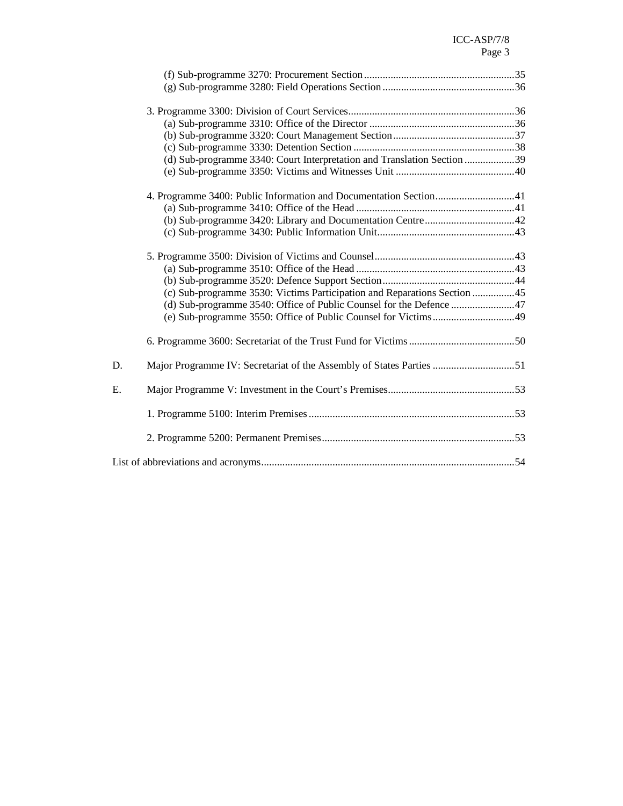|    | (d) Sub-programme 3340: Court Interpretation and Translation Section 39  |  |
|----|--------------------------------------------------------------------------|--|
|    |                                                                          |  |
|    | 4. Programme 3400: Public Information and Documentation Section41        |  |
|    |                                                                          |  |
|    |                                                                          |  |
|    |                                                                          |  |
|    |                                                                          |  |
|    |                                                                          |  |
|    |                                                                          |  |
|    | (c) Sub-programme 3530: Victims Participation and Reparations Section 45 |  |
|    | (d) Sub-programme 3540: Office of Public Counsel for the Defence 47      |  |
|    |                                                                          |  |
|    |                                                                          |  |
| D. | Major Programme IV: Secretariat of the Assembly of States Parties 51     |  |
| E. |                                                                          |  |
|    |                                                                          |  |
|    |                                                                          |  |
|    |                                                                          |  |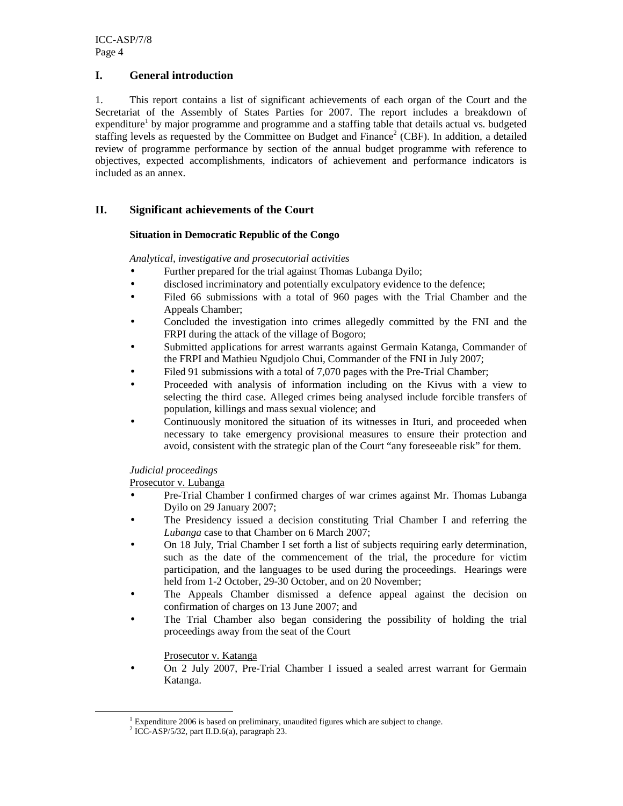### **I. General introduction**

1. This report contains a list of significant achievements of each organ of the Court and the Secretariat of the Assembly of States Parties for 2007. The report includes a breakdown of expenditure<sup>1</sup> by major programme and programme and a staffing table that details actual vs. budgeted staffing levels as requested by the Committee on Budget and Finance<sup>2</sup> (CBF). In addition, a detailed review of programme performance by section of the annual budget programme with reference to objectives, expected accomplishments, indicators of achievement and performance indicators is included as an annex.

## **II. Significant achievements of the Court**

#### **Situation in Democratic Republic of the Congo**

*Analytical, investigative and prosecutorial activities* 

- Further prepared for the trial against Thomas Lubanga Dyilo;
- disclosed incriminatory and potentially exculpatory evidence to the defence;
- Filed 66 submissions with a total of 960 pages with the Trial Chamber and the Appeals Chamber;
- Concluded the investigation into crimes allegedly committed by the FNI and the FRPI during the attack of the village of Bogoro;
- Submitted applications for arrest warrants against Germain Katanga, Commander of the FRPI and Mathieu Ngudjolo Chui, Commander of the FNI in July 2007;
- Filed 91 submissions with a total of 7,070 pages with the Pre-Trial Chamber;
- Proceeded with analysis of information including on the Kivus with a view to selecting the third case. Alleged crimes being analysed include forcible transfers of population, killings and mass sexual violence; and
- Continuously monitored the situation of its witnesses in Ituri, and proceeded when necessary to take emergency provisional measures to ensure their protection and avoid, consistent with the strategic plan of the Court "any foreseeable risk" for them.

### *Judicial proceedings*

Prosecutor v. Lubanga

- Pre-Trial Chamber I confirmed charges of war crimes against Mr. Thomas Lubanga Dyilo on 29 January 2007;
- The Presidency issued a decision constituting Trial Chamber I and referring the *Lubanga* case to that Chamber on 6 March 2007;
- On 18 July, Trial Chamber I set forth a list of subjects requiring early determination, such as the date of the commencement of the trial, the procedure for victim participation, and the languages to be used during the proceedings. Hearings were held from 1-2 October, 29-30 October, and on 20 November;
- The Appeals Chamber dismissed a defence appeal against the decision on confirmation of charges on 13 June 2007; and
- The Trial Chamber also began considering the possibility of holding the trial proceedings away from the seat of the Court

## Prosecutor v. Katanga

• On 2 July 2007, Pre-Trial Chamber I issued a sealed arrest warrant for Germain Katanga.

-

<sup>&</sup>lt;sup>1</sup> Expenditure 2006 is based on preliminary, unaudited figures which are subject to change.

<sup>2</sup> ICC-ASP/5/32, part II.D.6(a), paragraph 23.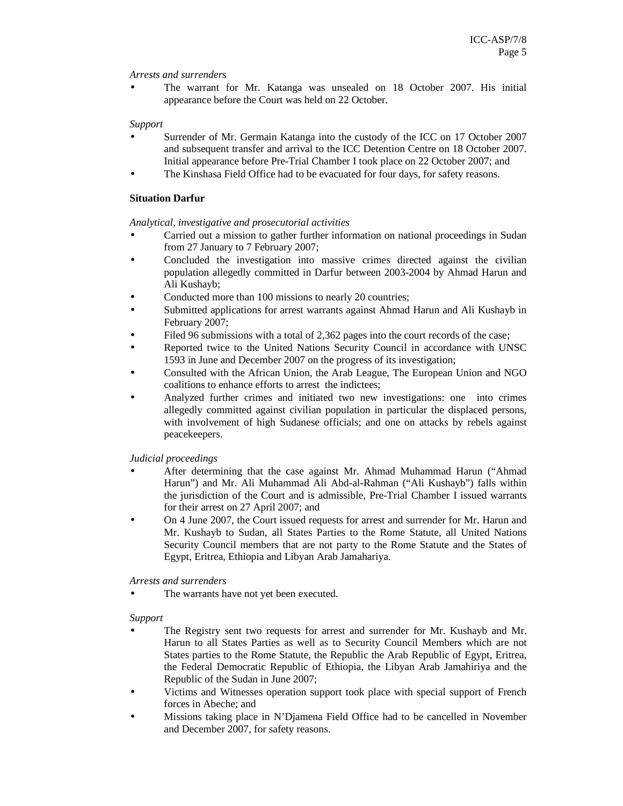#### *Arrests and surrenders*

• The warrant for Mr. Katanga was unsealed on 18 October 2007. His initial appearance before the Court was held on 22 October.

#### *Support*

- Surrender of Mr. Germain Katanga into the custody of the ICC on 17 October 2007 and subsequent transfer and arrival to the ICC Detention Centre on 18 October 2007. Initial appearance before Pre-Trial Chamber I took place on 22 October 2007; and
- The Kinshasa Field Office had to be evacuated for four days, for safety reasons.

#### **Situation Darfur**

#### *Analytical, investigative and prosecutorial activities*

- Carried out a mission to gather further information on national proceedings in Sudan from 27 January to 7 February 2007;
- Concluded the investigation into massive crimes directed against the civilian population allegedly committed in Darfur between 2003-2004 by Ahmad Harun and Ali Kushayb;
- Conducted more than 100 missions to nearly 20 countries;
- Submitted applications for arrest warrants against Ahmad Harun and Ali Kushayb in February 2007;
- Filed 96 submissions with a total of 2,362 pages into the court records of the case;
- Reported twice to the United Nations Security Council in accordance with UNSC 1593 in June and December 2007 on the progress of its investigation;
- Consulted with the African Union, the Arab League, The European Union and NGO coalitions to enhance efforts to arrest the indictees;
- Analyzed further crimes and initiated two new investigations: one into crimes allegedly committed against civilian population in particular the displaced persons, with involvement of high Sudanese officials; and one on attacks by rebels against peacekeepers.

### *Judicial proceedings*

- After determining that the case against Mr. Ahmad Muhammad Harun ("Ahmad Harun") and Mr. Ali Muhammad Ali Abd-al-Rahman ("Ali Kushayb") falls within the jurisdiction of the Court and is admissible, Pre-Trial Chamber I issued warrants for their arrest on 27 April 2007; and
- On 4 June 2007, the Court issued requests for arrest and surrender for Mr. Harun and Mr. Kushayb to Sudan, all States Parties to the Rome Statute, all United Nations Security Council members that are not party to the Rome Statute and the States of Egypt, Eritrea, Ethiopia and Libyan Arab Jamahariya.

### *Arrests and surrenders*

The warrants have not yet been executed.

### *Support*

- The Registry sent two requests for arrest and surrender for Mr. Kushayb and Mr. Harun to all States Parties as well as to Security Council Members which are not States parties to the Rome Statute, the Republic the Arab Republic of Egypt, Eritrea, the Federal Democratic Republic of Ethiopia, the Libyan Arab Jamahiriya and the Republic of the Sudan in June 2007;
- Victims and Witnesses operation support took place with special support of French forces in Abeche; and
- Missions taking place in N'Djamena Field Office had to be cancelled in November and December 2007, for safety reasons.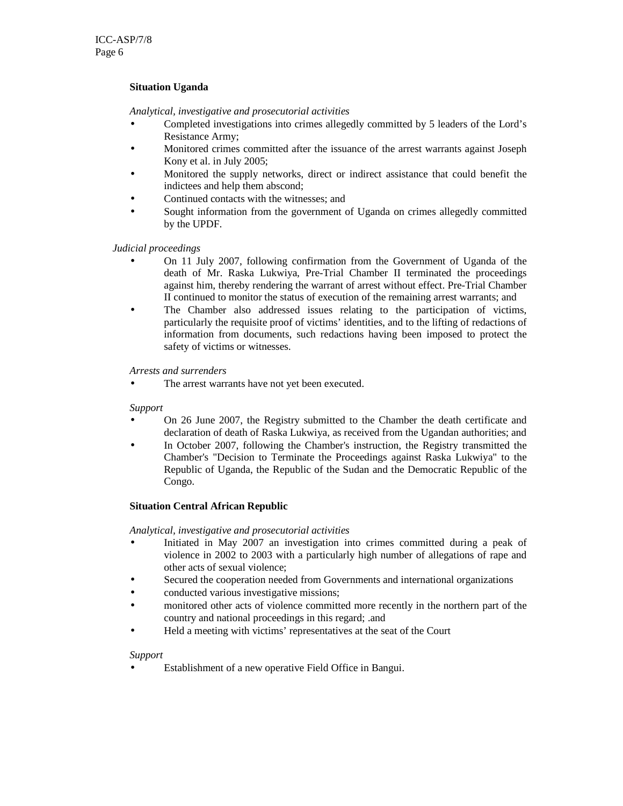### **Situation Uganda**

#### *Analytical, investigative and prosecutorial activities*

- Completed investigations into crimes allegedly committed by 5 leaders of the Lord's Resistance Army;
- Monitored crimes committed after the issuance of the arrest warrants against Joseph Kony et al. in July 2005;
- Monitored the supply networks, direct or indirect assistance that could benefit the indictees and help them abscond;
- Continued contacts with the witnesses; and
- Sought information from the government of Uganda on crimes allegedly committed by the UPDF.

#### *Judicial proceedings*

- On 11 July 2007, following confirmation from the Government of Uganda of the death of Mr. Raska Lukwiya, Pre-Trial Chamber II terminated the proceedings against him, thereby rendering the warrant of arrest without effect. Pre-Trial Chamber II continued to monitor the status of execution of the remaining arrest warrants; and
- The Chamber also addressed issues relating to the participation of victims, particularly the requisite proof of victims' identities, and to the lifting of redactions of information from documents, such redactions having been imposed to protect the safety of victims or witnesses.

#### *Arrests and surrenders*

The arrest warrants have not yet been executed.

#### *Support*

- On 26 June 2007, the Registry submitted to the Chamber the death certificate and declaration of death of Raska Lukwiya, as received from the Ugandan authorities; and
- In October 2007, following the Chamber's instruction, the Registry transmitted the Chamber's "Decision to Terminate the Proceedings against Raska Lukwiya" to the Republic of Uganda, the Republic of the Sudan and the Democratic Republic of the Congo.

#### **Situation Central African Republic**

#### *Analytical, investigative and prosecutorial activities*

- Initiated in May 2007 an investigation into crimes committed during a peak of violence in 2002 to 2003 with a particularly high number of allegations of rape and other acts of sexual violence;
- Secured the cooperation needed from Governments and international organizations
- conducted various investigative missions;
- monitored other acts of violence committed more recently in the northern part of the country and national proceedings in this regard; .and
- Held a meeting with victims' representatives at the seat of the Court

#### *Support*

Establishment of a new operative Field Office in Bangui.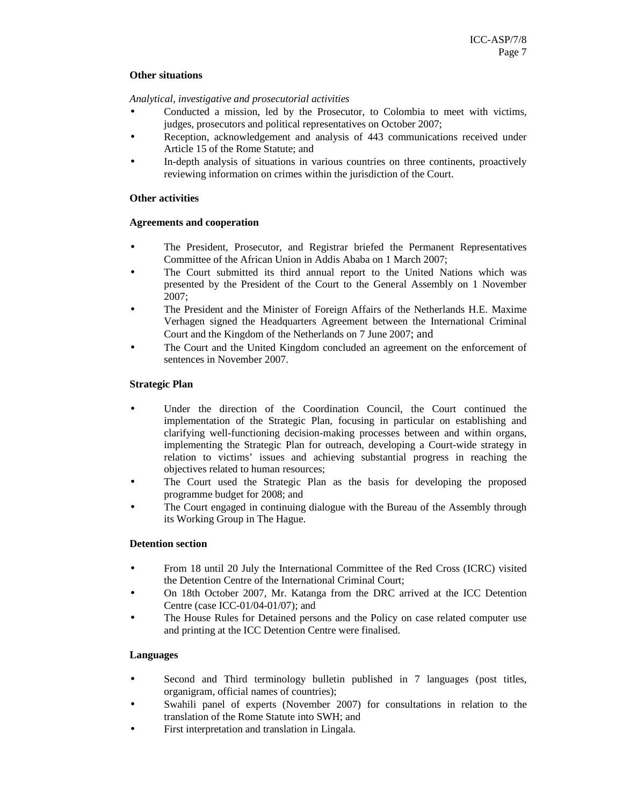#### **Other situations**

*Analytical, investigative and prosecutorial activities* 

- Conducted a mission, led by the Prosecutor, to Colombia to meet with victims, judges, prosecutors and political representatives on October 2007;
- Reception, acknowledgement and analysis of 443 communications received under Article 15 of the Rome Statute; and
- In-depth analysis of situations in various countries on three continents, proactively reviewing information on crimes within the jurisdiction of the Court.

#### **Other activities**

#### **Agreements and cooperation**

- The President, Prosecutor, and Registrar briefed the Permanent Representatives Committee of the African Union in Addis Ababa on 1 March 2007;
- The Court submitted its third annual report to the United Nations which was presented by the President of the Court to the General Assembly on 1 November 2007;
- The President and the Minister of Foreign Affairs of the Netherlands H.E. Maxime Verhagen signed the Headquarters Agreement between the International Criminal Court and the Kingdom of the Netherlands on 7 June 2007; and
- The Court and the United Kingdom concluded an agreement on the enforcement of sentences in November 2007.

#### **Strategic Plan**

- Under the direction of the Coordination Council, the Court continued the implementation of the Strategic Plan, focusing in particular on establishing and clarifying well-functioning decision-making processes between and within organs, implementing the Strategic Plan for outreach, developing a Court-wide strategy in relation to victims' issues and achieving substantial progress in reaching the objectives related to human resources;
- The Court used the Strategic Plan as the basis for developing the proposed programme budget for 2008; and
- The Court engaged in continuing dialogue with the Bureau of the Assembly through its Working Group in The Hague.

### **Detention section**

- From 18 until 20 July the International Committee of the Red Cross (ICRC) visited the Detention Centre of the International Criminal Court;
- On 18th October 2007, Mr. Katanga from the DRC arrived at the ICC Detention Centre (case ICC-01/04-01/07); and
- The House Rules for Detained persons and the Policy on case related computer use and printing at the ICC Detention Centre were finalised.

### **Languages**

- Second and Third terminology bulletin published in 7 languages (post titles, organigram, official names of countries);
- Swahili panel of experts (November 2007) for consultations in relation to the translation of the Rome Statute into SWH; and
- First interpretation and translation in Lingala.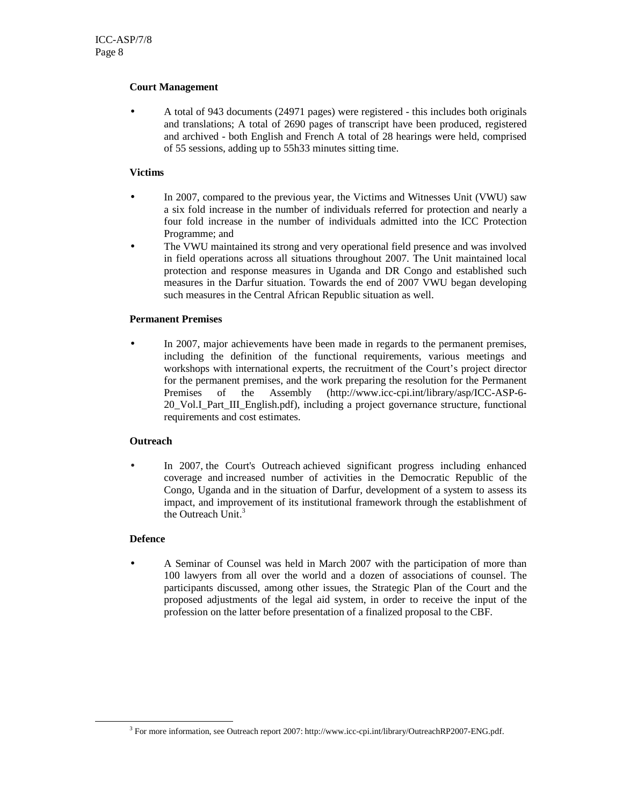#### **Court Management**

• A total of 943 documents (24971 pages) were registered - this includes both originals and translations; A total of 2690 pages of transcript have been produced, registered and archived - both English and French A total of 28 hearings were held, comprised of 55 sessions, adding up to 55h33 minutes sitting time.

#### **Victims**

- In 2007, compared to the previous year, the Victims and Witnesses Unit (VWU) saw a six fold increase in the number of individuals referred for protection and nearly a four fold increase in the number of individuals admitted into the ICC Protection Programme; and
- The VWU maintained its strong and very operational field presence and was involved in field operations across all situations throughout 2007. The Unit maintained local protection and response measures in Uganda and DR Congo and established such measures in the Darfur situation. Towards the end of 2007 VWU began developing such measures in the Central African Republic situation as well.

#### **Permanent Premises**

In 2007, major achievements have been made in regards to the permanent premises, including the definition of the functional requirements, various meetings and workshops with international experts, the recruitment of the Court's project director for the permanent premises, and the work preparing the resolution for the Permanent Premises of the Assembly (http://www.icc-cpi.int/library/asp/ICC-ASP-6- 20\_Vol.I\_Part\_III\_English.pdf), including a project governance structure, functional requirements and cost estimates.

#### **Outreach**

In 2007, the Court's Outreach achieved significant progress including enhanced coverage and increased number of activities in the Democratic Republic of the Congo, Uganda and in the situation of Darfur, development of a system to assess its impact, and improvement of its institutional framework through the establishment of the Outreach Unit. $3$ 

#### **Defence**

-

• A Seminar of Counsel was held in March 2007 with the participation of more than 100 lawyers from all over the world and a dozen of associations of counsel. The participants discussed, among other issues, the Strategic Plan of the Court and the proposed adjustments of the legal aid system, in order to receive the input of the profession on the latter before presentation of a finalized proposal to the CBF.

<sup>3</sup> For more information, see Outreach report 2007: http://www.icc-cpi.int/library/OutreachRP2007-ENG.pdf.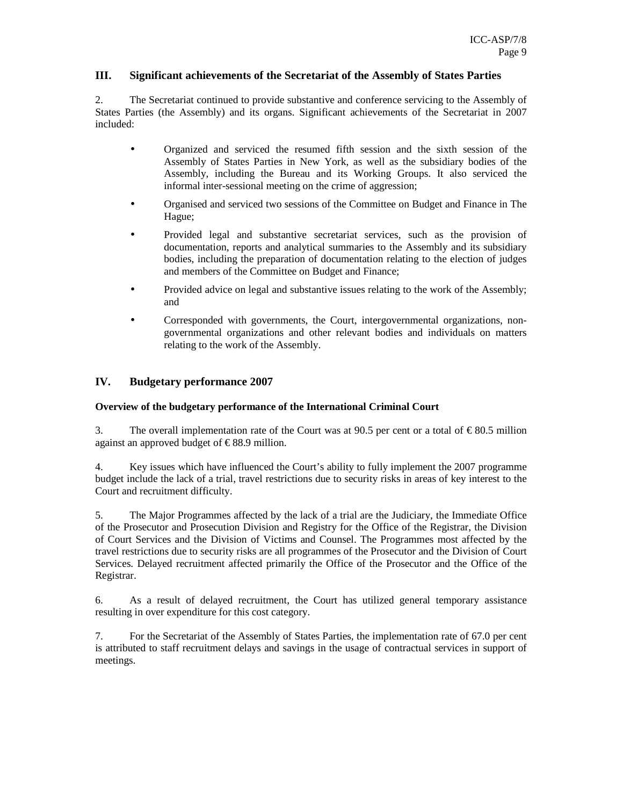#### **III. Significant achievements of the Secretariat of the Assembly of States Parties**

2. The Secretariat continued to provide substantive and conference servicing to the Assembly of States Parties (the Assembly) and its organs. Significant achievements of the Secretariat in 2007 included:

- Organized and serviced the resumed fifth session and the sixth session of the Assembly of States Parties in New York, as well as the subsidiary bodies of the Assembly, including the Bureau and its Working Groups. It also serviced the informal inter-sessional meeting on the crime of aggression;
- Organised and serviced two sessions of the Committee on Budget and Finance in The Hague;
- Provided legal and substantive secretariat services, such as the provision of documentation, reports and analytical summaries to the Assembly and its subsidiary bodies, including the preparation of documentation relating to the election of judges and members of the Committee on Budget and Finance;
- Provided advice on legal and substantive issues relating to the work of the Assembly; and
- Corresponded with governments, the Court, intergovernmental organizations, nongovernmental organizations and other relevant bodies and individuals on matters relating to the work of the Assembly.

#### **IV. Budgetary performance 2007**

#### **Overview of the budgetary performance of the International Criminal Court**

3. The overall implementation rate of the Court was at 90.5 per cent or a total of  $\epsilon$  80.5 million against an approved budget of  $\in$  88.9 million.

4. Key issues which have influenced the Court's ability to fully implement the 2007 programme budget include the lack of a trial, travel restrictions due to security risks in areas of key interest to the Court and recruitment difficulty.

5. The Major Programmes affected by the lack of a trial are the Judiciary, the Immediate Office of the Prosecutor and Prosecution Division and Registry for the Office of the Registrar, the Division of Court Services and the Division of Victims and Counsel. The Programmes most affected by the travel restrictions due to security risks are all programmes of the Prosecutor and the Division of Court Services. Delayed recruitment affected primarily the Office of the Prosecutor and the Office of the Registrar.

6. As a result of delayed recruitment, the Court has utilized general temporary assistance resulting in over expenditure for this cost category.

7. For the Secretariat of the Assembly of States Parties, the implementation rate of 67.0 per cent is attributed to staff recruitment delays and savings in the usage of contractual services in support of meetings.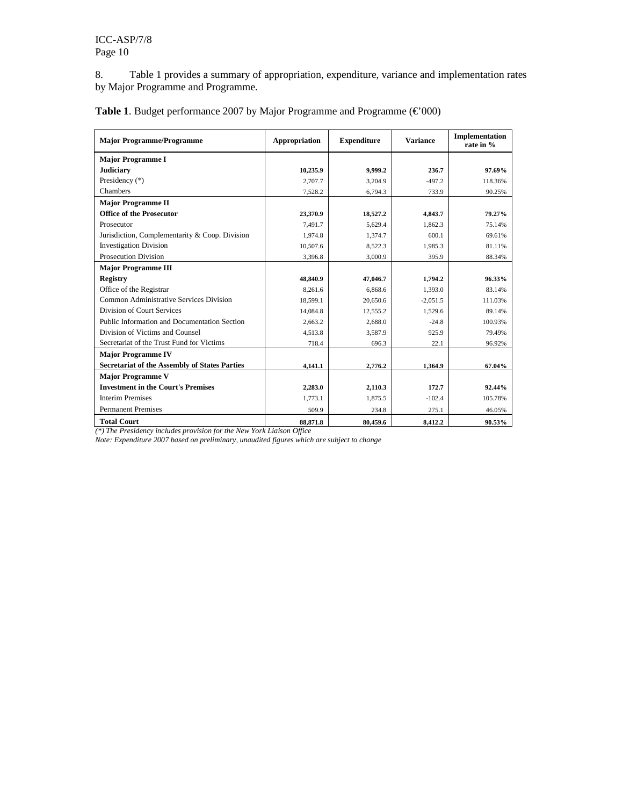8. Table 1 provides a summary of appropriation, expenditure, variance and implementation rates by Major Programme and Programme.

| <b>Major Programme/Programme</b>                     | Appropriation | <b>Expenditure</b> | <b>Variance</b> | Implementation<br>rate in % |
|------------------------------------------------------|---------------|--------------------|-----------------|-----------------------------|
| <b>Major Programme I</b>                             |               |                    |                 |                             |
| <b>Judiciary</b>                                     | 10,235.9      | 9,999.2            | 236.7           | 97.69%                      |
| Presidency $(*)$                                     | 2,707.7       | 3,204.9            | $-497.2$        | 118.36%                     |
| Chambers                                             | 7,528.2       | 6,794.3            | 733.9           | 90.25%                      |
| <b>Major Programme II</b>                            |               |                    |                 |                             |
| <b>Office of the Prosecutor</b>                      | 23.370.9      | 18,527.2           | 4.843.7         | 79.27%                      |
| Prosecutor                                           | 7,491.7       | 5,629.4            | 1,862.3         | 75.14%                      |
| Jurisdiction, Complementarity & Coop. Division       | 1,974.8       | 1,374.7            | 600.1           | 69.61%                      |
| <b>Investigation Division</b>                        | 10,507.6      | 8,522.3            | 1.985.3         | 81.11%                      |
| <b>Prosecution Division</b>                          | 3,396.8       | 3,000.9            | 395.9           | 88.34%                      |
| <b>Major Programme III</b>                           |               |                    |                 |                             |
| Registry                                             | 48,840.9      | 47,046.7           | 1,794.2         | 96.33%                      |
| Office of the Registrar                              | 8,261.6       | 6,868.6            | 1,393.0         | 83.14%                      |
| Common Administrative Services Division              | 18.599.1      | 20,650.6           | $-2.051.5$      | 111.03%                     |
| Division of Court Services                           | 14,084.8      | 12,555.2           | 1,529.6         | 89.14%                      |
| Public Information and Documentation Section         | 2.663.2       | 2.688.0            | $-24.8$         | 100.93%                     |
| Division of Victims and Counsel                      | 4.513.8       | 3.587.9            | 925.9           | 79.49%                      |
| Secretariat of the Trust Fund for Victims            | 718.4         | 696.3              | 22.1            | 96.92%                      |
| <b>Major Programme IV</b>                            |               |                    |                 |                             |
| <b>Secretariat of the Assembly of States Parties</b> | 4,141.1       | 2,776.2            | 1.364.9         | 67.04%                      |
| <b>Major Programme V</b>                             |               |                    |                 |                             |
| <b>Investment in the Court's Premises</b>            | 2,283.0       | 2,110.3            | 172.7           | 92.44%                      |
| <b>Interim Premises</b>                              | 1,773.1       | 1,875.5            | $-102.4$        | 105.78%                     |
| <b>Permanent Premises</b>                            | 509.9         | 234.8              | 275.1           | 46.05%                      |
| <b>Total Court</b>                                   | 88,871.8      | 80,459.6           | 8,412.2         | 90.53%                      |

**Table 1**. Budget performance 2007 by Major Programme and Programme (€'000)

*(\*) The Presidency includes provision for the New York Liaison Office* 

*Note: Expenditure 2007 based on preliminary, unaudited figures which are subject to change*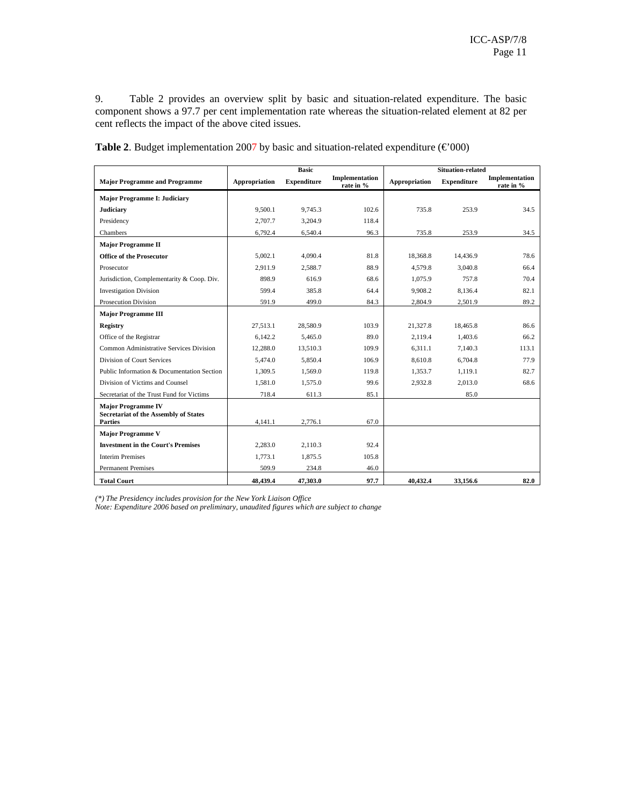9. Table 2 provides an overview split by basic and situation-related expenditure. The basic component shows a 97.7 per cent implementation rate whereas the situation-related element at 82 per cent reflects the impact of the above cited issues.

|                                                                |               | <b>Basic</b>       |                             |               | <b>Situation-related</b> |                             |
|----------------------------------------------------------------|---------------|--------------------|-----------------------------|---------------|--------------------------|-----------------------------|
| <b>Major Programme and Programme</b>                           | Appropriation | <b>Expenditure</b> | Implementation<br>rate in % | Appropriation | <b>Expenditure</b>       | Implementation<br>rate in % |
| <b>Major Programme I: Judiciary</b>                            |               |                    |                             |               |                          |                             |
| <b>Judiciary</b>                                               | 9.500.1       | 9.745.3            | 102.6                       | 735.8         | 253.9                    | 34.5                        |
| Presidency                                                     | 2.707.7       | 3,204.9            | 118.4                       |               |                          |                             |
| Chambers                                                       | 6,792.4       | 6,540.4            | 96.3                        | 735.8         | 253.9                    | 34.5                        |
| <b>Major Programme II</b>                                      |               |                    |                             |               |                          |                             |
| <b>Office of the Prosecutor</b>                                | 5.002.1       | 4.090.4            | 81.8                        | 18.368.8      | 14.436.9                 | 78.6                        |
| Prosecutor                                                     | 2.911.9       | 2.588.7            | 88.9                        | 4.579.8       | 3.040.8                  | 66.4                        |
| Jurisdiction, Complementarity & Coop. Div.                     | 898.9         | 616.9              | 68.6                        | 1.075.9       | 757.8                    | 70.4                        |
| <b>Investigation Division</b>                                  | 599.4         | 385.8              | 64.4                        | 9.908.2       | 8,136.4                  | 82.1                        |
| Prosecution Division                                           | 591.9         | 499.0              | 84.3                        | 2,804.9       | 2,501.9                  | 89.2                        |
| <b>Major Programme III</b>                                     |               |                    |                             |               |                          |                             |
| <b>Registry</b>                                                | 27.513.1      | 28,580.9           | 103.9                       | 21.327.8      | 18,465.8                 | 86.6                        |
| Office of the Registrar                                        | 6.142.2       | 5,465.0            | 89.0                        | 2,119.4       | 1,403.6                  | 66.2                        |
| Common Administrative Services Division                        | 12.288.0      | 13.510.3           | 109.9                       | 6.311.1       | 7.140.3                  | 113.1                       |
| Division of Court Services                                     | 5,474.0       | 5,850.4            | 106.9                       | 8,610.8       | 6,704.8                  | 77.9                        |
| Public Information & Documentation Section                     | 1,309.5       | 1,569.0            | 119.8                       | 1.353.7       | 1,119.1                  | 82.7                        |
| Division of Victims and Counsel                                | 1,581.0       | 1,575.0            | 99.6                        | 2,932.8       | 2,013.0                  | 68.6                        |
| Secretariat of the Trust Fund for Victims                      | 718.4         | 611.3              | 85.1                        |               | 85.0                     |                             |
| <b>Major Programme IV</b>                                      |               |                    |                             |               |                          |                             |
| <b>Secretariat of the Assembly of States</b><br><b>Parties</b> | 4,141.1       | 2,776.1            | 67.0                        |               |                          |                             |
| <b>Major Programme V</b>                                       |               |                    |                             |               |                          |                             |
| <b>Investment in the Court's Premises</b>                      | 2.283.0       | 2,110.3            | 92.4                        |               |                          |                             |
| <b>Interim Premises</b>                                        | 1,773.1       | 1,875.5            | 105.8                       |               |                          |                             |
| <b>Permanent Premises</b>                                      | 509.9         | 234.8              | 46.0                        |               |                          |                             |
| <b>Total Court</b>                                             | 48,439.4      | 47,303.0           | 97.7                        | 40,432.4      | 33,156.6                 | 82.0                        |

Table 2. Budget implementation 2007 by basic and situation-related expenditure  $(\text{\textsterling} 000)$ 

*(\*) The Presidency includes provision for the New York Liaison Office* 

*Note: Expenditure 2006 based on preliminary, unaudited figures which are subject to change*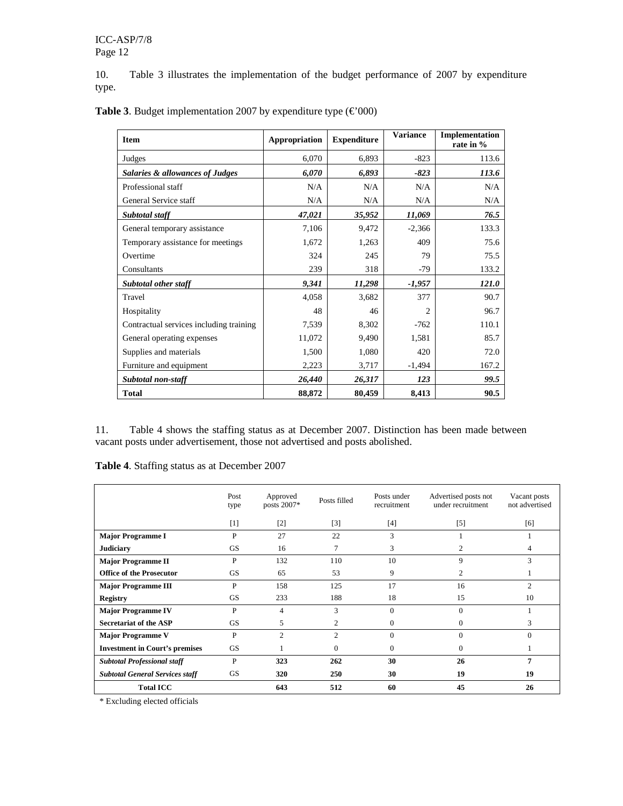10. Table 3 illustrates the implementation of the budget performance of 2007 by expenditure type.

| <b>Item</b>                             | Appropriation | <b>Expenditure</b> | <b>Variance</b> | Implementation<br>rate in % |
|-----------------------------------------|---------------|--------------------|-----------------|-----------------------------|
| Judges                                  | 6,070         | 6,893              | $-823$          | 113.6                       |
| Salaries & allowances of Judges         | 6,070         | 6,893              | $-823$          | 113.6                       |
| Professional staff                      | N/A           | N/A                | N/A             | N/A                         |
| General Service staff                   | N/A           | N/A                | N/A             | N/A                         |
| Subtotal staff                          | 47,021        | 35,952             | 11,069          | 76.5                        |
| General temporary assistance            | 7,106         | 9,472              | $-2,366$        | 133.3                       |
| Temporary assistance for meetings       | 1,672         | 1,263              | 409             | 75.6                        |
| Overtime                                | 324           | 245                | 79              | 75.5                        |
| Consultants                             | 239           | 318                | $-79$           | 133.2                       |
| Subtotal other staff                    | 9,341         | 11,298             | $-1,957$        | 121.0                       |
| Travel                                  | 4,058         | 3,682              | 377             | 90.7                        |
| Hospitality                             | 48            | 46                 | 2               | 96.7                        |
| Contractual services including training | 7,539         | 8,302              | $-762$          | 110.1                       |
| General operating expenses              | 11,072        | 9,490              | 1,581           | 85.7                        |
| Supplies and materials                  | 1,500         | 1,080              | 420             | 72.0                        |
| Furniture and equipment                 | 2,223         | 3,717              | $-1,494$        | 167.2                       |
| Subtotal non-staff                      | 26,440        | 26,317             | 123             | 99.5                        |
| <b>Total</b>                            | 88,872        | 80,459             | 8,413           | 90.5                        |

**Table 3**. Budget implementation 2007 by expenditure type  $(\text{\textsterling}000)$ 

11. Table 4 shows the staffing status as at December 2007. Distinction has been made between vacant posts under advertisement, those not advertised and posts abolished.

**Table 4**. Staffing status as at December 2007

|                                        | Post<br>type | Approved<br>posts 2007* | Posts filled   | Posts under<br>recruitment | Advertised posts not<br>under recruitment | Vacant posts<br>not advertised |
|----------------------------------------|--------------|-------------------------|----------------|----------------------------|-------------------------------------------|--------------------------------|
|                                        | $[1]$        | [2]                     | [3]            | [4]                        | $\lceil 5 \rceil$                         | [6]                            |
| <b>Major Programme I</b>               | $\mathbf{P}$ | 27                      | 22             | 3                          |                                           |                                |
| <b>Judiciary</b>                       | <b>GS</b>    | 16                      | 7              | 3                          | 2                                         | 4                              |
| <b>Major Programme II</b>              | P            | 132                     | 110            | 10                         | 9                                         | 3                              |
| <b>Office of the Prosecutor</b>        | <b>GS</b>    | 65                      | 53             | 9                          | $\overline{c}$                            | 1                              |
| <b>Major Programme III</b>             | P            | 158                     | 125            | 17                         | 16                                        | 2                              |
| <b>Registry</b>                        | <b>GS</b>    | 233                     | 188            | 18                         | 15                                        | 10                             |
| <b>Major Programme IV</b>              | P            | 4                       | 3              | $\Omega$                   | $\Omega$                                  |                                |
| <b>Secretariat of the ASP</b>          | GS           | 5                       | 2              | $\mathbf{0}$               | $\Omega$                                  | 3                              |
| <b>Major Programme V</b>               | P            | 2                       | $\overline{c}$ | $\Omega$                   | $\Omega$                                  | $\Omega$                       |
| <b>Investment in Court's premises</b>  | <b>GS</b>    |                         | $\Omega$       | $\Omega$                   | $\Omega$                                  |                                |
| <b>Subtotal Professional staff</b>     | P            | 323                     | 262            | 30                         | 26                                        | 7                              |
| <b>Subtotal General Services staff</b> | GS           | 320                     | 250            | 30                         | 19                                        | 19                             |
| <b>Total ICC</b>                       |              | 643                     | 512            | 60                         | 45                                        | 26                             |

\* Excluding elected officials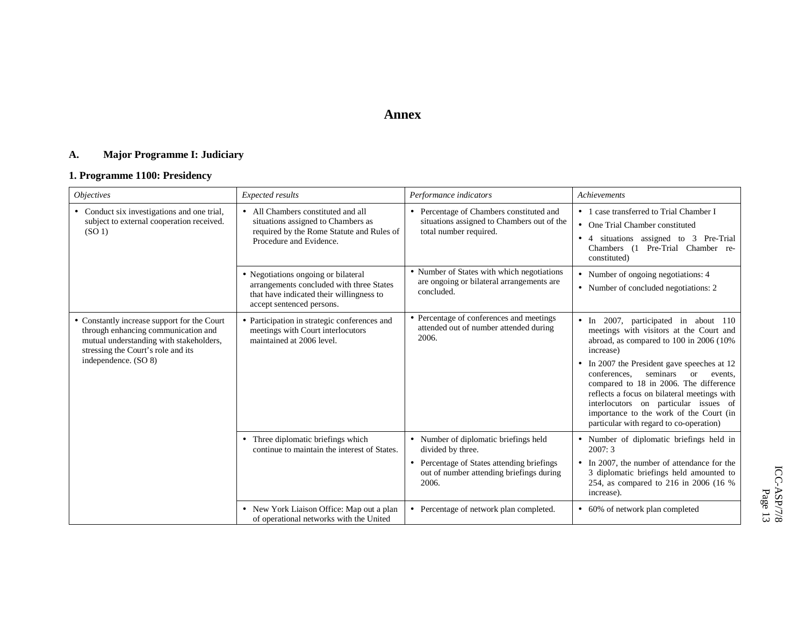## **Annex**

#### **A. Major Programme I: Judiciary**

## **1. Programme 1100: Presidency**

| <i><b>Objectives</b></i>                                                                                                                                                                    | <b>Expected results</b>                                                                                                                                  | Performance indicators                                                                                                                                        | <b>Achievements</b>                                                                                                                                                                                                                                                                                                                                                                                                                                                |
|---------------------------------------------------------------------------------------------------------------------------------------------------------------------------------------------|----------------------------------------------------------------------------------------------------------------------------------------------------------|---------------------------------------------------------------------------------------------------------------------------------------------------------------|--------------------------------------------------------------------------------------------------------------------------------------------------------------------------------------------------------------------------------------------------------------------------------------------------------------------------------------------------------------------------------------------------------------------------------------------------------------------|
| • Conduct six investigations and one trial,<br>subject to external cooperation received.<br>(SO <sub>1</sub> )                                                                              | • All Chambers constituted and all<br>situations assigned to Chambers as<br>required by the Rome Statute and Rules of<br>Procedure and Evidence.         | • Percentage of Chambers constituted and<br>situations assigned to Chambers out of the<br>total number required.                                              | • 1 case transferred to Trial Chamber I<br>• One Trial Chamber constituted<br>4 situations assigned to 3 Pre-Trial<br>$\bullet$<br>Chambers (1 Pre-Trial Chamber re-<br>constituted)                                                                                                                                                                                                                                                                               |
|                                                                                                                                                                                             | • Negotiations ongoing or bilateral<br>arrangements concluded with three States<br>that have indicated their willingness to<br>accept sentenced persons. | • Number of States with which negotiations<br>are ongoing or bilateral arrangements are<br>concluded.                                                         | • Number of ongoing negotiations: 4<br>• Number of concluded negotiations: 2                                                                                                                                                                                                                                                                                                                                                                                       |
| • Constantly increase support for the Court<br>through enhancing communication and<br>mutual understanding with stakeholders,<br>stressing the Court's role and its<br>independence. (SO 8) | • Participation in strategic conferences and<br>meetings with Court interlocutors<br>maintained at 2006 level.                                           | • Percentage of conferences and meetings<br>attended out of number attended during<br>2006.                                                                   | • In 2007, participated in about 110<br>meetings with visitors at the Court and<br>abroad, as compared to 100 in 2006 (10%)<br>increase)<br>• In 2007 the President gave speeches at 12<br>seminars<br>conferences.<br>$\alpha$<br>events.<br>compared to 18 in 2006. The difference<br>reflects a focus on bilateral meetings with<br>interlocutors on particular issues of<br>importance to the work of the Court (in<br>particular with regard to co-operation) |
|                                                                                                                                                                                             | • Three diplomatic briefings which<br>continue to maintain the interest of States.                                                                       | • Number of diplomatic briefings held<br>divided by three.<br>• Percentage of States attending briefings<br>out of number attending briefings during<br>2006. | • Number of diplomatic briefings held in<br>2007:3<br>• In 2007, the number of attendance for the<br>3 diplomatic briefings held amounted to<br>254, as compared to 216 in 2006 (16 %<br>increase).                                                                                                                                                                                                                                                                |
|                                                                                                                                                                                             | • New York Liaison Office: Map out a plan<br>of operational networks with the United                                                                     | • Percentage of network plan completed.                                                                                                                       | • 60% of network plan completed                                                                                                                                                                                                                                                                                                                                                                                                                                    |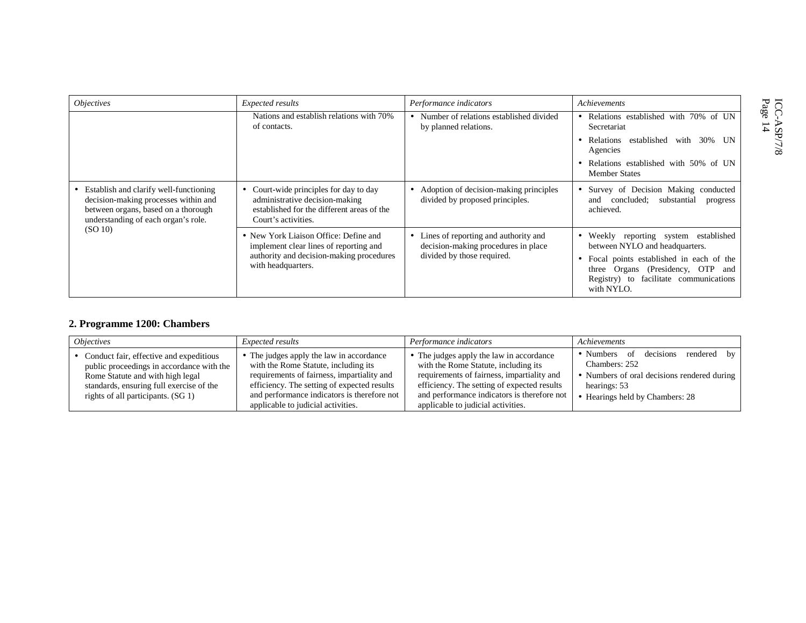| Expected results                                                                                                                                  | Performance indicators                                                                                    | Achievements                                                                                                                                                                                         |
|---------------------------------------------------------------------------------------------------------------------------------------------------|-----------------------------------------------------------------------------------------------------------|------------------------------------------------------------------------------------------------------------------------------------------------------------------------------------------------------|
| Nations and establish relations with 70%<br>of contacts.                                                                                          | • Number of relations established divided<br>by planned relations.                                        | Relations established with 70% of UN<br>Secretariat                                                                                                                                                  |
|                                                                                                                                                   |                                                                                                           | established<br>with 30% UN<br>Relations<br>Agencies                                                                                                                                                  |
|                                                                                                                                                   |                                                                                                           | Relations established with 50% of UN<br><b>Member States</b>                                                                                                                                         |
| Court-wide principles for day to day<br>administrative decision-making<br>established for the different areas of the<br>Court's activities.       | • Adoption of decision-making principles<br>divided by proposed principles.                               | Survey of Decision Making conducted<br>concluded;<br>substantial<br>and<br>progress<br>achieved.                                                                                                     |
| • New York Liaison Office: Define and<br>implement clear lines of reporting and<br>authority and decision-making procedures<br>with headquarters. | Lines of reporting and authority and<br>decision-making procedures in place<br>divided by those required. | Weekly reporting system established<br>٠<br>between NYLO and headquarters.<br>Focal points established in each of the<br>three Organs (Presidency, OTP and<br>Registry) to facilitate communications |
|                                                                                                                                                   |                                                                                                           |                                                                                                                                                                                                      |

## **2. Programme 1200: Chambers**

| <i><b>Objectives</b></i>                                                                                                                                                                                     | <i>Expected results</i>                                                                                                                                                                                                                                            | Performance indicators                                                                                                                                                                                                                                             | Achievements                                                                                                                                             |
|--------------------------------------------------------------------------------------------------------------------------------------------------------------------------------------------------------------|--------------------------------------------------------------------------------------------------------------------------------------------------------------------------------------------------------------------------------------------------------------------|--------------------------------------------------------------------------------------------------------------------------------------------------------------------------------------------------------------------------------------------------------------------|----------------------------------------------------------------------------------------------------------------------------------------------------------|
| • Conduct fair, effective and expeditious<br>public proceedings in accordance with the<br>Rome Statute and with high legal<br>standards, ensuring full exercise of the<br>rights of all participants. (SG 1) | • The judges apply the law in accordance<br>with the Rome Statute, including its<br>requirements of fairness, impartiality and<br>efficiency. The setting of expected results<br>and performance indicators is therefore not<br>applicable to judicial activities. | • The judges apply the law in accordance<br>with the Rome Statute, including its<br>requirements of fairness, impartiality and<br>efficiency. The setting of expected results<br>and performance indicators is therefore not<br>applicable to judicial activities. | • Numbers of decisions<br>rendered by<br>Chambers: 252<br>• Numbers of oral decisions rendered during<br>hearings: 53<br>• Hearings held by Chambers: 28 |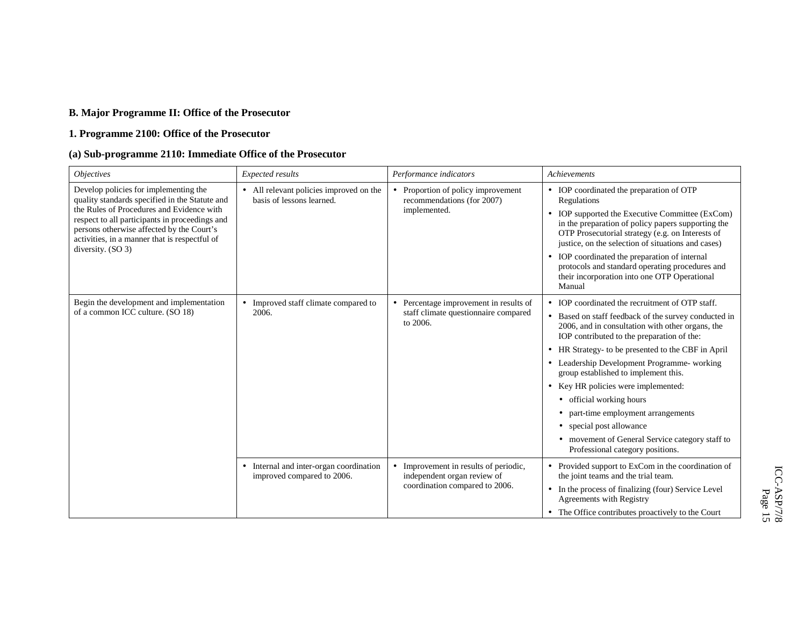## **B. Major Programme II: Office of the Prosecutor**

## **1. Programme 2100: Office of the Prosecutor**

## **(a) Sub-programme 2110: Immediate Office of the Prosecutor**

| <b>Objectives</b>                                                                                                                                                                         | Expected results                                                      | Performance indicators                                                                     | Achievements                                                                                                                                                                                                    |
|-------------------------------------------------------------------------------------------------------------------------------------------------------------------------------------------|-----------------------------------------------------------------------|--------------------------------------------------------------------------------------------|-----------------------------------------------------------------------------------------------------------------------------------------------------------------------------------------------------------------|
| Develop policies for implementing the<br>quality standards specified in the Statute and                                                                                                   | • All relevant policies improved on the<br>basis of lessons learned.  | • Proportion of policy improvement<br>recommendations (for 2007)                           | • IOP coordinated the preparation of OTP<br>Regulations                                                                                                                                                         |
| the Rules of Procedures and Evidence with<br>respect to all participants in proceedings and<br>persons otherwise affected by the Court's<br>activities, in a manner that is respectful of |                                                                       | implemented.                                                                               | • IOP supported the Executive Committee (ExCom)<br>in the preparation of policy papers supporting the<br>OTP Prosecutorial strategy (e.g. on Interests of<br>justice, on the selection of situations and cases) |
| diversity. $(SO 3)$                                                                                                                                                                       |                                                                       |                                                                                            | • IOP coordinated the preparation of internal<br>protocols and standard operating procedures and<br>their incorporation into one OTP Operational<br>Manual                                                      |
| Begin the development and implementation                                                                                                                                                  | • Improved staff climate compared to<br>2006.                         | • Percentage improvement in results of<br>staff climate questionnaire compared<br>to 2006. | • IOP coordinated the recruitment of OTP staff.                                                                                                                                                                 |
| of a common ICC culture. (SO 18)                                                                                                                                                          |                                                                       |                                                                                            | • Based on staff feedback of the survey conducted in<br>2006, and in consultation with other organs, the<br>IOP contributed to the preparation of the:                                                          |
|                                                                                                                                                                                           |                                                                       |                                                                                            | • HR Strategy- to be presented to the CBF in April                                                                                                                                                              |
|                                                                                                                                                                                           |                                                                       |                                                                                            | Leadership Development Programme- working<br>group established to implement this.                                                                                                                               |
|                                                                                                                                                                                           |                                                                       |                                                                                            | • Key HR policies were implemented:                                                                                                                                                                             |
|                                                                                                                                                                                           |                                                                       |                                                                                            | • official working hours                                                                                                                                                                                        |
|                                                                                                                                                                                           |                                                                       |                                                                                            | part-time employment arrangements<br>$\bullet$                                                                                                                                                                  |
|                                                                                                                                                                                           |                                                                       |                                                                                            | • special post allowance                                                                                                                                                                                        |
|                                                                                                                                                                                           |                                                                       |                                                                                            | • movement of General Service category staff to<br>Professional category positions.                                                                                                                             |
|                                                                                                                                                                                           | • Internal and inter-organ coordination<br>improved compared to 2006. | • Improvement in results of periodic,<br>independent organ review of                       | • Provided support to ExCom in the coordination of<br>the joint teams and the trial team.                                                                                                                       |
|                                                                                                                                                                                           |                                                                       | coordination compared to 2006.                                                             | • In the process of finalizing (four) Service Level<br>Agreements with Registry                                                                                                                                 |
|                                                                                                                                                                                           |                                                                       |                                                                                            | • The Office contributes proactively to the Court                                                                                                                                                               |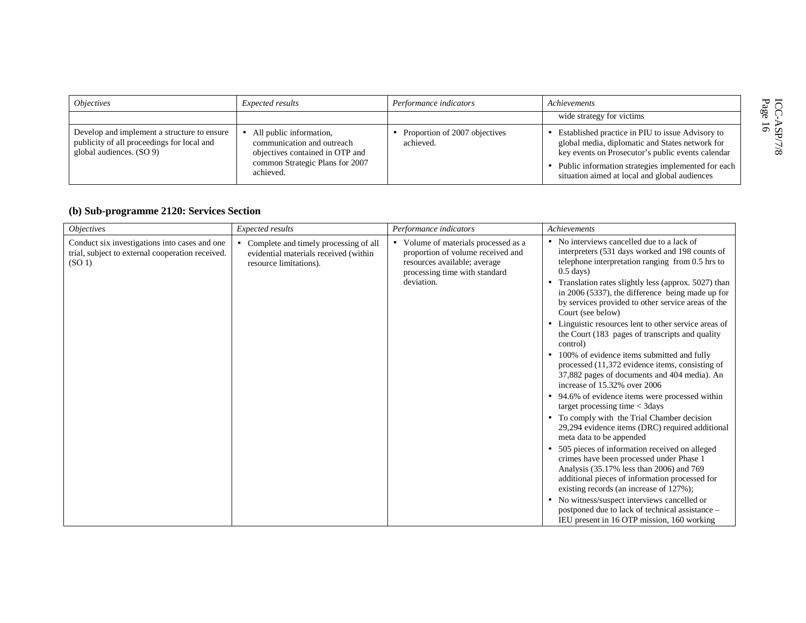| <i><b>Objectives</b></i>                                                                                              | <i>Expected results</i>                                                                                                                  | Performance indicators                     | Achievements                                                                                                                                                                                                                                                      | ICC-<br>Page   |
|-----------------------------------------------------------------------------------------------------------------------|------------------------------------------------------------------------------------------------------------------------------------------|--------------------------------------------|-------------------------------------------------------------------------------------------------------------------------------------------------------------------------------------------------------------------------------------------------------------------|----------------|
|                                                                                                                       |                                                                                                                                          |                                            | wide strategy for victims                                                                                                                                                                                                                                         |                |
| Develop and implement a structure to ensure<br>publicity of all proceedings for local and<br>global audiences. (SO 9) | All public information,<br>communication and outreach<br>objectives contained in OTP and<br>common Strategic Plans for 2007<br>achieved. | Proportion of 2007 objectives<br>achieved. | • Established practice in PIU to issue Advisory to<br>global media, diplomatic and States network for<br>key events on Prosecutor's public events calendar<br>Public information strategies implemented for each<br>situation aimed at local and global audiences | οû<br>$\infty$ |

## **(b) Sub-programme 2120: Services Section**

| <i><b>Objectives</b></i>                                                                                                | Expected results                                                                                         | Performance indicators                                                                                                                                   | Achievements                                                                                                                                                                                                                                                                                                                                                                                                                                                                                                                                                                                                                                                                                                                                                                                                                                                                                                                                                                                                                                                                                                                                                                                                                                                                      |
|-------------------------------------------------------------------------------------------------------------------------|----------------------------------------------------------------------------------------------------------|----------------------------------------------------------------------------------------------------------------------------------------------------------|-----------------------------------------------------------------------------------------------------------------------------------------------------------------------------------------------------------------------------------------------------------------------------------------------------------------------------------------------------------------------------------------------------------------------------------------------------------------------------------------------------------------------------------------------------------------------------------------------------------------------------------------------------------------------------------------------------------------------------------------------------------------------------------------------------------------------------------------------------------------------------------------------------------------------------------------------------------------------------------------------------------------------------------------------------------------------------------------------------------------------------------------------------------------------------------------------------------------------------------------------------------------------------------|
| Conduct six investigations into cases and one<br>trial, subject to external cooperation received.<br>(SO <sub>1</sub> ) | Complete and timely processing of all<br>evidential materials received (within<br>resource limitations). | • Volume of materials processed as a<br>proportion of volume received and<br>resources available; average<br>processing time with standard<br>deviation. | • No interviews cancelled due to a lack of<br>interpreters (531 days worked and 198 counts of<br>telephone interpretation ranging from 0.5 hrs to<br>$0.5$ days)<br>• Translation rates slightly less (approx. 5027) than<br>in 2006 (5337), the difference being made up for<br>by services provided to other service areas of the<br>Court (see below)<br>• Linguistic resources lent to other service areas of<br>the Court (183 pages of transcripts and quality<br>control)<br>• 100% of evidence items submitted and fully<br>processed (11,372 evidence items, consisting of<br>37,882 pages of documents and 404 media). An<br>increase of 15.32% over 2006<br>• 94.6% of evidence items were processed within<br>target processing time $<$ 3days<br>• To comply with the Trial Chamber decision<br>29,294 evidence items (DRC) required additional<br>meta data to be appended<br>• 505 pieces of information received on alleged<br>crimes have been processed under Phase 1<br>Analysis (35.17% less than 2006) and 769<br>additional pieces of information processed for<br>existing records (an increase of 127%);<br>• No witness/suspect interviews cancelled or<br>postponed due to lack of technical assistance -<br>IEU present in 16 OTP mission, 160 working |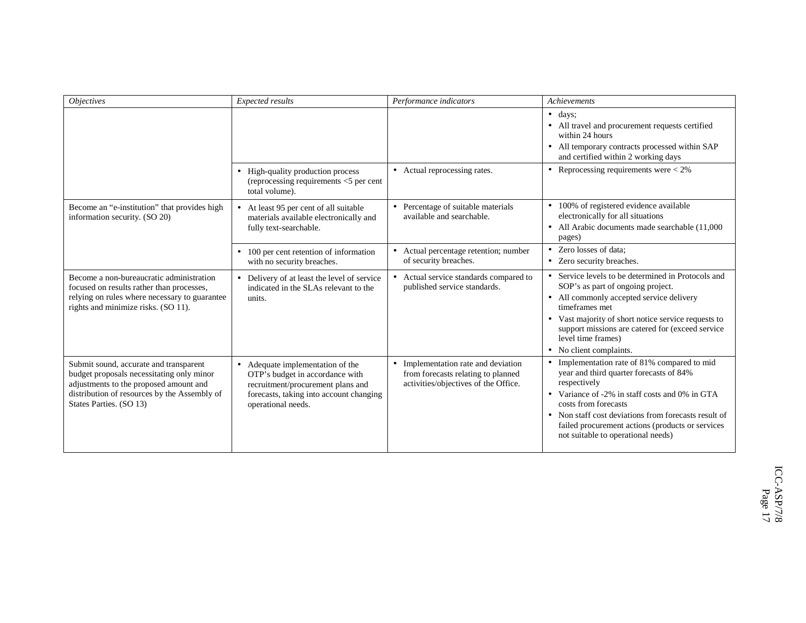| <b>Objectives</b>                                                                                                                                                                                        | Expected results                                                                                                                                                          | Performance indicators                                                                                            | <b>Achievements</b>                                                                                                                                                                                                                                                                                                                 |
|----------------------------------------------------------------------------------------------------------------------------------------------------------------------------------------------------------|---------------------------------------------------------------------------------------------------------------------------------------------------------------------------|-------------------------------------------------------------------------------------------------------------------|-------------------------------------------------------------------------------------------------------------------------------------------------------------------------------------------------------------------------------------------------------------------------------------------------------------------------------------|
|                                                                                                                                                                                                          |                                                                                                                                                                           |                                                                                                                   | $\bullet$ days:<br>• All travel and procurement requests certified<br>within 24 hours<br>• All temporary contracts processed within SAP<br>and certified within 2 working days                                                                                                                                                      |
|                                                                                                                                                                                                          | • High-quality production process<br>(reprocessing requirements $<$ 5 per cent<br>total volume).                                                                          | • Actual reprocessing rates.                                                                                      | • Reprocessing requirements were $< 2\%$                                                                                                                                                                                                                                                                                            |
| Become an "e-institution" that provides high<br>information security. (SO 20)                                                                                                                            | At least 95 per cent of all suitable<br>materials available electronically and<br>fully text-searchable.                                                                  | • Percentage of suitable materials<br>available and searchable.                                                   | • 100% of registered evidence available<br>electronically for all situations<br>• All Arabic documents made searchable (11,000)<br>pages)                                                                                                                                                                                           |
|                                                                                                                                                                                                          | 100 per cent retention of information<br>$\bullet$<br>with no security breaches.                                                                                          | • Actual percentage retention; number<br>of security breaches.                                                    | • Zero losses of data:<br>• Zero security breaches.                                                                                                                                                                                                                                                                                 |
| Become a non-bureaucratic administration<br>focused on results rather than processes,<br>relying on rules where necessary to guarantee<br>rights and minimize risks. (SO 11).                            | • Delivery of at least the level of service<br>indicated in the SLAs relevant to the<br>units.                                                                            | • Actual service standards compared to<br>published service standards.                                            | • Service levels to be determined in Protocols and<br>SOP's as part of ongoing project.<br>• All commonly accepted service delivery<br>timeframes met<br>• Vast majority of short notice service requests to<br>support missions are catered for (exceed service<br>level time frames)<br>• No client complaints.                   |
| Submit sound, accurate and transparent<br>budget proposals necessitating only minor<br>adjustments to the proposed amount and<br>distribution of resources by the Assembly of<br>States Parties. (SO 13) | • Adequate implementation of the<br>OTP's budget in accordance with<br>recruitment/procurement plans and<br>forecasts, taking into account changing<br>operational needs. | • Implementation rate and deviation<br>from forecasts relating to planned<br>activities/objectives of the Office. | • Implementation rate of 81% compared to mid<br>year and third quarter forecasts of 84%<br>respectively<br>• Variance of -2% in staff costs and 0% in GTA<br>costs from forecasts<br>• Non staff cost deviations from forecasts result of<br>failed procurement actions (products or services<br>not suitable to operational needs) |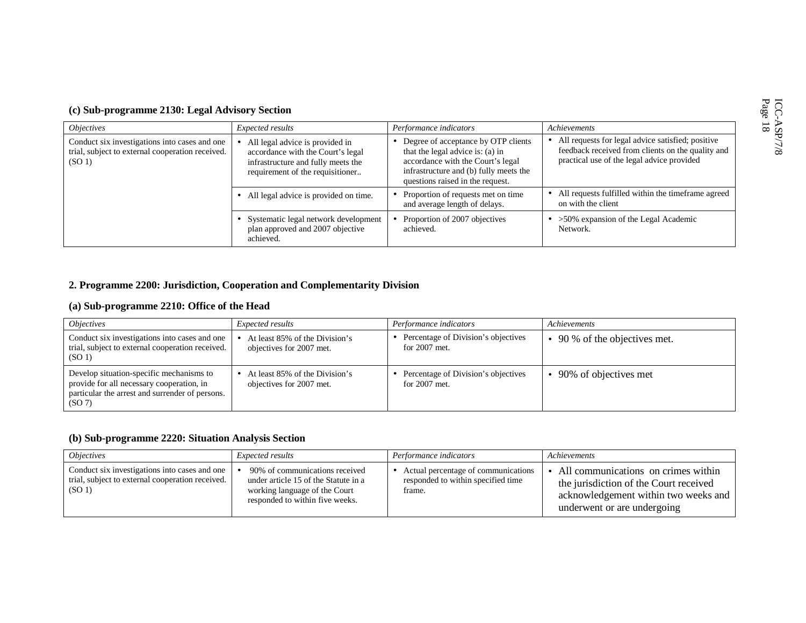| (c) Sub-programme 2130: Legal Advisory Section |  |  |
|------------------------------------------------|--|--|
|                                                |  |  |

| <i><b>Objectives</b></i>                                                                                                | Expected results                                                                                                                               | Performance indicators                                                                                                                                                                       | <b>Achievements</b>                                                                                                                                    |
|-------------------------------------------------------------------------------------------------------------------------|------------------------------------------------------------------------------------------------------------------------------------------------|----------------------------------------------------------------------------------------------------------------------------------------------------------------------------------------------|--------------------------------------------------------------------------------------------------------------------------------------------------------|
| Conduct six investigations into cases and one<br>trial, subject to external cooperation received.<br>(SO <sub>1</sub> ) | All legal advice is provided in<br>accordance with the Court's legal<br>infrastructure and fully meets the<br>requirement of the requisitioner | • Degree of acceptance by OTP clients<br>that the legal advice is: (a) in<br>accordance with the Court's legal<br>infrastructure and (b) fully meets the<br>questions raised in the request. | • All requests for legal advice satisfied; positive<br>feedback received from clients on the quality and<br>practical use of the legal advice provided |
|                                                                                                                         | • All legal advice is provided on time.                                                                                                        | Proportion of requests met on time<br>and average length of delays.                                                                                                                          | • All requests fulfilled within the time frame agreed<br>on with the client                                                                            |
|                                                                                                                         | Systematic legal network development<br>plan approved and 2007 objective<br>achieved.                                                          | Proportion of 2007 objectives<br>achieved.                                                                                                                                                   | $\bullet$ >50% expansion of the Legal Academic<br>Network.                                                                                             |

## **2. Programme 2200: Jurisdiction, Cooperation and Complementarity Division**

## **(a) Sub-programme 2210: Office of the Head**

| <i><b>Objectives</b></i>                                                                                                                           | Expected results                                           | Performance indicators                                   | Achievements                          |
|----------------------------------------------------------------------------------------------------------------------------------------------------|------------------------------------------------------------|----------------------------------------------------------|---------------------------------------|
| Conduct six investigations into cases and one<br>trial, subject to external cooperation received.<br>(SO <sub>1</sub> )                            | At least 85% of the Division's<br>objectives for 2007 met. | • Percentage of Division's objectives<br>for $2007$ met. | $\bullet$ 90 % of the objectives met. |
| Develop situation-specific mechanisms to<br>provide for all necessary cooperation, in<br>particular the arrest and surrender of persons.<br>(SO 7) | At least 85% of the Division's<br>objectives for 2007 met. | Percentage of Division's objectives<br>for $2007$ met.   | • 90% of objectives met               |

## **(b) Sub-programme 2220: Situation Analysis Section**

| <i><b>Objectives</b></i>                                                                                                | <i>Expected results</i>                                                                                                                    | Performance indicators                                                              | Achievements                                                                                                                                           |
|-------------------------------------------------------------------------------------------------------------------------|--------------------------------------------------------------------------------------------------------------------------------------------|-------------------------------------------------------------------------------------|--------------------------------------------------------------------------------------------------------------------------------------------------------|
| Conduct six investigations into cases and one<br>trial, subject to external cooperation received.<br>(SO <sub>1</sub> ) | 90% of communications received<br>under article 15 of the Statute in a<br>working language of the Court<br>responded to within five weeks. | Actual percentage of communications<br>responded to within specified time<br>frame. | • All communications on crimes within<br>the jurisdiction of the Court received<br>acknowledgement within two weeks and<br>underwent or are undergoing |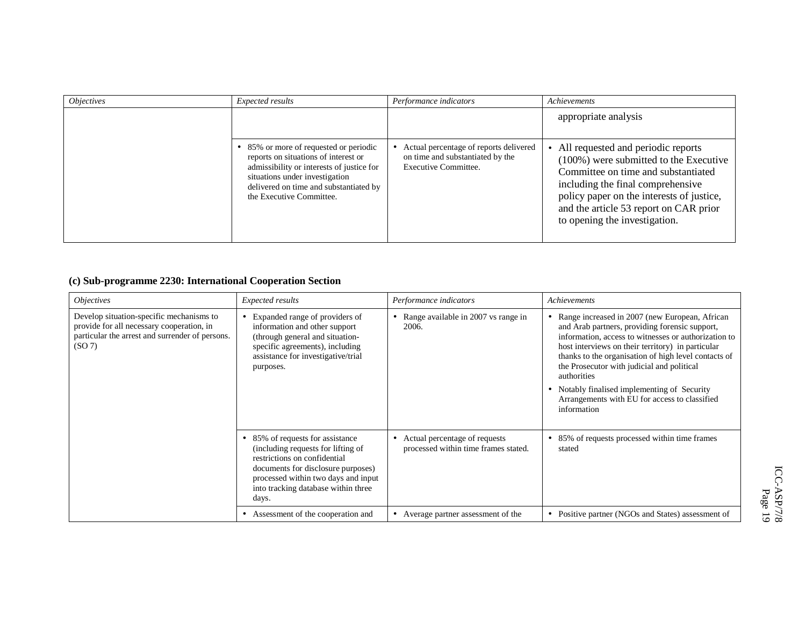| <i><b>Objectives</b></i> | Expected results                                                                                                                                                                                                                    | Performance indicators                                                                             | Achievements                                                                                                                                                                                                                                                                          |
|--------------------------|-------------------------------------------------------------------------------------------------------------------------------------------------------------------------------------------------------------------------------------|----------------------------------------------------------------------------------------------------|---------------------------------------------------------------------------------------------------------------------------------------------------------------------------------------------------------------------------------------------------------------------------------------|
|                          |                                                                                                                                                                                                                                     |                                                                                                    | appropriate analysis                                                                                                                                                                                                                                                                  |
|                          | • 85% or more of requested or periodic<br>reports on situations of interest or<br>admissibility or interests of justice for<br>situations under investigation<br>delivered on time and substantiated by<br>the Executive Committee. | Actual percentage of reports delivered<br>on time and substantiated by the<br>Executive Committee. | • All requested and periodic reports<br>$(100\%)$ were submitted to the Executive<br>Committee on time and substantiated<br>including the final comprehensive<br>policy paper on the interests of justice,<br>and the article 53 report on CAR prior<br>to opening the investigation. |

## **(c) Sub-programme 2230: International Cooperation Section**

| <i><b>Objectives</b></i>                                                                                                                          | Expected results                                                                                                                                                                                                                               | Performance indicators                                                | Achievements                                                                                                                                                                                                                                                                                                                                                                                                                                     |
|---------------------------------------------------------------------------------------------------------------------------------------------------|------------------------------------------------------------------------------------------------------------------------------------------------------------------------------------------------------------------------------------------------|-----------------------------------------------------------------------|--------------------------------------------------------------------------------------------------------------------------------------------------------------------------------------------------------------------------------------------------------------------------------------------------------------------------------------------------------------------------------------------------------------------------------------------------|
| Develop situation-specific mechanisms to<br>provide for all necessary cooperation, in<br>particular the arrest and surrender of persons.<br>(SO7) | • Expanded range of providers of<br>information and other support<br>(through general and situation-<br>specific agreements), including<br>assistance for investigative/trial<br>purposes.                                                     | Range available in 2007 vs range in<br>2006.                          | Range increased in 2007 (new European, African<br>and Arab partners, providing forensic support,<br>information, access to witnesses or authorization to<br>host interviews on their territory) in particular<br>thanks to the organisation of high level contacts of<br>the Prosecutor with judicial and political<br>authorities<br>Notably finalised implementing of Security<br>Arrangements with EU for access to classified<br>information |
|                                                                                                                                                   | 85% of requests for assistance<br>$\bullet$<br>(including requests for lifting of<br>restrictions on confidential<br>documents for disclosure purposes)<br>processed within two days and input<br>into tracking database within three<br>days. | Actual percentage of requests<br>processed within time frames stated. | 85% of requests processed within time frames<br>stated                                                                                                                                                                                                                                                                                                                                                                                           |
|                                                                                                                                                   | Assessment of the cooperation and<br>٠                                                                                                                                                                                                         | Average partner assessment of the                                     | Positive partner (NGOs and States) assessment of<br>٠                                                                                                                                                                                                                                                                                                                                                                                            |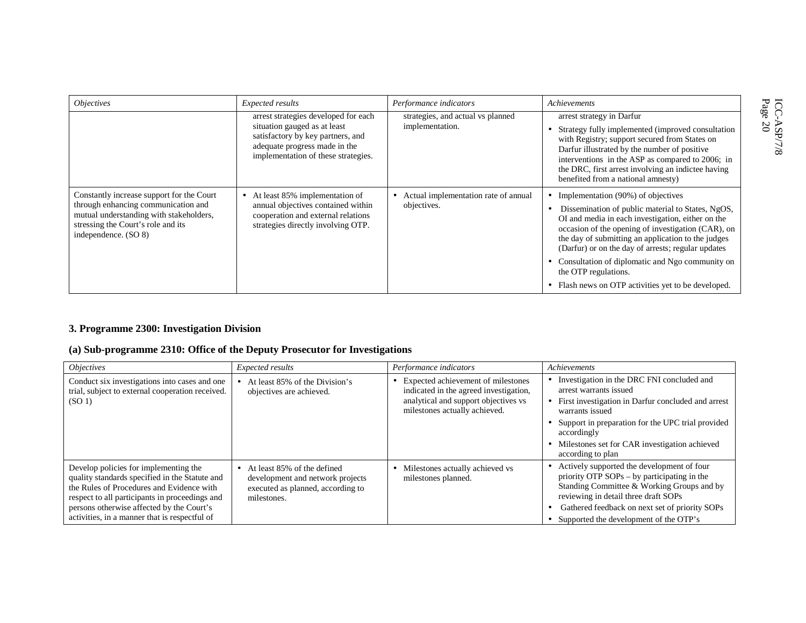| <i><b>Objectives</b></i>                                                                                                                                                                  | Expected results                                                                                                                                                                  | Performance indicators                                | Achievements                                                                                                                                                                                                                                                                                                                                                                                                                                        |
|-------------------------------------------------------------------------------------------------------------------------------------------------------------------------------------------|-----------------------------------------------------------------------------------------------------------------------------------------------------------------------------------|-------------------------------------------------------|-----------------------------------------------------------------------------------------------------------------------------------------------------------------------------------------------------------------------------------------------------------------------------------------------------------------------------------------------------------------------------------------------------------------------------------------------------|
|                                                                                                                                                                                           | arrest strategies developed for each<br>situation gauged as at least<br>satisfactory by key partners, and<br>adequate progress made in the<br>implementation of these strategies. | strategies, and actual vs planned<br>implementation.  | arrest strategy in Darfur<br>Strategy fully implemented (improved consultation<br>with Registry; support secured from States on<br>Darfur illustrated by the number of positive<br>interventions in the ASP as compared to 2006; in<br>the DRC, first arrest involving an indictee having<br>benefited from a national amnesty)                                                                                                                     |
| Constantly increase support for the Court<br>through enhancing communication and<br>mutual understanding with stakeholders,<br>stressing the Court's role and its<br>independence. (SO 8) | At least 85% implementation of<br>$\bullet$<br>annual objectives contained within<br>cooperation and external relations<br>strategies directly involving OTP.                     | • Actual implementation rate of annual<br>objectives. | • Implementation $(90\%)$ of objectives<br>Dissemination of public material to States, NgOS,<br>OI and media in each investigation, either on the<br>occasion of the opening of investigation (CAR), on<br>the day of submitting an application to the judges<br>(Darfur) or on the day of arrests; regular updates<br>Consultation of diplomatic and Ngo community on<br>the OTP regulations.<br>Flash news on OTP activities yet to be developed. |

## **3. Programme 2300: Investigation Division**

## **(a) Sub-programme 2310: Office of the Deputy Prosecutor for Investigations**

| <i><b>Objectives</b></i>                                                                                                                                                                                                                                                             | Expected results                                                                                                      | Performance indicators                                                                                                                                  | Achievements                                                                                                                                                                                                                                                                                  |
|--------------------------------------------------------------------------------------------------------------------------------------------------------------------------------------------------------------------------------------------------------------------------------------|-----------------------------------------------------------------------------------------------------------------------|---------------------------------------------------------------------------------------------------------------------------------------------------------|-----------------------------------------------------------------------------------------------------------------------------------------------------------------------------------------------------------------------------------------------------------------------------------------------|
| Conduct six investigations into cases and one<br>trial, subject to external cooperation received.<br>(SO <sub>1</sub> )                                                                                                                                                              | At least 85% of the Division's<br>objectives are achieved.                                                            | • Expected achievement of milestones<br>indicated in the agreed investigation,<br>analytical and support objectives vs<br>milestones actually achieved. | Investigation in the DRC FNI concluded and<br>arrest warrants issued<br>• First investigation in Darfur concluded and arrest<br>warrants issued<br>• Support in preparation for the UPC trial provided<br>accordingly<br>• Milestones set for CAR investigation achieved<br>according to plan |
| Develop policies for implementing the<br>quality standards specified in the Statute and<br>the Rules of Procedures and Evidence with<br>respect to all participants in proceedings and<br>persons otherwise affected by the Court's<br>activities, in a manner that is respectful of | • At least 85% of the defined<br>development and network projects<br>executed as planned, according to<br>milestones. | • Milestones actually achieved vs<br>milestones planned.                                                                                                | • Actively supported the development of four<br>priority OTP $SOPs - by$ participating in the<br>Standing Committee & Working Groups and by<br>reviewing in detail three draft SOPs<br>Gathered feedback on next set of priority SOPs<br>Supported the development of the OTP's               |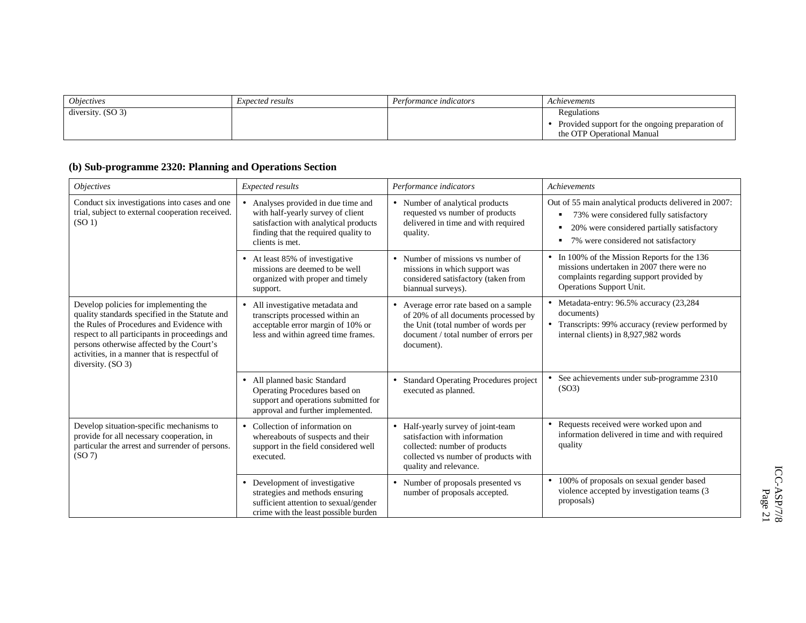| <i><b>Objectives</b></i> | <i>Expected results</i> | Performance indicators | Achievements                                                                                   |
|--------------------------|-------------------------|------------------------|------------------------------------------------------------------------------------------------|
| diversity. $(SO 3)$      |                         |                        | Regulations<br>• Provided support for the ongoing preparation of<br>the OTP Operational Manual |

## **(b) Sub-programme 2320: Planning and Operations Section**

| <i><b>Objectives</b></i>                                                                                                                                                                                                                                                                                  | <b>Expected results</b>                                                                                                                                                    | Performance indicators                                                                                                                                                       | Achievements                                                                                                                                                                                        |
|-----------------------------------------------------------------------------------------------------------------------------------------------------------------------------------------------------------------------------------------------------------------------------------------------------------|----------------------------------------------------------------------------------------------------------------------------------------------------------------------------|------------------------------------------------------------------------------------------------------------------------------------------------------------------------------|-----------------------------------------------------------------------------------------------------------------------------------------------------------------------------------------------------|
| Conduct six investigations into cases and one<br>trial, subject to external cooperation received.<br>(SO <sub>1</sub> )                                                                                                                                                                                   | Analyses provided in due time and<br>with half-yearly survey of client<br>satisfaction with analytical products<br>finding that the required quality to<br>clients is met. | • Number of analytical products<br>requested vs number of products<br>delivered in time and with required<br>quality.                                                        | Out of 55 main analytical products delivered in 2007:<br>73% were considered fully satisfactory<br>٠<br>20% were considered partially satisfactory<br>٠<br>7% were considered not satisfactory<br>٠ |
|                                                                                                                                                                                                                                                                                                           | • At least 85% of investigative<br>missions are deemed to be well<br>organized with proper and timely<br>support.                                                          | $\bullet$ Number of missions vs number of<br>missions in which support was<br>considered satisfactory (taken from<br>biannual surveys).                                      | • In 100% of the Mission Reports for the 136<br>missions undertaken in 2007 there were no<br>complaints regarding support provided by<br>Operations Support Unit.                                   |
| Develop policies for implementing the<br>quality standards specified in the Statute and<br>the Rules of Procedures and Evidence with<br>respect to all participants in proceedings and<br>persons otherwise affected by the Court's<br>activities, in a manner that is respectful of<br>diversity. (SO 3) | All investigative metadata and<br>$\bullet$<br>transcripts processed within an<br>acceptable error margin of 10% or<br>less and within agreed time frames.                 | • Average error rate based on a sample<br>of 20% of all documents processed by<br>the Unit (total number of words per<br>document / total number of errors per<br>document). | Metadata-entry: 96.5% accuracy (23,284<br>documents)<br>• Transcripts: 99% accuracy (review performed by<br>internal clients) in 8,927,982 words                                                    |
|                                                                                                                                                                                                                                                                                                           | All planned basic Standard<br>$\bullet$<br>Operating Procedures based on<br>support and operations submitted for<br>approval and further implemented.                      | • Standard Operating Procedures project<br>executed as planned.                                                                                                              | See achievements under sub-programme 2310<br>(SO3)                                                                                                                                                  |
| Develop situation-specific mechanisms to<br>provide for all necessary cooperation, in<br>particular the arrest and surrender of persons.<br>(SO7)                                                                                                                                                         | Collection of information on<br>$\bullet$<br>whereabouts of suspects and their<br>support in the field considered well<br>executed.                                        | • Half-yearly survey of joint-team<br>satisfaction with information<br>collected: number of products<br>collected vs number of products with<br>quality and relevance.       | Requests received were worked upon and<br>information delivered in time and with required<br>quality                                                                                                |
|                                                                                                                                                                                                                                                                                                           | Development of investigative<br>$\bullet$<br>strategies and methods ensuring<br>sufficient attention to sexual/gender<br>crime with the least possible burden              | • Number of proposals presented vs<br>number of proposals accepted.                                                                                                          | 100% of proposals on sexual gender based<br>$\bullet$<br>violence accepted by investigation teams (3<br>proposals)                                                                                  |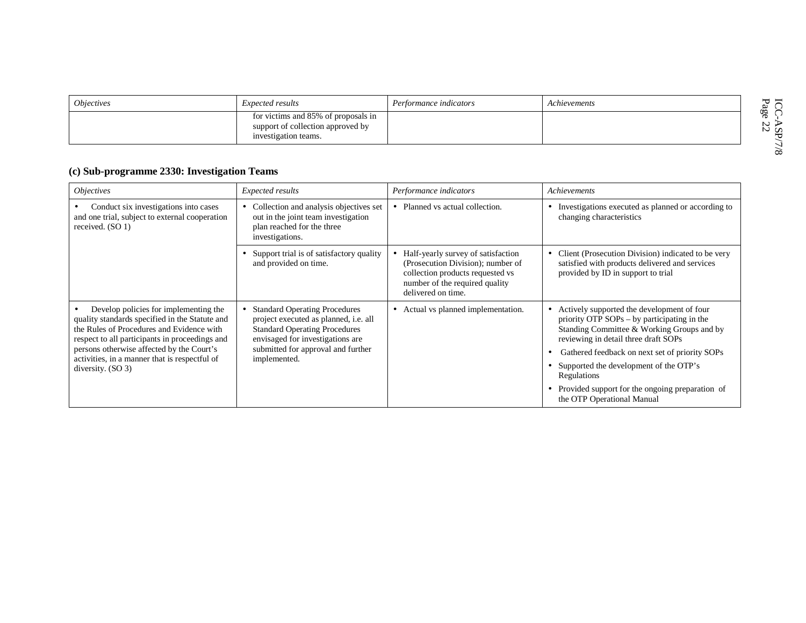| <i>Objectives</i> | <i>Expected results</i>                                                                          | Performance indicators | Achievements |          |
|-------------------|--------------------------------------------------------------------------------------------------|------------------------|--------------|----------|
|                   | for victims and 85% of proposals in<br>support of collection approved by<br>investigation teams. |                        |              | œ<br>N U |
|                   |                                                                                                  |                        |              | $\infty$ |

## **(c) Sub-programme 2330: Investigation Teams**

| <i><b>Objectives</b></i>                                                                                                                                                               | Expected results                                                                                                                                          | Performance indicators                                                                                                                                              | Achievements                                                                                                                                                                    |
|----------------------------------------------------------------------------------------------------------------------------------------------------------------------------------------|-----------------------------------------------------------------------------------------------------------------------------------------------------------|---------------------------------------------------------------------------------------------------------------------------------------------------------------------|---------------------------------------------------------------------------------------------------------------------------------------------------------------------------------|
| Conduct six investigations into cases<br>and one trial, subject to external cooperation<br>received. (SO 1)                                                                            | Collection and analysis objectives set<br>out in the joint team investigation<br>plan reached for the three<br>investigations.                            | • Planned vs actual collection.                                                                                                                                     | Investigations executed as planned or according to<br>changing characteristics                                                                                                  |
|                                                                                                                                                                                        | Support trial is of satisfactory quality<br>and provided on time.                                                                                         | Half-yearly survey of satisfaction<br>(Prosecution Division); number of<br>collection products requested vs<br>number of the required quality<br>delivered on time. | Client (Prosecution Division) indicated to be very<br>satisfied with products delivered and services<br>provided by ID in support to trial                                      |
| Develop policies for implementing the<br>quality standards specified in the Statute and<br>the Rules of Procedures and Evidence with<br>respect to all participants in proceedings and | <b>Standard Operating Procedures</b><br>project executed as planned, i.e. all<br><b>Standard Operating Procedures</b><br>envisaged for investigations are | Actual vs planned implementation.<br>$\bullet$                                                                                                                      | Actively supported the development of four<br>priority OTP SOPs – by participating in the<br>Standing Committee & Working Groups and by<br>reviewing in detail three draft SOPs |
| persons otherwise affected by the Court's<br>activities, in a manner that is respectful of<br>diversity. $(SO 3)$                                                                      | submitted for approval and further<br>implemented.                                                                                                        |                                                                                                                                                                     | Gathered feedback on next set of priority SOPs                                                                                                                                  |
|                                                                                                                                                                                        |                                                                                                                                                           |                                                                                                                                                                     | Supported the development of the OTP's<br>Regulations                                                                                                                           |
|                                                                                                                                                                                        |                                                                                                                                                           |                                                                                                                                                                     | Provided support for the ongoing preparation of<br>the OTP Operational Manual                                                                                                   |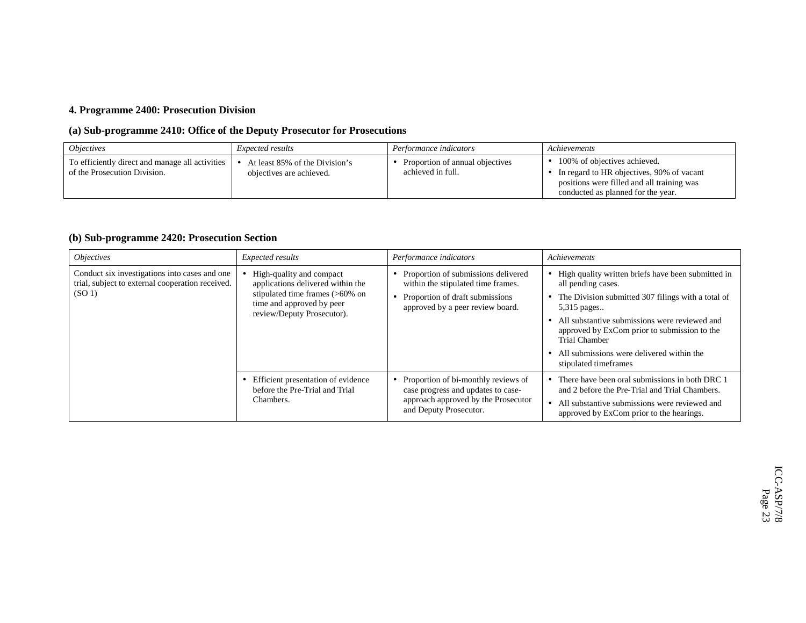## **4. Programme 2400: Prosecution Division**

## **(a) Sub-programme 2410: Office of the Deputy Prosecutor for Prosecutions**

| <i><b>Objectives</b></i>                                                        | <i>Expected results</i>                                    | Performance indicators                               | Achievements                                                                                                                                                              |
|---------------------------------------------------------------------------------|------------------------------------------------------------|------------------------------------------------------|---------------------------------------------------------------------------------------------------------------------------------------------------------------------------|
| To efficiently direct and manage all activities<br>of the Prosecution Division. | At least 85% of the Division's<br>objectives are achieved. | Proportion of annual objectives<br>achieved in full. | $\bullet$ 100% of objectives achieved.<br>• In regard to HR objectives, 90% of vacant<br>positions were filled and all training was<br>conducted as planned for the year. |

## **(b) Sub-programme 2420: Prosecution Section**

| <i><b>Objectives</b></i>                                                                                                | Expected results                                                                                                                                            | Performance indicators                                                                                                                           | Achievements                                                                                                                                                                                                                                                                                                                                     |
|-------------------------------------------------------------------------------------------------------------------------|-------------------------------------------------------------------------------------------------------------------------------------------------------------|--------------------------------------------------------------------------------------------------------------------------------------------------|--------------------------------------------------------------------------------------------------------------------------------------------------------------------------------------------------------------------------------------------------------------------------------------------------------------------------------------------------|
| Conduct six investigations into cases and one<br>trial, subject to external cooperation received.<br>(SO <sub>1</sub> ) | High-quality and compact<br>applications delivered within the<br>stipulated time frames (>60% on<br>time and approved by peer<br>review/Deputy Prosecutor). | Proportion of submissions delivered<br>within the stipulated time frames.<br>Proportion of draft submissions<br>approved by a peer review board. | • High quality written briefs have been submitted in<br>all pending cases.<br>• The Division submitted 307 filings with a total of<br>5,315 pages<br>All substantive submissions were reviewed and<br>approved by ExCom prior to submission to the<br><b>Trial Chamber</b><br>All submissions were delivered within the<br>stipulated timeframes |
|                                                                                                                         | Efficient presentation of evidence<br>before the Pre-Trial and Trial<br>Chambers.                                                                           | Proportion of bi-monthly reviews of<br>case progress and updates to case-<br>approach approved by the Prosecutor<br>and Deputy Prosecutor.       | There have been oral submissions in both DRC 1<br>and 2 before the Pre-Trial and Trial Chambers.<br>All substantive submissions were reviewed and<br>approved by ExCom prior to the hearings.                                                                                                                                                    |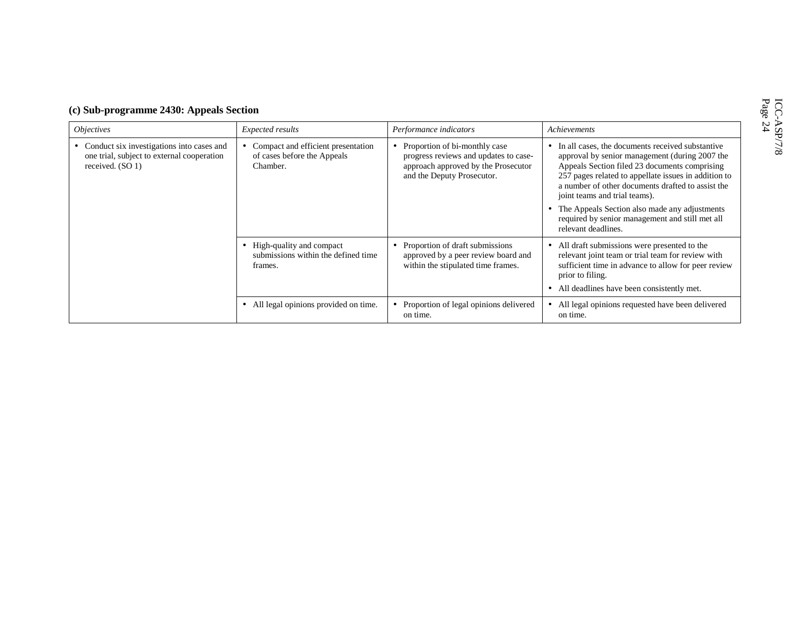|  | (c) Sub-programme 2430: Appeals Section |  |  |
|--|-----------------------------------------|--|--|
|--|-----------------------------------------|--|--|

| <i>Objectives</i>                                                                                           | Expected results                                                              | Performance indicators                                                                                                                        | Achievements                                                                                                                                                                                                                                                                                      |
|-------------------------------------------------------------------------------------------------------------|-------------------------------------------------------------------------------|-----------------------------------------------------------------------------------------------------------------------------------------------|---------------------------------------------------------------------------------------------------------------------------------------------------------------------------------------------------------------------------------------------------------------------------------------------------|
| Conduct six investigations into cases and<br>one trial, subject to external cooperation<br>received. (SO 1) | Compact and efficient presentation<br>of cases before the Appeals<br>Chamber. | • Proportion of bi-monthly case<br>progress reviews and updates to case-<br>approach approved by the Prosecutor<br>and the Deputy Prosecutor. | In all cases, the documents received substantive<br>approval by senior management (during 2007 the<br>Appeals Section filed 23 documents comprising<br>257 pages related to appellate issues in addition to<br>a number of other documents drafted to assist the<br>joint teams and trial teams). |
|                                                                                                             |                                                                               |                                                                                                                                               | The Appeals Section also made any adjustments<br>required by senior management and still met all<br>relevant deadlines.                                                                                                                                                                           |
|                                                                                                             | High-quality and compact<br>submissions within the defined time<br>frames.    | • Proportion of draft submissions<br>approved by a peer review board and<br>within the stipulated time frames.                                | • All draft submissions were presented to the<br>relevant joint team or trial team for review with<br>sufficient time in advance to allow for peer review<br>prior to filing.                                                                                                                     |
|                                                                                                             |                                                                               |                                                                                                                                               | All deadlines have been consistently met.                                                                                                                                                                                                                                                         |
|                                                                                                             | All legal opinions provided on time.                                          | • Proportion of legal opinions delivered<br>on time.                                                                                          | All legal opinions requested have been delivered<br>on time.                                                                                                                                                                                                                                      |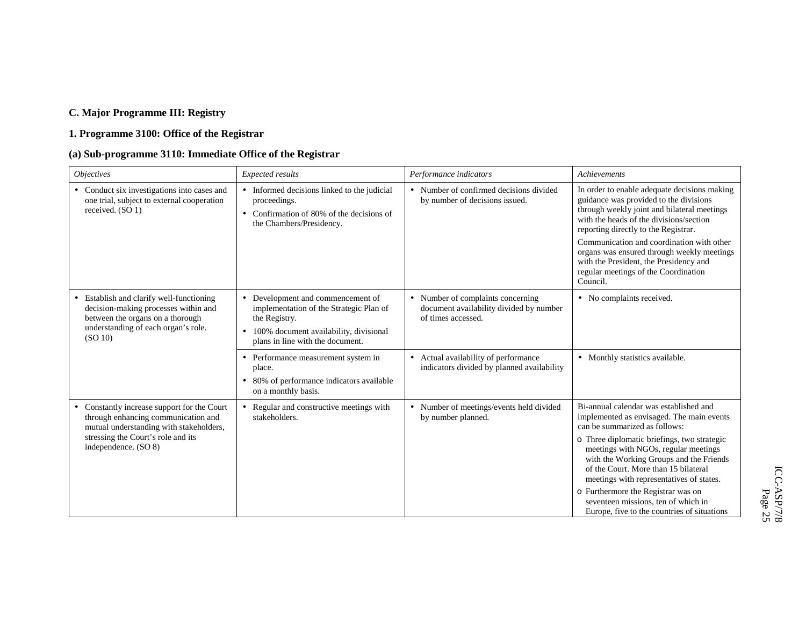## **C. Major Programme III: Registry**

## **1. Programme 3100: Office of the Registrar**

## **(a) Sub-programme 3110: Immediate Office of the Registrar**

| <b>Objectives</b>                                                                                                                                                      | Expected results                                                                                                                                                                                    | Performance indicators                                                                             | Achievements                                                                                                                                                                                                             |
|------------------------------------------------------------------------------------------------------------------------------------------------------------------------|-----------------------------------------------------------------------------------------------------------------------------------------------------------------------------------------------------|----------------------------------------------------------------------------------------------------|--------------------------------------------------------------------------------------------------------------------------------------------------------------------------------------------------------------------------|
| • Conduct six investigations into cases and<br>one trial, subject to external cooperation<br>received. (SO 1)                                                          | • Informed decisions linked to the judicial<br>proceedings.<br>Confirmation of 80% of the decisions of<br>$\bullet$<br>the Chambers/Presidency.                                                     | • Number of confirmed decisions divided<br>by number of decisions issued.                          | In order to enable adequate decisions making<br>guidance was provided to the divisions<br>through weekly joint and bilateral meetings<br>with the heads of the divisions/section<br>reporting directly to the Registrar. |
|                                                                                                                                                                        |                                                                                                                                                                                                     |                                                                                                    | Communication and coordination with other<br>organs was ensured through weekly meetings<br>with the President, the Presidency and<br>regular meetings of the Coordination<br>Council.                                    |
| • Establish and clarify well-functioning<br>decision-making processes within and<br>between the organs on a thorough<br>understanding of each organ's role.<br>(SO 10) | Development and commencement of<br>$\bullet$<br>implementation of the Strategic Plan of<br>the Registry.<br>100% document availability, divisional<br>$\bullet$<br>plans in line with the document. | • Number of complaints concerning<br>document availability divided by number<br>of times accessed. | • No complaints received.                                                                                                                                                                                                |
|                                                                                                                                                                        | Performance measurement system in<br>$\bullet$<br>place.<br>80% of performance indicators available<br>$\bullet$<br>on a monthly basis.                                                             | • Actual availability of performance<br>indicators divided by planned availability                 | • Monthly statistics available.                                                                                                                                                                                          |
| Constantly increase support for the Court<br>$\bullet$<br>through enhancing communication and<br>mutual understanding with stakeholders,                               | Regular and constructive meetings with<br>stakeholders.                                                                                                                                             | • Number of meetings/events held divided<br>by number planned.                                     | Bi-annual calendar was established and<br>implemented as envisaged. The main events<br>can be summarized as follows:                                                                                                     |
| stressing the Court's role and its<br>independence. (SO 8)                                                                                                             |                                                                                                                                                                                                     |                                                                                                    | o Three diplomatic briefings, two strategic<br>meetings with NGOs, regular meetings<br>with the Working Groups and the Friends<br>of the Court. More than 15 bilateral<br>meetings with representatives of states.       |
|                                                                                                                                                                        |                                                                                                                                                                                                     |                                                                                                    | o Furthermore the Registrar was on<br>seventeen missions, ten of which in<br>Europe, five to the countries of situations                                                                                                 |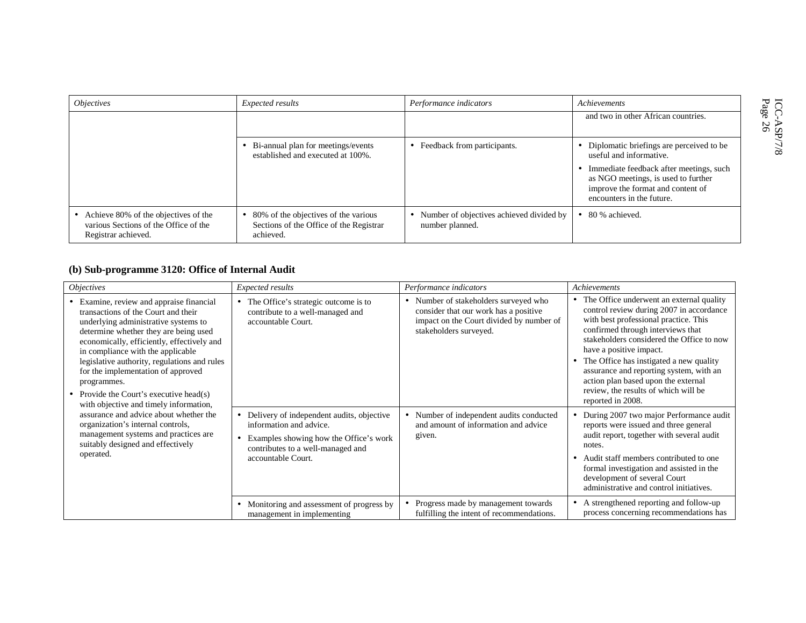| <i><b>Objectives</b></i>                                                                               | Expected results                                                                             | Performance indicators                                      | Achievements                                                                                                                                     |
|--------------------------------------------------------------------------------------------------------|----------------------------------------------------------------------------------------------|-------------------------------------------------------------|--------------------------------------------------------------------------------------------------------------------------------------------------|
|                                                                                                        |                                                                                              |                                                             | and two in other African countries.                                                                                                              |
|                                                                                                        | Bi-annual plan for meetings/events<br>established and executed at 100%.                      | Feedback from participants.                                 | Diplomatic briefings are perceived to be.<br>useful and informative.                                                                             |
|                                                                                                        |                                                                                              |                                                             | Immediate feedback after meetings, such<br>as NGO meetings, is used to further<br>improve the format and content of<br>encounters in the future. |
| • Achieve 80% of the objectives of the<br>various Sections of the Office of the<br>Registrar achieved. | 80% of the objectives of the various<br>Sections of the Office of the Registrar<br>achieved. | Number of objectives achieved divided by<br>number planned. | 80 % achieved.                                                                                                                                   |

## **(b) Sub-programme 3120: Office of Internal Audit**

| <i><b>Objectives</b></i>                                                                                                                                                                                                                                                                                                                                                                            | Expected results                                                                                                                                                            | Performance indicators                                                                                                                               | Achievements                                                                                                                                                                                                                                                                                                                                                                                                                           |
|-----------------------------------------------------------------------------------------------------------------------------------------------------------------------------------------------------------------------------------------------------------------------------------------------------------------------------------------------------------------------------------------------------|-----------------------------------------------------------------------------------------------------------------------------------------------------------------------------|------------------------------------------------------------------------------------------------------------------------------------------------------|----------------------------------------------------------------------------------------------------------------------------------------------------------------------------------------------------------------------------------------------------------------------------------------------------------------------------------------------------------------------------------------------------------------------------------------|
| • Examine, review and appraise financial<br>transactions of the Court and their<br>underlying administrative systems to<br>determine whether they are being used<br>economically, efficiently, effectively and<br>in compliance with the applicable<br>legislative authority, regulations and rules<br>for the implementation of approved<br>programmes.<br>• Provide the Court's executive head(s) | • The Office's strategic outcome is to<br>contribute to a well-managed and<br>accountable Court.                                                                            | • Number of stakeholders surveyed who<br>consider that our work has a positive<br>impact on the Court divided by number of<br>stakeholders surveyed. | • The Office underwent an external quality<br>control review during 2007 in accordance<br>with best professional practice. This<br>confirmed through interviews that<br>stakeholders considered the Office to now<br>have a positive impact.<br>The Office has instigated a new quality<br>assurance and reporting system, with an<br>action plan based upon the external<br>review, the results of which will be<br>reported in 2008. |
| with objective and timely information,<br>assurance and advice about whether the<br>organization's internal controls,<br>management systems and practices are<br>suitably designed and effectively<br>operated.                                                                                                                                                                                     | • Delivery of independent audits, objective<br>information and advice.<br>Examples showing how the Office's work<br>contributes to a well-managed and<br>accountable Court. | Number of independent audits conducted<br>and amount of information and advice<br>given.                                                             | During 2007 two major Performance audit<br>reports were issued and three general<br>audit report, together with several audit<br>notes.<br>Audit staff members contributed to one<br>formal investigation and assisted in the<br>development of several Court<br>administrative and control initiatives.                                                                                                                               |
|                                                                                                                                                                                                                                                                                                                                                                                                     | Monitoring and assessment of progress by<br>management in implementing                                                                                                      | Progress made by management towards<br>$\bullet$<br>fulfilling the intent of recommendations.                                                        | A strengthened reporting and follow-up<br>process concerning recommendations has                                                                                                                                                                                                                                                                                                                                                       |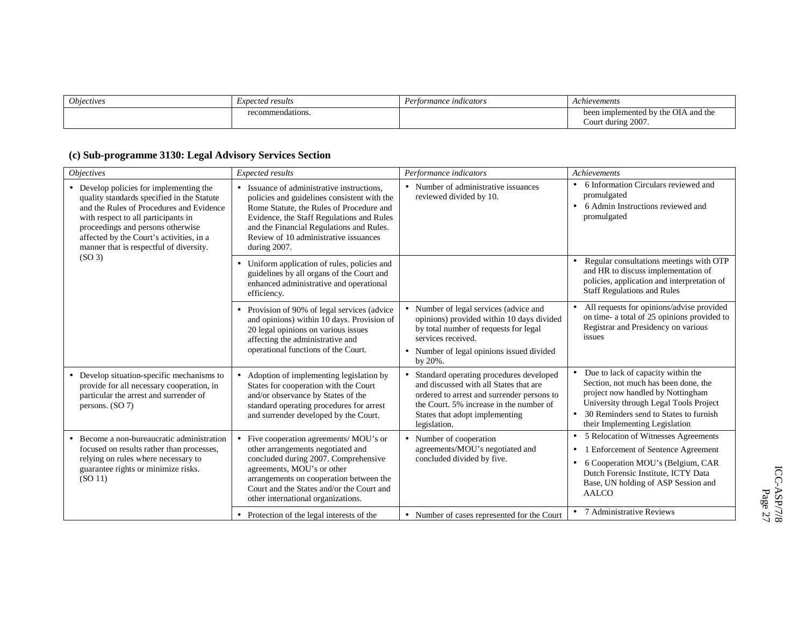| <i><b>Objectives</b></i> | <i>Expected results</i> | Performance indicators | Achievements                                    |
|--------------------------|-------------------------|------------------------|-------------------------------------------------|
|                          | mmendations.<br>reco    |                        | been implemented by the OIA<br><b>A</b> and the |
|                          |                         |                        | 2007<br>: during<br>Court                       |

## **(c) Sub-programme 3130: Legal Advisory Services Section**

| <i>Objectives</i>                                                                                                                                                                                                                                                                                    | Expected results                                                                                                                                                                                                                                                                                   | Performance indicators                                                                                                                                                                                                         | Achievements                                                                                                                                                                                                                                 |
|------------------------------------------------------------------------------------------------------------------------------------------------------------------------------------------------------------------------------------------------------------------------------------------------------|----------------------------------------------------------------------------------------------------------------------------------------------------------------------------------------------------------------------------------------------------------------------------------------------------|--------------------------------------------------------------------------------------------------------------------------------------------------------------------------------------------------------------------------------|----------------------------------------------------------------------------------------------------------------------------------------------------------------------------------------------------------------------------------------------|
| • Develop policies for implementing the<br>quality standards specified in the Statute<br>and the Rules of Procedures and Evidence<br>with respect to all participants in<br>proceedings and persons otherwise<br>affected by the Court's activities, in a<br>manner that is respectful of diversity. | Issuance of administrative instructions.<br>$\bullet$<br>policies and guidelines consistent with the<br>Rome Statute, the Rules of Procedure and<br>Evidence, the Staff Regulations and Rules<br>and the Financial Regulations and Rules.<br>Review of 10 administrative issuances<br>during 2007. | • Number of administrative issuances<br>reviewed divided by 10.                                                                                                                                                                | • 6 Information Circulars reviewed and<br>promulgated<br>6 Admin Instructions reviewed and<br>$\bullet$<br>promulgated                                                                                                                       |
| (SO <sub>3</sub> )                                                                                                                                                                                                                                                                                   | Uniform application of rules, policies and<br>guidelines by all organs of the Court and<br>enhanced administrative and operational<br>efficiency.                                                                                                                                                  |                                                                                                                                                                                                                                | Regular consultations meetings with OTP<br>$\bullet$<br>and HR to discuss implementation of<br>policies, application and interpretation of<br><b>Staff Regulations and Rules</b>                                                             |
|                                                                                                                                                                                                                                                                                                      | Provision of 90% of legal services (advice<br>and opinions) within 10 days. Provision of<br>20 legal opinions on various issues<br>affecting the administrative and<br>operational functions of the Court.                                                                                         | • Number of legal services (advice and<br>opinions) provided within 10 days divided<br>by total number of requests for legal<br>services received.<br>• Number of legal opinions issued divided<br>by 20%.                     | All requests for opinions/advise provided<br>on time- a total of 25 opinions provided to<br>Registrar and Presidency on various<br>issues                                                                                                    |
| • Develop situation-specific mechanisms to<br>provide for all necessary cooperation, in<br>particular the arrest and surrender of<br>persons. $(SO 7)$                                                                                                                                               | Adoption of implementing legislation by<br>States for cooperation with the Court<br>and/or observance by States of the<br>standard operating procedures for arrest<br>and surrender developed by the Court.                                                                                        | • Standard operating procedures developed<br>and discussed with all States that are<br>ordered to arrest and surrender persons to<br>the Court. 5% increase in the number of<br>States that adopt implementing<br>legislation. | Due to lack of capacity within the<br>Section, not much has been done, the<br>project now handled by Nottingham<br>University through Legal Tools Project<br>30 Reminders send to States to furnish<br>their Implementing Legislation        |
| • Become a non-bureaucratic administration<br>focused on results rather than processes,<br>relying on rules where necessary to<br>guarantee rights or minimize risks.<br>(SO 11)                                                                                                                     | Five cooperation agreements/ MOU's or<br>other arrangements negotiated and<br>concluded during 2007. Comprehensive<br>agreements, MOU's or other<br>arrangements on cooperation between the<br>Court and the States and/or the Court and<br>other international organizations.                     | • Number of cooperation<br>agreements/MOU's negotiated and<br>concluded divided by five.                                                                                                                                       | 5 Relocation of Witnesses Agreements<br>$\bullet$<br>Enforcement of Sentence Agreement<br>$\bullet$<br>6 Cooperation MOU's (Belgium, CAR<br>$\bullet$<br>Dutch Forensic Institute, ICTY Data<br>Base, UN holding of ASP Session and<br>AALCO |
|                                                                                                                                                                                                                                                                                                      | • Protection of the legal interests of the                                                                                                                                                                                                                                                         | • Number of cases represented for the Court                                                                                                                                                                                    | • 7 Administrative Reviews                                                                                                                                                                                                                   |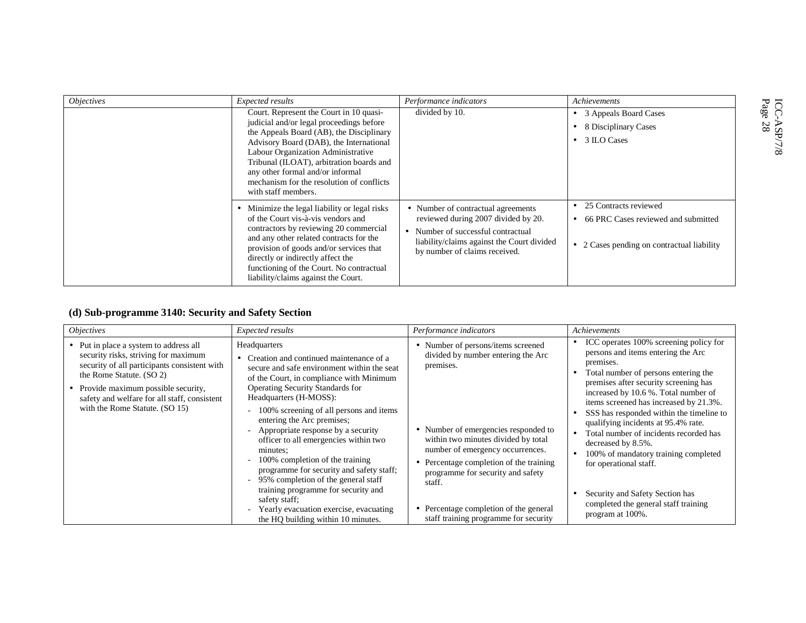| <i><b>Objectives</b></i> | Expected results                                                                                                                                                                                                                                                                                                                                                     | Performance indicators                                                                                                                                                                       | Achievements                                                                                               |                                          |
|--------------------------|----------------------------------------------------------------------------------------------------------------------------------------------------------------------------------------------------------------------------------------------------------------------------------------------------------------------------------------------------------------------|----------------------------------------------------------------------------------------------------------------------------------------------------------------------------------------------|------------------------------------------------------------------------------------------------------------|------------------------------------------|
|                          | Court. Represent the Court in 10 quasi-<br>judicial and/or legal proceedings before<br>the Appeals Board (AB), the Disciplinary<br>Advisory Board (DAB), the International<br>Labour Organization Administrative<br>Tribunal (ILOAT), arbitration boards and<br>any other formal and/or informal<br>mechanism for the resolution of conflicts<br>with staff members. | divided by 10.                                                                                                                                                                               | • 3 Appeals Board Cases<br>8 Disciplinary Cases<br>3 ILO Cases<br>$\bullet$                                | $\frac{IC}{Page}$<br>88<br>$\frac{8}{1}$ |
|                          | Minimize the legal liability or legal risks<br>of the Court vis-à-vis vendors and<br>contractors by reviewing 20 commercial<br>and any other related contracts for the<br>provision of goods and/or services that<br>directly or indirectly affect the<br>functioning of the Court. No contractual<br>liability/claims against the Court.                            | • Number of contractual agreements<br>reviewed during 2007 divided by 20.<br>Number of successful contractual<br>liability/claims against the Court divided<br>by number of claims received. | 25 Contracts reviewed<br>66 PRC Cases reviewed and submitted<br>• 2 Cases pending on contractual liability |                                          |

## **(d) Sub-programme 3140: Security and Safety Section**

| <i><b>Objectives</b></i>                                                                                                                                                                                                                                                           | Expected results                                                                                                                                                                                                                                                                                                                                                                                                                                                                                                                                                                                                                                                                          | Performance indicators                                                                                                                                                                                                                                                                                                                                                                | Achievements                                                                                                                                                                                                                                                                                                                                                                                                                                                                                                                                                                     |
|------------------------------------------------------------------------------------------------------------------------------------------------------------------------------------------------------------------------------------------------------------------------------------|-------------------------------------------------------------------------------------------------------------------------------------------------------------------------------------------------------------------------------------------------------------------------------------------------------------------------------------------------------------------------------------------------------------------------------------------------------------------------------------------------------------------------------------------------------------------------------------------------------------------------------------------------------------------------------------------|---------------------------------------------------------------------------------------------------------------------------------------------------------------------------------------------------------------------------------------------------------------------------------------------------------------------------------------------------------------------------------------|----------------------------------------------------------------------------------------------------------------------------------------------------------------------------------------------------------------------------------------------------------------------------------------------------------------------------------------------------------------------------------------------------------------------------------------------------------------------------------------------------------------------------------------------------------------------------------|
| • Put in place a system to address all<br>security risks, striving for maximum<br>security of all participants consistent with<br>the Rome Statute. (SO 2)<br>Provide maximum possible security,<br>safety and welfare for all staff, consistent<br>with the Rome Statute. (SO 15) | Headquarters<br>• Creation and continued maintenance of a<br>secure and safe environment within the seat<br>of the Court, in compliance with Minimum<br><b>Operating Security Standards for</b><br>Headquarters (H-MOSS):<br>100% screening of all persons and items<br>entering the Arc premises;<br>- Appropriate response by a security<br>officer to all emergencies within two<br>minutes:<br>100% completion of the training<br>programme for security and safety staff;<br>95% completion of the general staff<br>$\overline{\phantom{a}}$<br>training programme for security and<br>safety staff;<br>Yearly evacuation exercise, evacuating<br>the HQ building within 10 minutes. | • Number of persons/items screened<br>divided by number entering the Arc<br>premises.<br>• Number of emergencies responded to<br>within two minutes divided by total<br>number of emergency occurrences.<br>• Percentage completion of the training<br>programme for security and safety<br>staff.<br>• Percentage completion of the general<br>staff training programme for security | ICC operates 100% screening policy for<br>persons and items entering the Arc<br>premises.<br>Total number of persons entering the<br>premises after security screening has<br>increased by 10.6 %. Total number of<br>items screened has increased by 21.3%.<br>SSS has responded within the timeline to<br>qualifying incidents at 95.4% rate.<br>Total number of incidents recorded has<br>decreased by 8.5%.<br>100% of mandatory training completed<br>for operational staff.<br>Security and Safety Section has<br>completed the general staff training<br>program at 100%. |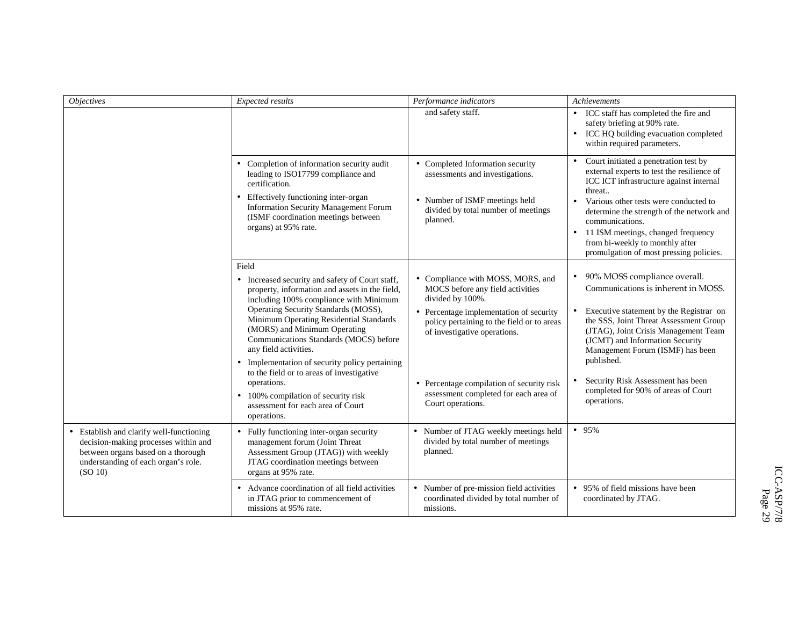| <b>Objectives</b>                                                                                                                                                        | Expected results                                                                                                                                                                                                                                                                                                                                                                                                                                                                                                                                    | Performance indicators                                                                                                                                                                                                                                                                                                        | Achievements                                                                                                                                                                                                                                                                                                                                                                       |
|--------------------------------------------------------------------------------------------------------------------------------------------------------------------------|-----------------------------------------------------------------------------------------------------------------------------------------------------------------------------------------------------------------------------------------------------------------------------------------------------------------------------------------------------------------------------------------------------------------------------------------------------------------------------------------------------------------------------------------------------|-------------------------------------------------------------------------------------------------------------------------------------------------------------------------------------------------------------------------------------------------------------------------------------------------------------------------------|------------------------------------------------------------------------------------------------------------------------------------------------------------------------------------------------------------------------------------------------------------------------------------------------------------------------------------------------------------------------------------|
|                                                                                                                                                                          |                                                                                                                                                                                                                                                                                                                                                                                                                                                                                                                                                     | and safety staff.                                                                                                                                                                                                                                                                                                             | • ICC staff has completed the fire and<br>safety briefing at 90% rate.<br>ICC HQ building evacuation completed<br>$\bullet$<br>within required parameters.                                                                                                                                                                                                                         |
|                                                                                                                                                                          | Completion of information security audit<br>$\bullet$<br>leading to ISO17799 compliance and<br>certification.<br>Effectively functioning inter-organ<br>Information Security Management Forum<br>(ISMF coordination meetings between<br>organs) at 95% rate.                                                                                                                                                                                                                                                                                        | • Completed Information security<br>assessments and investigations.<br>• Number of ISMF meetings held<br>divided by total number of meetings<br>planned.                                                                                                                                                                      | Court initiated a penetration test by<br>$\bullet$<br>external experts to test the resilience of<br>ICC ICT infrastructure against internal<br>threat<br>Various other tests were conducted to<br>$\bullet$<br>determine the strength of the network and<br>communications.<br>11 ISM meetings, changed frequency<br>$\bullet$<br>from bi-weekly to monthly after                  |
|                                                                                                                                                                          |                                                                                                                                                                                                                                                                                                                                                                                                                                                                                                                                                     |                                                                                                                                                                                                                                                                                                                               | promulgation of most pressing policies.                                                                                                                                                                                                                                                                                                                                            |
|                                                                                                                                                                          | Field<br>• Increased security and safety of Court staff,<br>property, information and assets in the field,<br>including 100% compliance with Minimum<br>Operating Security Standards (MOSS),<br>Minimum Operating Residential Standards<br>(MORS) and Minimum Operating<br>Communications Standards (MOCS) before<br>any field activities.<br>• Implementation of security policy pertaining<br>to the field or to areas of investigative<br>operations.<br>• 100% compilation of security risk<br>assessment for each area of Court<br>operations. | • Compliance with MOSS, MORS, and<br>MOCS before any field activities<br>divided by 100%.<br>• Percentage implementation of security<br>policy pertaining to the field or to areas<br>of investigative operations.<br>• Percentage compilation of security risk<br>assessment completed for each area of<br>Court operations. | • 90% MOSS compliance overall.<br>Communications is inherent in MOSS.<br>Executive statement by the Registrar on<br>the SSS, Joint Threat Assessment Group<br>(JTAG), Joint Crisis Management Team<br>(JCMT) and Information Security<br>Management Forum (ISMF) has been<br>published.<br>Security Risk Assessment has been<br>completed for 90% of areas of Court<br>operations. |
| • Establish and clarify well-functioning<br>decision-making processes within and<br>between organs based on a thorough<br>understanding of each organ's role.<br>(SO 10) | • Fully functioning inter-organ security<br>management forum (Joint Threat<br>Assessment Group (JTAG)) with weekly<br>JTAG coordination meetings between<br>organs at 95% rate.                                                                                                                                                                                                                                                                                                                                                                     | • Number of JTAG weekly meetings held<br>divided by total number of meetings<br>planned.                                                                                                                                                                                                                                      | • 95%                                                                                                                                                                                                                                                                                                                                                                              |
|                                                                                                                                                                          | • Advance coordination of all field activities<br>in JTAG prior to commencement of<br>missions at 95% rate.                                                                                                                                                                                                                                                                                                                                                                                                                                         | • Number of pre-mission field activities<br>coordinated divided by total number of<br>missions.                                                                                                                                                                                                                               | • 95% of field missions have been<br>coordinated by JTAG.                                                                                                                                                                                                                                                                                                                          |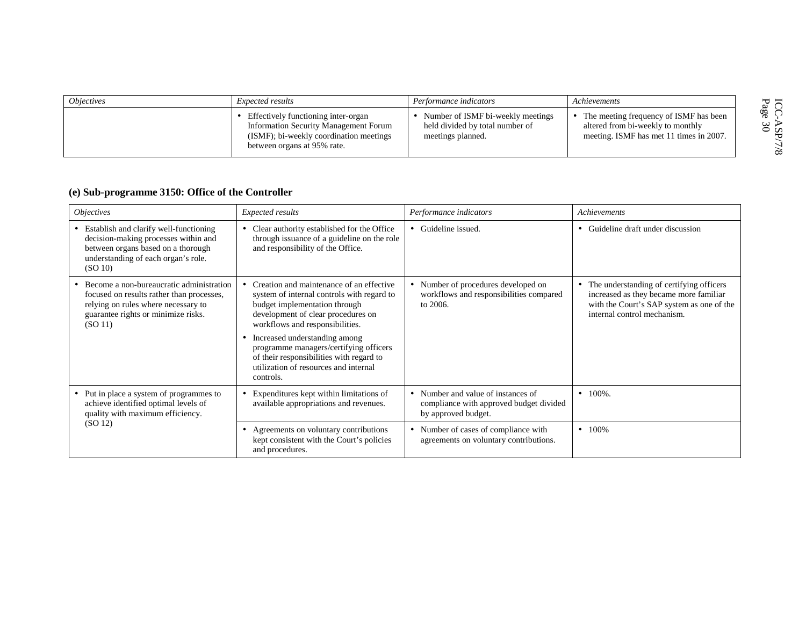| <i><b>Objectives</b></i> | <i>Expected results</i>                                                                                                                                | Performance indicators                                                                    | Achievements                                                                                                             |                         |
|--------------------------|--------------------------------------------------------------------------------------------------------------------------------------------------------|-------------------------------------------------------------------------------------------|--------------------------------------------------------------------------------------------------------------------------|-------------------------|
|                          | Effectively functioning inter-organ<br>Information Security Management Forum<br>(ISMF); bi-weekly coordination meetings<br>between organs at 95% rate. | Number of ISMF bi-weekly meetings<br>held divided by total number of<br>meetings planned. | • The meeting frequency of ISMF has been<br>altered from bi-weekly to monthly<br>meeting. ISMF has met 11 times in 2007. | ര റെ<br>ວ ທ<br>$\infty$ |

## **(e) Sub-programme 3150: Office of the Controller**

| <i><b>Objectives</b></i>                                                                                                                                                      | Expected results                                                                                                                                                                                                                                                                                                                                                                   | Performance indicators                                                                               | Achievements                                                                                                                                                     |
|-------------------------------------------------------------------------------------------------------------------------------------------------------------------------------|------------------------------------------------------------------------------------------------------------------------------------------------------------------------------------------------------------------------------------------------------------------------------------------------------------------------------------------------------------------------------------|------------------------------------------------------------------------------------------------------|------------------------------------------------------------------------------------------------------------------------------------------------------------------|
| Establish and clarify well-functioning<br>decision-making processes within and<br>between organs based on a thorough<br>understanding of each organ's role.<br>(SO 10)        | Clear authority established for the Office<br>٠<br>through issuance of a guideline on the role<br>and responsibility of the Office.                                                                                                                                                                                                                                                | • Guideline issued.                                                                                  | • Guideline draft under discussion                                                                                                                               |
| Become a non-bureaucratic administration<br>focused on results rather than processes,<br>relying on rules where necessary to<br>guarantee rights or minimize risks.<br>(SO11) | Creation and maintenance of an effective<br>system of internal controls with regard to<br>budget implementation through<br>development of clear procedures on<br>workflows and responsibilities.<br>Increased understanding among<br>٠<br>programme managers/certifying officers<br>of their responsibilities with regard to<br>utilization of resources and internal<br>controls. | • Number of procedures developed on<br>workflows and responsibilities compared<br>to $2006$ .        | • The understanding of certifying officers<br>increased as they became more familiar<br>with the Court's SAP system as one of the<br>internal control mechanism. |
| Put in place a system of programmes to<br>achieve identified optimal levels of<br>quality with maximum efficiency.                                                            | Expenditures kept within limitations of<br>٠<br>available appropriations and revenues.                                                                                                                                                                                                                                                                                             | • Number and value of instances of<br>compliance with approved budget divided<br>by approved budget. | $\bullet$ 100%.                                                                                                                                                  |
| (SO 12)                                                                                                                                                                       | Agreements on voluntary contributions<br>٠<br>kept consistent with the Court's policies<br>and procedures.                                                                                                                                                                                                                                                                         | • Number of cases of compliance with<br>agreements on voluntary contributions.                       | $\bullet$ 100%                                                                                                                                                   |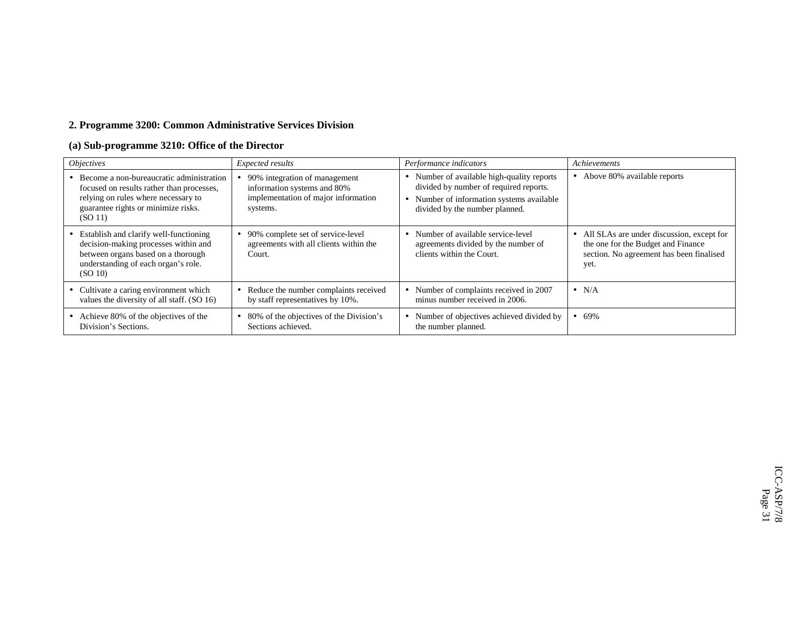## **2. Programme 3200: Common Administrative Services Division**

## **(a) Sub-programme 3210: Office of the Director**

| <i><b>Objectives</b></i>                                                                                                                                                         | Expected results                                                                                                | Performance indicators                                                                                                                                          | Achievements                                                                                                                          |
|----------------------------------------------------------------------------------------------------------------------------------------------------------------------------------|-----------------------------------------------------------------------------------------------------------------|-----------------------------------------------------------------------------------------------------------------------------------------------------------------|---------------------------------------------------------------------------------------------------------------------------------------|
| • Become a non-bureaucratic administration<br>focused on results rather than processes,<br>relying on rules where necessary to<br>guarantee rights or minimize risks.<br>(SO 11) | 90% integration of management<br>information systems and 80%<br>implementation of major information<br>systems. | Number of available high-quality reports<br>divided by number of required reports.<br>Number of information systems available<br>divided by the number planned. | • Above 80% available reports                                                                                                         |
| • Establish and clarify well-functioning<br>decision-making processes within and<br>between organs based on a thorough<br>understanding of each organ's role.<br>(SO 10)         | • 90% complete set of service-level<br>agreements with all clients within the<br>Court.                         | Number of available service-level<br>agreements divided by the number of<br>clients within the Court.                                                           | • All SLAs are under discussion, except for<br>the one for the Budget and Finance<br>section. No agreement has been finalised<br>yet. |
| • Cultivate a caring environment which<br>values the diversity of all staff. (SO 16)                                                                                             | Reduce the number complaints received<br>by staff representatives by 10%.                                       | Number of complaints received in 2007<br>minus number received in 2006.                                                                                         | $\bullet$ N/A                                                                                                                         |
| • Achieve 80% of the objectives of the<br>Division's Sections.                                                                                                                   | 80% of the objectives of the Division's<br>Sections achieved.                                                   | Number of objectives achieved divided by<br>the number planned.                                                                                                 | $• 69\%$                                                                                                                              |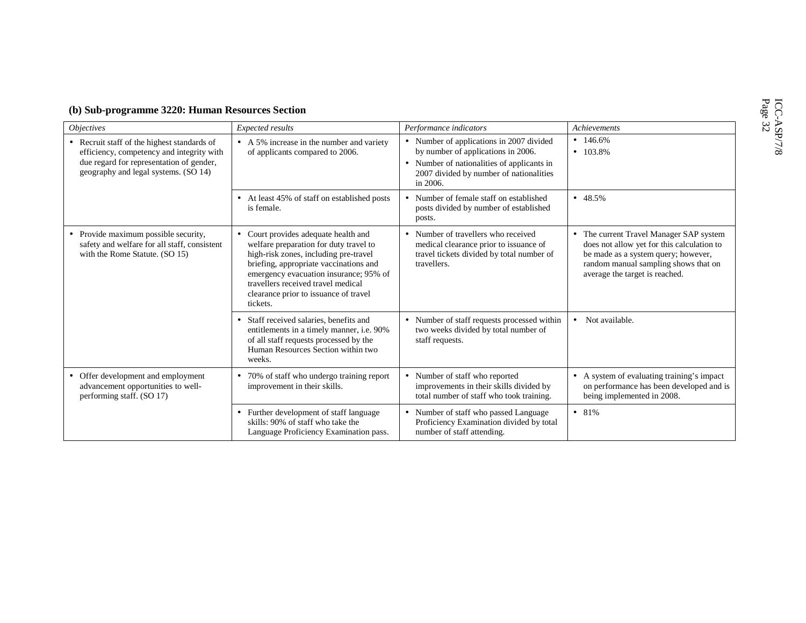| (b) Sub-programme 3220: Human Resources Section |  |  |  |
|-------------------------------------------------|--|--|--|
|-------------------------------------------------|--|--|--|

| <i><b>Objectives</b></i>                                                                                                                                                     | Expected results                                                                                                                                                                                                                                                                                       | Performance indicators                                                                                                                                                              | Achievements                                                                                                                                                                                           |
|------------------------------------------------------------------------------------------------------------------------------------------------------------------------------|--------------------------------------------------------------------------------------------------------------------------------------------------------------------------------------------------------------------------------------------------------------------------------------------------------|-------------------------------------------------------------------------------------------------------------------------------------------------------------------------------------|--------------------------------------------------------------------------------------------------------------------------------------------------------------------------------------------------------|
| • Recruit staff of the highest standards of<br>efficiency, competency and integrity with<br>due regard for representation of gender,<br>geography and legal systems. (SO 14) | • A 5% increase in the number and variety<br>of applicants compared to 2006.                                                                                                                                                                                                                           | • Number of applications in 2007 divided<br>by number of applications in 2006.<br>• Number of nationalities of applicants in<br>2007 divided by number of nationalities<br>in 2006. | $\bullet$ 146.6%<br>$\bullet$ 103.8%                                                                                                                                                                   |
|                                                                                                                                                                              | • At least 45% of staff on established posts<br>is female.                                                                                                                                                                                                                                             | Number of female staff on established<br>posts divided by number of established<br>posts.                                                                                           | • 48.5%                                                                                                                                                                                                |
| • Provide maximum possible security,<br>safety and welfare for all staff, consistent<br>with the Rome Statute. (SO 15)                                                       | • Court provides adequate health and<br>welfare preparation for duty travel to<br>high-risk zones, including pre-travel<br>briefing, appropriate vaccinations and<br>emergency evacuation insurance; 95% of<br>travellers received travel medical<br>clearance prior to issuance of travel<br>tickets. | • Number of travellers who received<br>medical clearance prior to issuance of<br>travel tickets divided by total number of<br>travellers.                                           | • The current Travel Manager SAP system<br>does not allow yet for this calculation to<br>be made as a system query; however,<br>random manual sampling shows that on<br>average the target is reached. |
|                                                                                                                                                                              | • Staff received salaries, benefits and<br>entitlements in a timely manner, i.e. 90%<br>of all staff requests processed by the<br>Human Resources Section within two<br>weeks.                                                                                                                         | • Number of staff requests processed within<br>two weeks divided by total number of<br>staff requests.                                                                              | Not available.<br>$\bullet$                                                                                                                                                                            |
| • Offer development and employment<br>advancement opportunities to well-<br>performing staff. (SO 17)                                                                        | • 70% of staff who undergo training report<br>improvement in their skills.                                                                                                                                                                                                                             | Number of staff who reported<br>improvements in their skills divided by<br>total number of staff who took training.                                                                 | A system of evaluating training's impact<br>$\bullet$<br>on performance has been developed and is<br>being implemented in 2008.                                                                        |
|                                                                                                                                                                              | • Further development of staff language<br>skills: 90% of staff who take the<br>Language Proficiency Examination pass.                                                                                                                                                                                 | Number of staff who passed Language<br>Proficiency Examination divided by total<br>number of staff attending.                                                                       | • 81%                                                                                                                                                                                                  |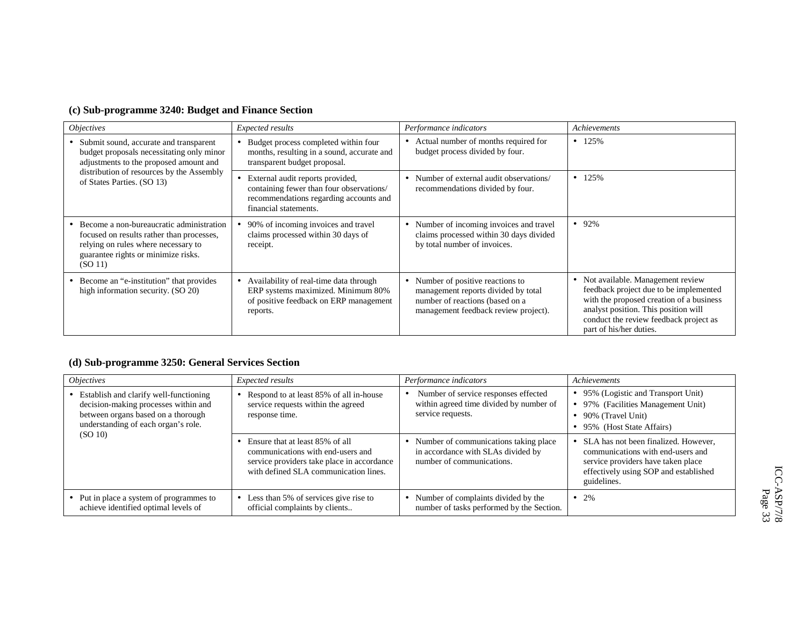| <i><b>Objectives</b></i>                                                                                                                                                                     | Expected results                                                                                                                                | Performance indicators                                                                                                                            | Achievements                                                                                                                                                                                                                          |
|----------------------------------------------------------------------------------------------------------------------------------------------------------------------------------------------|-------------------------------------------------------------------------------------------------------------------------------------------------|---------------------------------------------------------------------------------------------------------------------------------------------------|---------------------------------------------------------------------------------------------------------------------------------------------------------------------------------------------------------------------------------------|
| • Submit sound, accurate and transparent<br>budget proposals necessitating only minor<br>adjustments to the proposed amount and                                                              | Budget process completed within four<br>months, resulting in a sound, accurate and<br>transparent budget proposal.                              | Actual number of months required for<br>budget process divided by four.                                                                           | $\bullet$ 125%                                                                                                                                                                                                                        |
| distribution of resources by the Assembly<br>of States Parties. (SO 13)                                                                                                                      | External audit reports provided,<br>containing fewer than four observations/<br>recommendations regarding accounts and<br>financial statements. | Number of external audit observations/<br>recommendations divided by four.                                                                        | $\bullet$ 125%                                                                                                                                                                                                                        |
| • Become a non-bureaucratic administration<br>focused on results rather than processes,<br>relying on rules where necessary to<br>guarantee rights or minimize risks.<br>(SO <sub>11</sub> ) | 90% of incoming invoices and travel<br>claims processed within 30 days of<br>receipt.                                                           | • Number of incoming invoices and travel<br>claims processed within 30 days divided<br>by total number of invoices.                               | $• 92\%$                                                                                                                                                                                                                              |
| • Become an "e-institution" that provides<br>high information security. (SO 20)                                                                                                              | Availability of real-time data through<br>ERP systems maximized. Minimum 80%<br>of positive feedback on ERP management<br>reports.              | Number of positive reactions to<br>management reports divided by total<br>number of reactions (based on a<br>management feedback review project). | • Not available. Management review<br>feedback project due to be implemented<br>with the proposed creation of a business<br>analyst position. This position will<br>conduct the review feedback project as<br>part of his/her duties. |

## **(d) Sub-programme 3250: General Services Section**

|  | <i><b>Objectives</b></i>                                                                                                                                      | Expected results                                                                                                                                            | Performance indicators                                                                                   | Achievements                                                                                                                                                              |
|--|---------------------------------------------------------------------------------------------------------------------------------------------------------------|-------------------------------------------------------------------------------------------------------------------------------------------------------------|----------------------------------------------------------------------------------------------------------|---------------------------------------------------------------------------------------------------------------------------------------------------------------------------|
|  | • Establish and clarify well-functioning<br>decision-making processes within and<br>between organs based on a thorough<br>understanding of each organ's role. | Respond to at least 85% of all in-house<br>service requests within the agreed<br>response time.                                                             | Number of service responses effected<br>within agreed time divided by number of<br>service requests.     | • 95% (Logistic and Transport Unit)<br>• 97% (Facilities Management Unit)<br>$\bullet$ 90% (Travel Unit)<br>• 95% (Host State Affairs)                                    |
|  | (SO 10)                                                                                                                                                       | Ensure that at least 85% of all<br>communications with end-users and<br>service providers take place in accordance<br>with defined SLA communication lines. | Number of communications taking place<br>in accordance with SLAs divided by<br>number of communications. | • SLA has not been finalized. However,<br>communications with end-users and<br>service providers have taken place<br>effectively using SOP and established<br>guidelines. |
|  | • Put in place a system of programmes to<br>achieve identified optimal levels of                                                                              | Less than 5% of services give rise to<br>official complaints by clients                                                                                     | Number of complaints divided by the<br>number of tasks performed by the Section.                         | $\bullet$ 2%                                                                                                                                                              |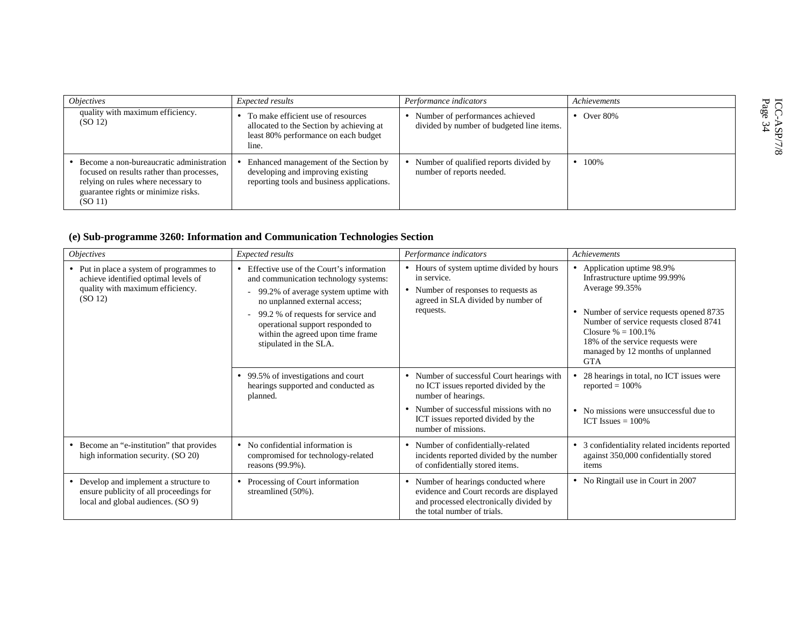| <i><b>Objectives</b></i>                                                                                                                                                       | Expected results                                                                                                                | Performance indicators                                                       | Achievements       |                                |
|--------------------------------------------------------------------------------------------------------------------------------------------------------------------------------|---------------------------------------------------------------------------------------------------------------------------------|------------------------------------------------------------------------------|--------------------|--------------------------------|
| quality with maximum efficiency.<br>(SO <sub>12</sub> )                                                                                                                        | To make efficient use of resources<br>allocated to the Section by achieving at<br>least 80% performance on each budget<br>line. | Number of performances achieved<br>divided by number of budgeted line items. | $\bullet$ Over 80% | ICC-<br>Page<br>$\frac{8}{34}$ |
| Become a non-bureaucratic administration<br>focused on results rather than processes,<br>relying on rules where necessary to<br>guarantee rights or minimize risks.<br>(SO 11) | Enhanced management of the Section by<br>developing and improving existing<br>reporting tools and business applications.        | Number of qualified reports divided by<br>number of reports needed.          | $\bullet$ 100%     |                                |

## **(e) Sub-programme 3260: Information and Communication Technologies Section**

| <i>Objectives</i>                                                                                                                           | Expected results                                                                                                                                                                                                                                                                                     | Performance indicators                                                                                                                                                                                                      | Achievements                                                                                                                                                                                                                                                                       |
|---------------------------------------------------------------------------------------------------------------------------------------------|------------------------------------------------------------------------------------------------------------------------------------------------------------------------------------------------------------------------------------------------------------------------------------------------------|-----------------------------------------------------------------------------------------------------------------------------------------------------------------------------------------------------------------------------|------------------------------------------------------------------------------------------------------------------------------------------------------------------------------------------------------------------------------------------------------------------------------------|
| • Put in place a system of programmes to<br>achieve identified optimal levels of<br>quality with maximum efficiency.<br>(SO <sub>12</sub> ) | • Effective use of the Court's information<br>and communication technology systems:<br>99.2% of average system uptime with<br>no unplanned external access;<br>99.2 % of requests for service and<br>operational support responded to<br>within the agreed upon time frame<br>stipulated in the SLA. | Hours of system uptime divided by hours<br>in service.<br>Number of responses to requests as<br>agreed in SLA divided by number of<br>requests.                                                                             | • Application uptime 98.9%<br>Infrastructure uptime 99.99%<br>Average 99.35%<br>• Number of service requests opened 8735<br>Number of service requests closed 8741<br>Closure $% = 100.1\%$<br>18% of the service requests were<br>managed by 12 months of unplanned<br><b>GTA</b> |
|                                                                                                                                             | • 99.5% of investigations and court<br>hearings supported and conducted as<br>planned.                                                                                                                                                                                                               | Number of successful Court hearings with<br>$\bullet$<br>no ICT issues reported divided by the<br>number of hearings.<br>Number of successful missions with no<br>ICT issues reported divided by the<br>number of missions. | 28 hearings in total, no ICT issues were<br>٠<br>reported $= 100\%$<br>• No missions were unsuccessful due to<br>ICT Issues $= 100\%$                                                                                                                                              |
| Become an "e-institution" that provides<br>$\bullet$<br>high information security. (SO 20)                                                  | • No confidential information is<br>compromised for technology-related<br>reasons (99.9%).                                                                                                                                                                                                           | • Number of confidentially-related<br>incidents reported divided by the number<br>of confidentially stored items.                                                                                                           | 3 confidentiality related incidents reported<br>$\bullet$<br>against 350,000 confidentially stored<br>items                                                                                                                                                                        |
| • Develop and implement a structure to<br>ensure publicity of all proceedings for<br>local and global audiences. (SO 9)                     | Processing of Court information<br>streamlined (50%).                                                                                                                                                                                                                                                | • Number of hearings conducted where<br>evidence and Court records are displayed<br>and processed electronically divided by<br>the total number of trials.                                                                  | • No Ringtail use in Court in 2007                                                                                                                                                                                                                                                 |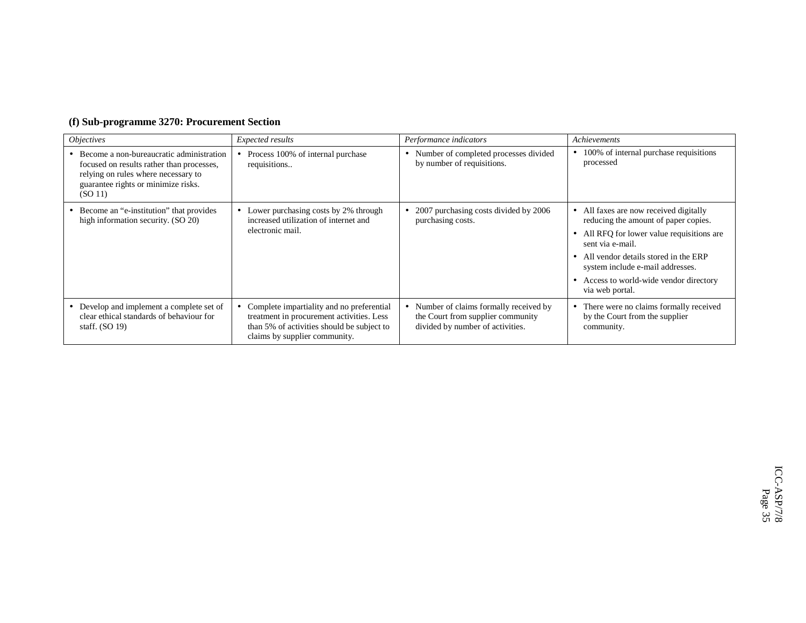|  | (f) Sub-programme 3270: Procurement Section |  |  |  |
|--|---------------------------------------------|--|--|--|
|--|---------------------------------------------|--|--|--|

| <i><b>Objectives</b></i>                                                                                                                                                       | Expected results                                                                                                                                                      | Performance indicators                                                                                                      | Achievements                                                                                                                                                                                                                                                                                 |
|--------------------------------------------------------------------------------------------------------------------------------------------------------------------------------|-----------------------------------------------------------------------------------------------------------------------------------------------------------------------|-----------------------------------------------------------------------------------------------------------------------------|----------------------------------------------------------------------------------------------------------------------------------------------------------------------------------------------------------------------------------------------------------------------------------------------|
| Become a non-bureaucratic administration<br>focused on results rather than processes,<br>relying on rules where necessary to<br>guarantee rights or minimize risks.<br>(SO 11) | Process 100% of internal purchase<br>requisitions                                                                                                                     | Number of completed processes divided<br>by number of requisitions.                                                         | • 100% of internal purchase requisitions<br>processed                                                                                                                                                                                                                                        |
| Become an "e-institution" that provides<br>high information security. (SO 20)                                                                                                  | • Lower purchasing costs by 2% through<br>increased utilization of internet and<br>electronic mail.                                                                   | 2007 purchasing costs divided by 2006<br>purchasing costs.                                                                  | • All faxes are now received digitally<br>reducing the amount of paper copies.<br>• All RFQ for lower value requisitions are<br>sent via e-mail.<br>• All vendor details stored in the ERP<br>system include e-mail addresses.<br>• Access to world-wide vendor directory<br>via web portal. |
| • Develop and implement a complete set of<br>clear ethical standards of behaviour for<br>staff. $(SO 19)$                                                                      | Complete impartiality and no preferential<br>treatment in procurement activities. Less<br>than 5% of activities should be subject to<br>claims by supplier community. | Number of claims formally received by<br>$\bullet$<br>the Court from supplier community<br>divided by number of activities. | • There were no claims formally received<br>by the Court from the supplier<br>community.                                                                                                                                                                                                     |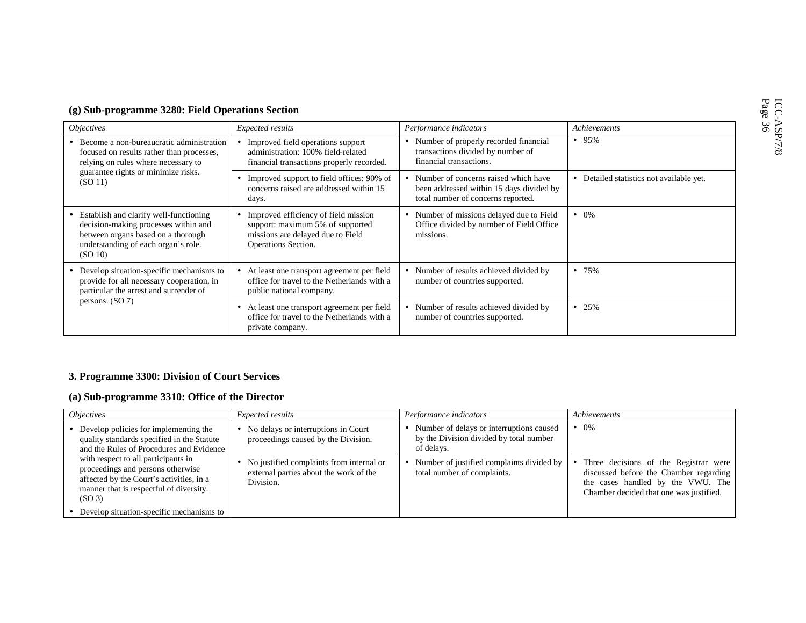| (g) Sub-programme 3280: Field Operations Section |  |  |
|--------------------------------------------------|--|--|
|                                                  |  |  |

| <i><b>Objectives</b></i>                                                                                                                                                         | Expected results                                                                                                                       | Performance indicators                                                                                                 | Achievements                             |
|----------------------------------------------------------------------------------------------------------------------------------------------------------------------------------|----------------------------------------------------------------------------------------------------------------------------------------|------------------------------------------------------------------------------------------------------------------------|------------------------------------------|
| • Become a non-bureaucratic administration<br>focused on results rather than processes,<br>relying on rules where necessary to<br>guarantee rights or minimize risks.<br>(SO 11) | Improved field operations support<br>administration: 100% field-related<br>financial transactions properly recorded.                   | • Number of properly recorded financial<br>transactions divided by number of<br>financial transactions.                | $• 95\%$                                 |
|                                                                                                                                                                                  | • Improved support to field offices: 90% of<br>concerns raised are addressed within 15<br>days.                                        | Number of concerns raised which have<br>been addressed within 15 days divided by<br>total number of concerns reported. | • Detailed statistics not available yet. |
| • Establish and clarify well-functioning<br>decision-making processes within and<br>between organs based on a thorough<br>understanding of each organ's role.<br>(SO 10)         | • Improved efficiency of field mission<br>support: maximum 5% of supported<br>missions are delayed due to Field<br>Operations Section. | • Number of missions delayed due to Field<br>Office divided by number of Field Office<br>missions.                     | $\bullet$ 0%                             |
| • Develop situation-specific mechanisms to<br>provide for all necessary cooperation, in<br>particular the arrest and surrender of<br>persons. $(SO 7)$                           | At least one transport agreement per field<br>office for travel to the Netherlands with a<br>public national company.                  | Number of results achieved divided by<br>number of countries supported.                                                | • 75%                                    |
|                                                                                                                                                                                  | At least one transport agreement per field<br>office for travel to the Netherlands with a<br>private company.                          | Number of results achieved divided by<br>number of countries supported.                                                | • 25%                                    |

## **3. Programme 3300: Division of Court Services**

## **(a) Sub-programme 3310: Office of the Director**

| <i><b>Objectives</b></i>                                                                                                                                                              | <i>Expected results</i>                                                                         | Performance indicators                                                                            | Achievements                                                                                                                                                    |
|---------------------------------------------------------------------------------------------------------------------------------------------------------------------------------------|-------------------------------------------------------------------------------------------------|---------------------------------------------------------------------------------------------------|-----------------------------------------------------------------------------------------------------------------------------------------------------------------|
| • Develop policies for implementing the<br>quality standards specified in the Statute<br>and the Rules of Procedures and Evidence                                                     | No delays or interruptions in Court<br>proceedings caused by the Division.                      | Number of delays or interruptions caused<br>by the Division divided by total number<br>of delays. | $\bullet$ 0\%                                                                                                                                                   |
| with respect to all participants in<br>proceedings and persons otherwise<br>affected by the Court's activities, in a<br>manner that is respectful of diversity.<br>(SO <sub>3</sub> ) | No justified complaints from internal or<br>external parties about the work of the<br>Division. | Number of justified complaints divided by<br>total number of complaints.                          | Three decisions of the Registrar were<br>discussed before the Chamber regarding<br>the cases handled by the VWU. The<br>Chamber decided that one was justified. |
| • Develop situation-specific mechanisms to                                                                                                                                            |                                                                                                 |                                                                                                   |                                                                                                                                                                 |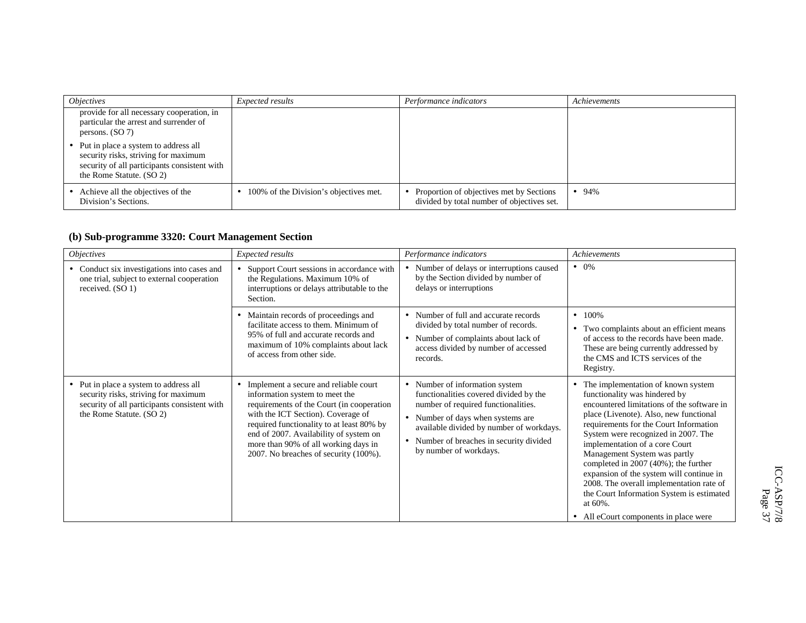| <i><b>Objectives</b></i>                                                                                                                                   | Expected results                       | Performance indicators                                                                 | Achievements |
|------------------------------------------------------------------------------------------------------------------------------------------------------------|----------------------------------------|----------------------------------------------------------------------------------------|--------------|
| provide for all necessary cooperation, in<br>particular the arrest and surrender of<br>persons. $(SO 7)$                                                   |                                        |                                                                                        |              |
| • Put in place a system to address all<br>security risks, striving for maximum<br>security of all participants consistent with<br>the Rome Statute. (SO 2) |                                        |                                                                                        |              |
| Achieve all the objectives of the<br>Division's Sections.                                                                                                  | 100% of the Division's objectives met. | Proportion of objectives met by Sections<br>divided by total number of objectives set. | • 94%        |

## **(b) Sub-programme 3320: Court Management Section**

| <i><b>Objectives</b></i>                                                                                                                                   | Expected results                                                                                                                                                                                                                                                                                                                   | Performance indicators                                                                                                                                                                                                                                                            | Achievements                                                                                                                                                                                                                                                                                                                                                                                                                                                                                                                                          |
|------------------------------------------------------------------------------------------------------------------------------------------------------------|------------------------------------------------------------------------------------------------------------------------------------------------------------------------------------------------------------------------------------------------------------------------------------------------------------------------------------|-----------------------------------------------------------------------------------------------------------------------------------------------------------------------------------------------------------------------------------------------------------------------------------|-------------------------------------------------------------------------------------------------------------------------------------------------------------------------------------------------------------------------------------------------------------------------------------------------------------------------------------------------------------------------------------------------------------------------------------------------------------------------------------------------------------------------------------------------------|
| • Conduct six investigations into cases and<br>one trial, subject to external cooperation<br>received. (SO 1)                                              | Support Court sessions in accordance with<br>the Regulations. Maximum 10% of<br>interruptions or delays attributable to the<br>Section.                                                                                                                                                                                            | • Number of delays or interruptions caused<br>by the Section divided by number of<br>delays or interruptions                                                                                                                                                                      | $\bullet$ 0\%                                                                                                                                                                                                                                                                                                                                                                                                                                                                                                                                         |
|                                                                                                                                                            | Maintain records of proceedings and<br>$\bullet$<br>facilitate access to them. Minimum of<br>95% of full and accurate records and<br>maximum of 10% complaints about lack<br>of access from other side.                                                                                                                            | • Number of full and accurate records<br>divided by total number of records.<br>• Number of complaints about lack of<br>access divided by number of accessed<br>records.                                                                                                          | $-100\%$<br>• Two complaints about an efficient means<br>of access to the records have been made.<br>These are being currently addressed by<br>the CMS and ICTS services of the<br>Registry.                                                                                                                                                                                                                                                                                                                                                          |
| • Put in place a system to address all<br>security risks, striving for maximum<br>security of all participants consistent with<br>the Rome Statute. (SO 2) | Implement a secure and reliable court<br>information system to meet the<br>requirements of the Court (in cooperation<br>with the ICT Section). Coverage of<br>required functionality to at least 80% by<br>end of 2007. Availability of system on<br>more than 90% of all working days in<br>2007. No breaches of security (100%). | • Number of information system<br>functionalities covered divided by the<br>number of required functionalities.<br>• Number of days when systems are<br>available divided by number of workdays.<br>Number of breaches in security divided<br>$\bullet$<br>by number of workdays. | • The implementation of known system<br>functionality was hindered by<br>encountered limitations of the software in<br>place (Livenote). Also, new functional<br>requirements for the Court Information<br>System were recognized in 2007. The<br>implementation of a core Court<br>Management System was partly<br>completed in $2007 (40\%)$ ; the further<br>expansion of the system will continue in<br>2008. The overall implementation rate of<br>the Court Information System is estimated<br>at 60%.<br>• All eCourt components in place were |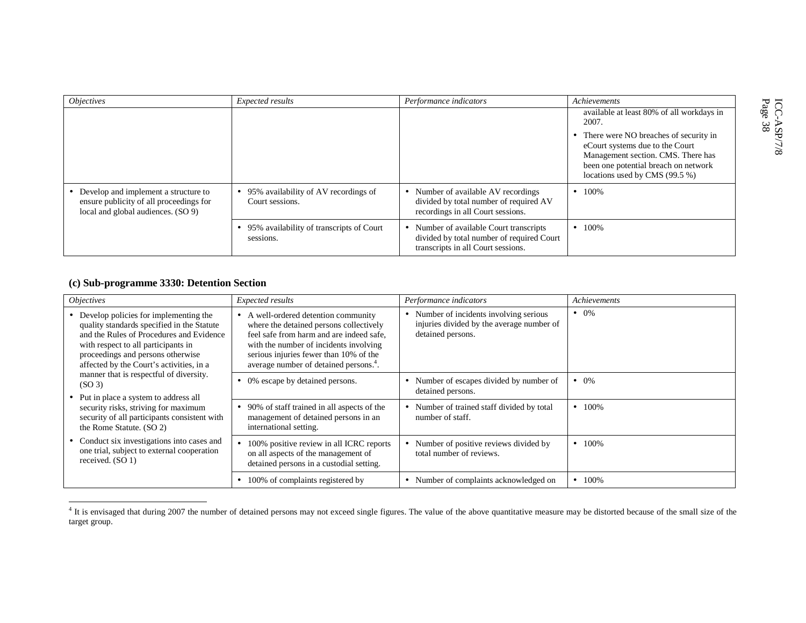| <i><b>Objectives</b></i>                                                                                                | Expected results                                        | Performance indicators                                                                                                   | Achievements                                                                                                                                                                                                                                     |                                            |
|-------------------------------------------------------------------------------------------------------------------------|---------------------------------------------------------|--------------------------------------------------------------------------------------------------------------------------|--------------------------------------------------------------------------------------------------------------------------------------------------------------------------------------------------------------------------------------------------|--------------------------------------------|
|                                                                                                                         |                                                         |                                                                                                                          | available at least 80% of all workdays in<br>2007.<br>• There were NO breaches of security in<br>eCourt systems due to the Court<br>Management section. CMS. There has<br>been one potential breach on network<br>locations used by CMS (99.5 %) | ICC-<br>Page<br>$\frac{8}{8}$<br>$\approx$ |
| • Develop and implement a structure to<br>ensure publicity of all proceedings for<br>local and global audiences. (SO 9) | 95% availability of AV recordings of<br>Court sessions. | Number of available AV recordings<br>divided by total number of required AV<br>recordings in all Court sessions.         | $\bullet$ 100%                                                                                                                                                                                                                                   |                                            |
|                                                                                                                         | 95% availability of transcripts of Court<br>sessions.   | Number of available Court transcripts<br>divided by total number of required Court<br>transcripts in all Court sessions. | $\bullet$ 100%                                                                                                                                                                                                                                   |                                            |

## **(c) Sub-programme 3330: Detention Section**

| <i><b>Objectives</b></i>                                                                                                                                                                                                                                                                                                                                                                                                                                                                 | Expected results                                                                                                                                                                                                                                                    | Performance indicators                                                                                               | Achievements   |
|------------------------------------------------------------------------------------------------------------------------------------------------------------------------------------------------------------------------------------------------------------------------------------------------------------------------------------------------------------------------------------------------------------------------------------------------------------------------------------------|---------------------------------------------------------------------------------------------------------------------------------------------------------------------------------------------------------------------------------------------------------------------|----------------------------------------------------------------------------------------------------------------------|----------------|
| • Develop policies for implementing the<br>quality standards specified in the Statute<br>and the Rules of Procedures and Evidence<br>with respect to all participants in<br>proceedings and persons otherwise<br>affected by the Court's activities, in a<br>manner that is respectful of diversity.<br>(SO <sub>3</sub> )<br>• Put in place a system to address all<br>security risks, striving for maximum<br>security of all participants consistent with<br>the Rome Statute. (SO 2) | A well-ordered detention community<br>where the detained persons collectively<br>feel safe from harm and are indeed safe.<br>with the number of incidents involving<br>serious injuries fewer than 10% of the<br>average number of detained persons. <sup>4</sup> . | Number of incidents involving serious<br>$\bullet$<br>injuries divided by the average number of<br>detained persons. | $\bullet$ 0%   |
|                                                                                                                                                                                                                                                                                                                                                                                                                                                                                          | 0% escape by detained persons.                                                                                                                                                                                                                                      | Number of escapes divided by number of<br>detained persons.                                                          | $\bullet$ 0%   |
|                                                                                                                                                                                                                                                                                                                                                                                                                                                                                          | 90% of staff trained in all aspects of the<br>management of detained persons in an<br>international setting.                                                                                                                                                        | • Number of trained staff divided by total<br>number of staff.                                                       | $\bullet$ 100% |
| • Conduct six investigations into cases and<br>one trial, subject to external cooperation<br>received. (SO 1)                                                                                                                                                                                                                                                                                                                                                                            | 100% positive review in all ICRC reports<br>on all aspects of the management of<br>detained persons in a custodial setting.                                                                                                                                         | • Number of positive reviews divided by<br>total number of reviews.                                                  | $\bullet$ 100% |
|                                                                                                                                                                                                                                                                                                                                                                                                                                                                                          | 100% of complaints registered by                                                                                                                                                                                                                                    | • Number of complaints acknowledged on                                                                               | $\bullet$ 100% |

<sup>&</sup>lt;sup>4</sup> It is envisaged that during 2007 the number of detained persons may not exceed single figures. The value of the above quantitative measure may be distorted because of the small size of the target group.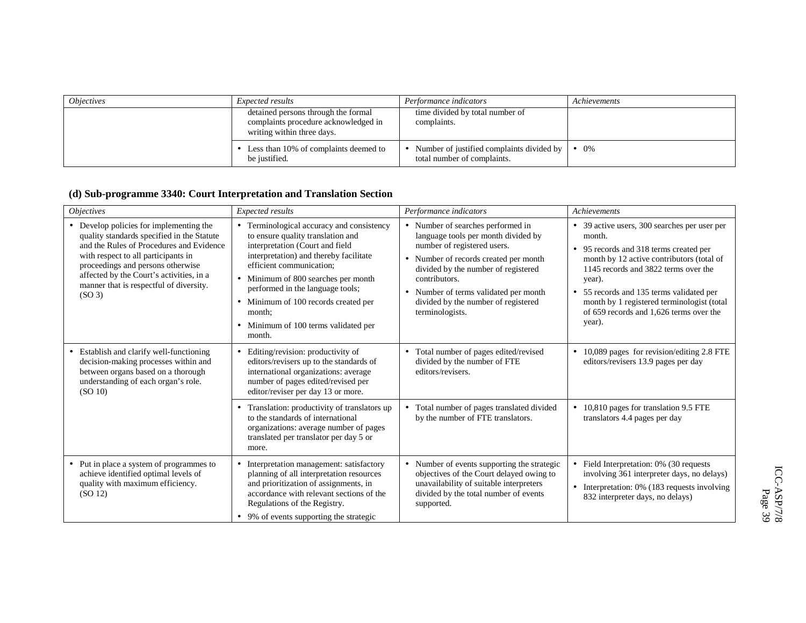| <i><b>Objectives</b></i> | <i>Expected results</i>                                                                                   | Performance indicators                                                   | Achievements  |
|--------------------------|-----------------------------------------------------------------------------------------------------------|--------------------------------------------------------------------------|---------------|
|                          | detained persons through the formal<br>complaints procedure acknowledged in<br>writing within three days. | time divided by total number of<br>complaints.                           |               |
|                          | • Less than 10% of complaints deemed to<br>be justified.                                                  | Number of justified complaints divided by<br>total number of complaints. | $\bullet$ 0\% |

## **(d) Sub-programme 3340: Court Interpretation and Translation Section**

| <i><b>Objectives</b></i>                                                                                                                                                                                                                                                                                                   | <b>Expected results</b>                                                                                                                                                                                                                                                                                                                                                       | Performance indicators                                                                                                                                                                                                                                                                                      | Achievements                                                                                                                                                                                                                                                                                                                                   |
|----------------------------------------------------------------------------------------------------------------------------------------------------------------------------------------------------------------------------------------------------------------------------------------------------------------------------|-------------------------------------------------------------------------------------------------------------------------------------------------------------------------------------------------------------------------------------------------------------------------------------------------------------------------------------------------------------------------------|-------------------------------------------------------------------------------------------------------------------------------------------------------------------------------------------------------------------------------------------------------------------------------------------------------------|------------------------------------------------------------------------------------------------------------------------------------------------------------------------------------------------------------------------------------------------------------------------------------------------------------------------------------------------|
| • Develop policies for implementing the<br>quality standards specified in the Statute<br>and the Rules of Procedures and Evidence<br>with respect to all participants in<br>proceedings and persons otherwise<br>affected by the Court's activities, in a<br>manner that is respectful of diversity.<br>(SO <sub>3</sub> ) | Terminological accuracy and consistency<br>to ensure quality translation and<br>interpretation (Court and field<br>interpretation) and thereby facilitate<br>efficient communication;<br>Minimum of 800 searches per month<br>performed in the language tools;<br>Minimum of 100 records created per<br>$\bullet$<br>month:<br>• Minimum of 100 terms validated per<br>month. | • Number of searches performed in<br>language tools per month divided by<br>number of registered users.<br>• Number of records created per month<br>divided by the number of registered<br>contributors.<br>• Number of terms validated per month<br>divided by the number of registered<br>terminologists. | • 39 active users, 300 searches per user per<br>month.<br>• 95 records and 318 terms created per<br>month by 12 active contributors (total of<br>1145 records and 3822 terms over the<br>year).<br>• 55 records and 135 terms validated per<br>month by 1 registered terminologist (total<br>of 659 records and 1,626 terms over the<br>year). |
| Establish and clarify well-functioning<br>decision-making processes within and<br>between organs based on a thorough<br>understanding of each organ's role.<br>(SO 10)                                                                                                                                                     | Editing/revision: productivity of<br>editors/revisers up to the standards of<br>international organizations: average<br>number of pages edited/revised per<br>editor/reviser per day 13 or more.                                                                                                                                                                              | • Total number of pages edited/revised<br>divided by the number of FTE<br>editors/revisers.                                                                                                                                                                                                                 | • 10,089 pages for revision/editing 2.8 FTE<br>editors/revisers 13.9 pages per day                                                                                                                                                                                                                                                             |
|                                                                                                                                                                                                                                                                                                                            | Translation: productivity of translators up<br>٠<br>to the standards of international<br>organizations: average number of pages<br>translated per translator per day 5 or<br>more.                                                                                                                                                                                            | • Total number of pages translated divided<br>by the number of FTE translators.                                                                                                                                                                                                                             | • 10,810 pages for translation 9.5 FTE<br>translators 4.4 pages per day                                                                                                                                                                                                                                                                        |
| • Put in place a system of programmes to<br>achieve identified optimal levels of<br>quality with maximum efficiency.<br>(SO 12)                                                                                                                                                                                            | Interpretation management: satisfactory<br>planning of all interpretation resources<br>and prioritization of assignments, in<br>accordance with relevant sections of the<br>Regulations of the Registry.<br>• 9% of events supporting the strategic                                                                                                                           | • Number of events supporting the strategic<br>objectives of the Court delayed owing to<br>unavailability of suitable interpreters<br>divided by the total number of events<br>supported.                                                                                                                   | • Field Interpretation: $0\%$ (30 requests<br>involving 361 interpreter days, no delays)<br>• Interpretation: $0\%$ (183 requests involving<br>832 interpreter days, no delays)                                                                                                                                                                |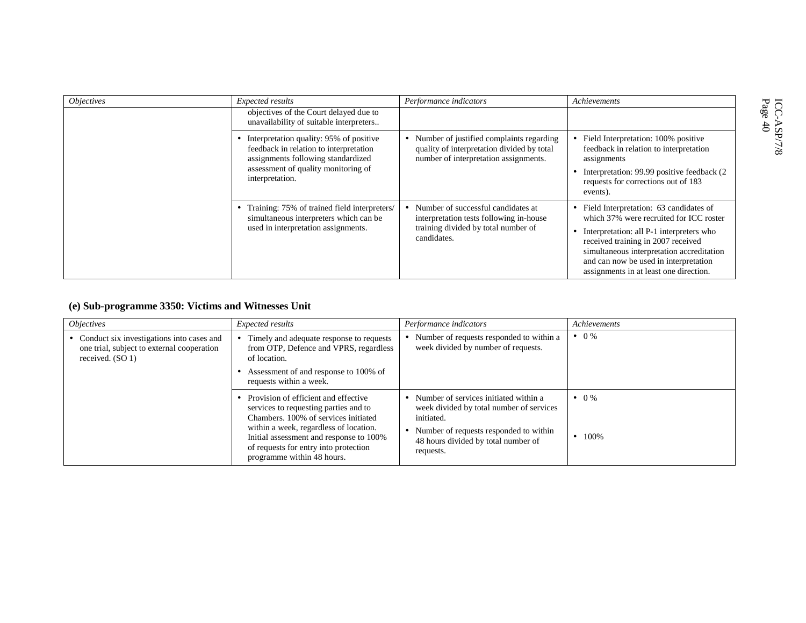| <i><b>Objectives</b></i> | Expected results                                                                                                              | Performance indicators                                                                                                              | Achievements                                                                                                                                                                                                                                                                                          |
|--------------------------|-------------------------------------------------------------------------------------------------------------------------------|-------------------------------------------------------------------------------------------------------------------------------------|-------------------------------------------------------------------------------------------------------------------------------------------------------------------------------------------------------------------------------------------------------------------------------------------------------|
|                          | objectives of the Court delayed due to<br>unavailability of suitable interpreters                                             |                                                                                                                                     |                                                                                                                                                                                                                                                                                                       |
|                          | Interpretation quality: 95% of positive<br>feedback in relation to interpretation<br>assignments following standardized       | Number of justified complaints regarding<br>quality of interpretation divided by total<br>number of interpretation assignments.     | • Field Interpretation: 100% positive<br>feedback in relation to interpretation<br>assignments                                                                                                                                                                                                        |
|                          | assessment of quality monitoring of<br>interpretation.                                                                        |                                                                                                                                     | Interpretation: 99.99 positive feedback (2)<br>requests for corrections out of 183<br>events).                                                                                                                                                                                                        |
|                          | Training: 75% of trained field interpreters/<br>simultaneous interpreters which can be<br>used in interpretation assignments. | Number of successful candidates at<br>interpretation tests following in-house<br>training divided by total number of<br>candidates. | • Field Interpretation: 63 candidates of<br>which 37% were recruited for ICC roster<br>Interpretation: all P-1 interpreters who<br>received training in 2007 received<br>simultaneous interpretation accreditation<br>and can now be used in interpretation<br>assignments in at least one direction. |

## **(e) Sub-programme 3350: Victims and Witnesses Unit**

| <i>Objectives</i>                                                                                              | Expected results                                                                                                                                                                                                                                                                  | Performance indicators                                                                                                                                                                        | Achievements                    |
|----------------------------------------------------------------------------------------------------------------|-----------------------------------------------------------------------------------------------------------------------------------------------------------------------------------------------------------------------------------------------------------------------------------|-----------------------------------------------------------------------------------------------------------------------------------------------------------------------------------------------|---------------------------------|
| • Conduct six investigations into cases and<br>one trial, subject to external cooperation<br>received. $(SO1)$ | Timely and adequate response to requests<br>from OTP, Defence and VPRS, regardless<br>of location.<br>Assessment of and response to 100% of<br>requests within a week.                                                                                                            | Number of requests responded to within a<br>week divided by number of requests.                                                                                                               | $\bullet$ 0 %                   |
|                                                                                                                | Provision of efficient and effective<br>services to requesting parties and to<br>Chambers. 100% of services initiated<br>within a week, regardless of location.<br>Initial assessment and response to 100%<br>of requests for entry into protection<br>programme within 48 hours. | Number of services initiated within a<br>week divided by total number of services<br>initiated.<br>Number of requests responded to within<br>48 hours divided by total number of<br>requests. | $\bullet$ 0 %<br>$\bullet$ 100% |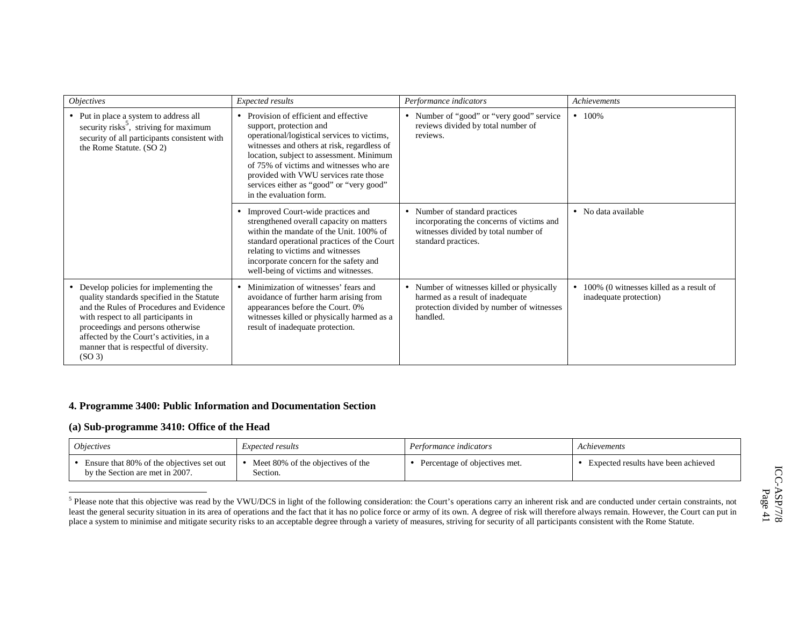| <i><b>Objectives</b></i>                                                                                                                                                                                                                                                                                                   | Expected results                                                                                                                                                                                                                                                                                                                                                       | Performance indicators                                                                                                                     | Achievements                                                      |
|----------------------------------------------------------------------------------------------------------------------------------------------------------------------------------------------------------------------------------------------------------------------------------------------------------------------------|------------------------------------------------------------------------------------------------------------------------------------------------------------------------------------------------------------------------------------------------------------------------------------------------------------------------------------------------------------------------|--------------------------------------------------------------------------------------------------------------------------------------------|-------------------------------------------------------------------|
| • Put in place a system to address all<br>security risks <sup>5</sup> , striving for maximum<br>security of all participants consistent with<br>the Rome Statute. (SO 2)                                                                                                                                                   | • Provision of efficient and effective<br>support, protection and<br>operational/logistical services to victims,<br>witnesses and others at risk, regardless of<br>location, subject to assessment. Minimum<br>of 75% of victims and witnesses who are<br>provided with VWU services rate those<br>services either as "good" or "very good"<br>in the evaluation form. | • Number of "good" or "very good" service<br>reviews divided by total number of<br>reviews.                                                | $-100\%$                                                          |
|                                                                                                                                                                                                                                                                                                                            | Improved Court-wide practices and<br>$\bullet$<br>strengthened overall capacity on matters<br>within the mandate of the Unit. 100% of<br>standard operational practices of the Court<br>relating to victims and witnesses<br>incorporate concern for the safety and<br>well-being of victims and witnesses.                                                            | • Number of standard practices<br>incorporating the concerns of victims and<br>witnesses divided by total number of<br>standard practices. | • No data available                                               |
| • Develop policies for implementing the<br>quality standards specified in the Statute<br>and the Rules of Procedures and Evidence<br>with respect to all participants in<br>proceedings and persons otherwise<br>affected by the Court's activities, in a<br>manner that is respectful of diversity.<br>(SO <sub>3</sub> ) | Minimization of witnesses' fears and<br>avoidance of further harm arising from<br>appearances before the Court. 0%<br>witnesses killed or physically harmed as a<br>result of inadequate protection.                                                                                                                                                                   | • Number of witnesses killed or physically<br>harmed as a result of inadequate<br>protection divided by number of witnesses<br>handled.    | 100% (0 witnesses killed as a result of<br>inadequate protection) |

### **4. Programme 3400: Public Information and Documentation Section**

#### **(a) Sub-programme 3410: Office of the Head**

| <i><b>Objectives</b></i>                                                     | <i>Expected results</i>                       | Performance indicators        | Achievements                        |
|------------------------------------------------------------------------------|-----------------------------------------------|-------------------------------|-------------------------------------|
| Ensure that 80% of the objectives set out<br>by the Section are met in 2007. | Meet 80% of the objectives of the<br>Section. | Percentage of objectives met. | Expected results have been achieved |

<sup>5</sup> Please note that this objective was read by the VWU/DCS in light of the following consideration: the Court's operations carry an inherent risk and are conducted under certain constraints, not least the general security situation in its area of operations and the fact that it has no police force or army of its own. A degree of risk will therefore always remain. However, the Court can put in place a system to minimise and mitigate security risks to an acceptable degree through a variety of measures, striving for security of all participants consistent with the Rome Statute.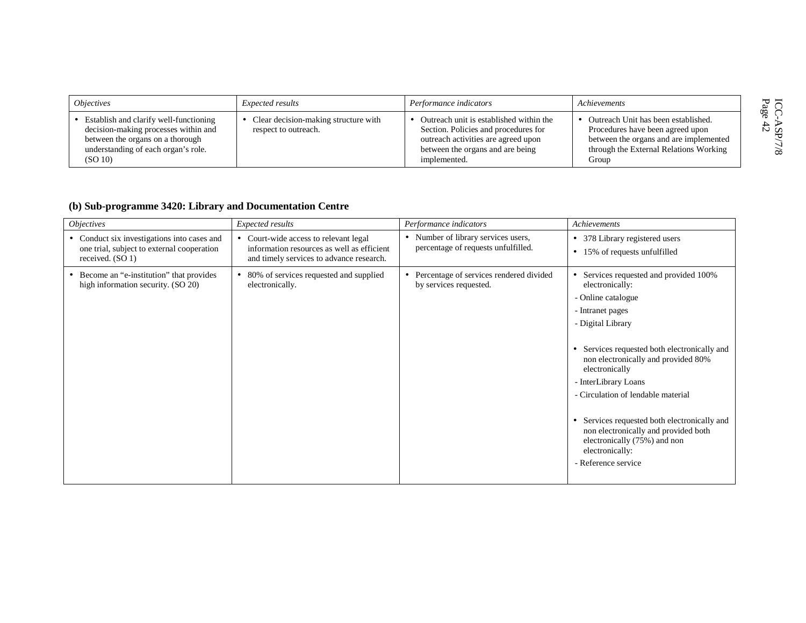| <i><b>Objectives</b></i>                                                                                                                                             | <i>Expected results</i>                                      | Performance indicators                                                                                                                                                     | Achievements                                                                                                                                                         | セド              |
|----------------------------------------------------------------------------------------------------------------------------------------------------------------------|--------------------------------------------------------------|----------------------------------------------------------------------------------------------------------------------------------------------------------------------------|----------------------------------------------------------------------------------------------------------------------------------------------------------------------|-----------------|
| Establish and clarify well-functioning<br>decision-making processes within and<br>between the organs on a thorough<br>understanding of each organ's role.<br>(SO 10) | Clear decision-making structure with<br>respect to outreach. | Outreach unit is established within the<br>Section. Policies and procedures for<br>outreach activities are agreed upon<br>between the organs and are being<br>implemented. | Outreach Unit has been established.<br>Procedures have been agreed upon<br>between the organs and are implemented<br>through the External Relations Working<br>Group | న ద<br>$\infty$ |

## **(b) Sub-programme 3420: Library and Documentation Centre**

| <i><b>Objectives</b></i>                                                                                      | Expected results                                                                                                                | Performance indicators                                                         | Achievements                                                                                                                                                                                                                                                                                                                                                                                                                                                |
|---------------------------------------------------------------------------------------------------------------|---------------------------------------------------------------------------------------------------------------------------------|--------------------------------------------------------------------------------|-------------------------------------------------------------------------------------------------------------------------------------------------------------------------------------------------------------------------------------------------------------------------------------------------------------------------------------------------------------------------------------------------------------------------------------------------------------|
| • Conduct six investigations into cases and<br>one trial, subject to external cooperation<br>received. (SO 1) | • Court-wide access to relevant legal<br>information resources as well as efficient<br>and timely services to advance research. | • Number of library services users,<br>percentage of requests unfulfilled.     | 378 Library registered users<br>15% of requests unfulfilled<br>$\bullet$                                                                                                                                                                                                                                                                                                                                                                                    |
| Become an "e-institution" that provides<br>high information security. (SO 20)                                 | • 80% of services requested and supplied<br>electronically.                                                                     | Percentage of services rendered divided<br>$\bullet$<br>by services requested. | Services requested and provided 100%<br>electronically:<br>- Online catalogue<br>- Intranet pages<br>- Digital Library<br>Services requested both electronically and<br>non electronically and provided 80%<br>electronically<br>- InterLibrary Loans<br>- Circulation of lendable material<br>Services requested both electronically and<br>non electronically and provided both<br>electronically (75%) and non<br>electronically:<br>- Reference service |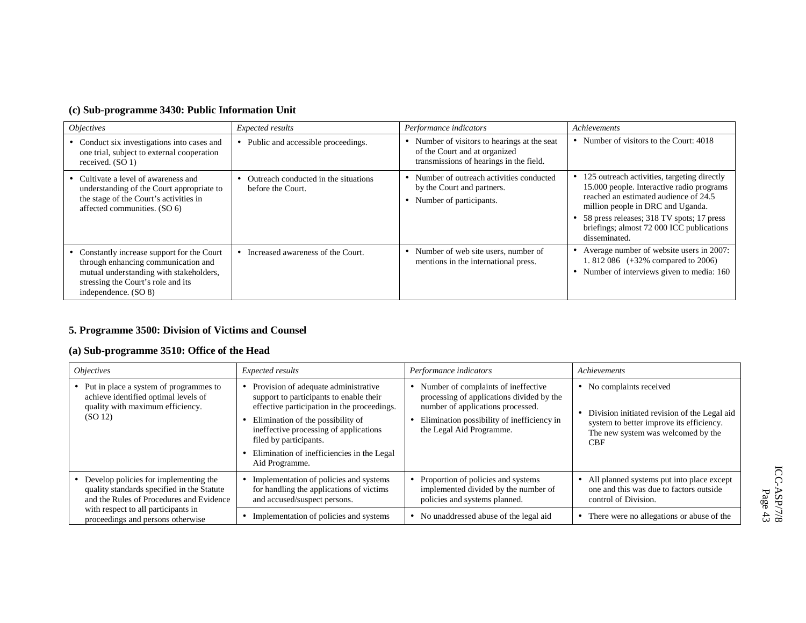| (c) Sub-programme 3430: Public Information Unit |  |  |  |  |
|-------------------------------------------------|--|--|--|--|
|-------------------------------------------------|--|--|--|--|

| <i><b>Objectives</b></i>                                                                                                                                                                    | Expected results                                          | Performance indicators                                                                                                 | Achievements                                                                                                                                                                                                                                                                          |
|---------------------------------------------------------------------------------------------------------------------------------------------------------------------------------------------|-----------------------------------------------------------|------------------------------------------------------------------------------------------------------------------------|---------------------------------------------------------------------------------------------------------------------------------------------------------------------------------------------------------------------------------------------------------------------------------------|
| • Conduct six investigations into cases and<br>one trial, subject to external cooperation<br>received. $(SO1)$                                                                              | Public and accessible proceedings.                        | Number of visitors to hearings at the seat<br>of the Court and at organized<br>transmissions of hearings in the field. | • Number of visitors to the Court: 4018                                                                                                                                                                                                                                               |
| • Cultivate a level of awareness and<br>understanding of the Court appropriate to<br>the stage of the Court's activities in<br>affected communities. (SO 6)                                 | Outreach conducted in the situations<br>before the Court. | Number of outreach activities conducted<br>by the Court and partners.<br>Number of participants.                       | • 125 outreach activities, targeting directly<br>15.000 people. Interactive radio programs<br>reached an estimated audience of 24.5<br>million people in DRC and Uganda.<br>• 58 press releases; 318 TV spots; 17 press<br>briefings; almost 72 000 ICC publications<br>disseminated. |
| • Constantly increase support for the Court<br>through enhancing communication and<br>mutual understanding with stakeholders,<br>stressing the Court's role and its<br>independence. (SO 8) | Increased awareness of the Court.                         | Number of web site users, number of<br>mentions in the international press.                                            | • Average number of website users in 2007:<br>1.812 086 $(+32\%$ compared to 2006)<br>• Number of interviews given to media: 160                                                                                                                                                      |

## **5. Programme 3500: Division of Victims and Counsel**

## **(a) Sub-programme 3510: Office of the Head**

| <i><b>Objectives</b></i>                                                                                                          | Expected results                                                                                                                                                                                                                                                                                        | Performance indicators                                                                                                                                                                            | Achievements                                                                                                                                                             |
|-----------------------------------------------------------------------------------------------------------------------------------|---------------------------------------------------------------------------------------------------------------------------------------------------------------------------------------------------------------------------------------------------------------------------------------------------------|---------------------------------------------------------------------------------------------------------------------------------------------------------------------------------------------------|--------------------------------------------------------------------------------------------------------------------------------------------------------------------------|
| • Put in place a system of programmes to<br>achieve identified optimal levels of<br>quality with maximum efficiency.<br>(SO 12)   | Provision of adequate administrative<br>support to participants to enable their<br>effective participation in the proceedings.<br>Elimination of the possibility of<br>ineffective processing of applications<br>filed by participants.<br>Elimination of inefficiencies in the Legal<br>Aid Programme. | • Number of complaints of ineffective<br>processing of applications divided by the<br>number of applications processed.<br>Elimination possibility of inefficiency in<br>the Legal Aid Programme. | • No complaints received<br>Division initiated revision of the Legal aid<br>system to better improve its efficiency.<br>The new system was welcomed by the<br><b>CBF</b> |
| • Develop policies for implementing the<br>quality standards specified in the Statute<br>and the Rules of Procedures and Evidence | Implementation of policies and systems<br>for handling the applications of victims<br>and accused/suspect persons.                                                                                                                                                                                      | Proportion of policies and systems<br>implemented divided by the number of<br>policies and systems planned.                                                                                       | All planned systems put into place except<br>one and this was due to factors outside<br>control of Division.                                                             |
| with respect to all participants in<br>proceedings and persons otherwise                                                          | Implementation of policies and systems                                                                                                                                                                                                                                                                  | No unaddressed abuse of the legal aid                                                                                                                                                             | There were no allegations or abuse of the                                                                                                                                |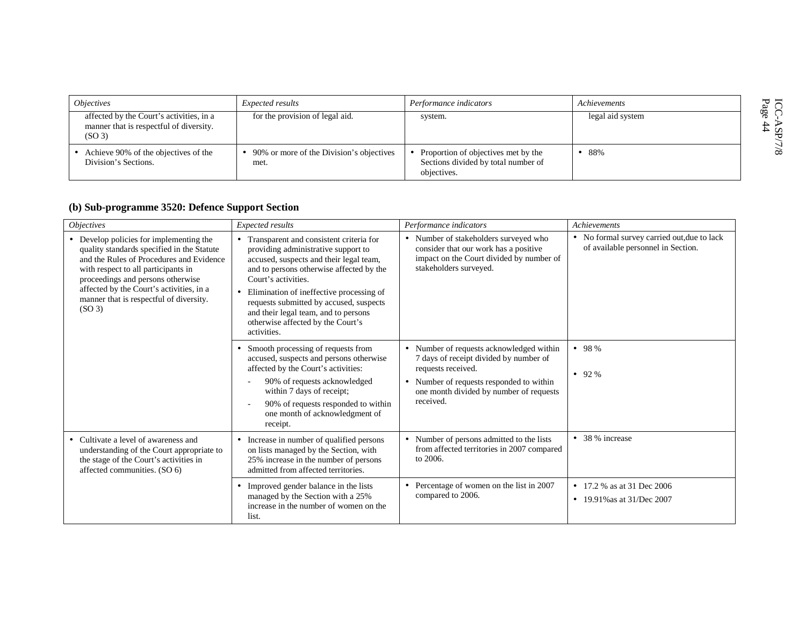| <i><b>Objectives</b></i>                                                                                  | Expected results                                 | Performance indicators                                                                    | Achievements     | ICC-<br>Page |
|-----------------------------------------------------------------------------------------------------------|--------------------------------------------------|-------------------------------------------------------------------------------------------|------------------|--------------|
| affected by the Court's activities, in a<br>manner that is respectful of diversity.<br>(SO <sub>3</sub> ) | for the provision of legal aid.                  | system.                                                                                   | legal aid system | 口石           |
| Achieve 90% of the objectives of the<br>Division's Sections.                                              | 90% or more of the Division's objectives<br>met. | Proportion of objectives met by the<br>Sections divided by total number of<br>objectives. | •88%             | $\infty$     |

## **(b) Sub-programme 3520: Defence Support Section**

| <i><b>Objectives</b></i>                                                                                                                                                                                                                                                                                                   | Expected results                                                                                                                                                                                                                                                                                                                                                                             | Performance indicators                                                                                                                                                                                                  | Achievements                                                                      |
|----------------------------------------------------------------------------------------------------------------------------------------------------------------------------------------------------------------------------------------------------------------------------------------------------------------------------|----------------------------------------------------------------------------------------------------------------------------------------------------------------------------------------------------------------------------------------------------------------------------------------------------------------------------------------------------------------------------------------------|-------------------------------------------------------------------------------------------------------------------------------------------------------------------------------------------------------------------------|-----------------------------------------------------------------------------------|
| • Develop policies for implementing the<br>quality standards specified in the Statute<br>and the Rules of Procedures and Evidence<br>with respect to all participants in<br>proceedings and persons otherwise<br>affected by the Court's activities, in a<br>manner that is respectful of diversity.<br>(SO <sub>3</sub> ) | Transparent and consistent criteria for<br>providing administrative support to<br>accused, suspects and their legal team,<br>and to persons otherwise affected by the<br>Court's activities.<br>Elimination of ineffective processing of<br>$\bullet$<br>requests submitted by accused, suspects<br>and their legal team, and to persons<br>otherwise affected by the Court's<br>activities. | • Number of stakeholders surveyed who<br>consider that our work has a positive<br>impact on the Court divided by number of<br>stakeholders surveyed.                                                                    | • No formal survey carried out, due to lack<br>of available personnel in Section. |
|                                                                                                                                                                                                                                                                                                                            | Smooth processing of requests from<br>٠<br>accused, suspects and persons otherwise<br>affected by the Court's activities:<br>90% of requests acknowledged<br>within 7 days of receipt;<br>90% of requests responded to within<br>one month of acknowledgment of<br>receipt.                                                                                                                  | • Number of requests acknowledged within<br>7 days of receipt divided by number of<br>requests received.<br>Number of requests responded to within<br>$\bullet$<br>one month divided by number of requests<br>received. | • 98%<br>$• 92\%$                                                                 |
| • Cultivate a level of awareness and<br>understanding of the Court appropriate to<br>the stage of the Court's activities in<br>affected communities. (SO 6)                                                                                                                                                                | Increase in number of qualified persons<br>$\bullet$<br>on lists managed by the Section, with<br>25% increase in the number of persons<br>admitted from affected territories.                                                                                                                                                                                                                | Number of persons admitted to the lists<br>$\bullet$<br>from affected territories in 2007 compared<br>to 2006.                                                                                                          | • 38 % increase                                                                   |
|                                                                                                                                                                                                                                                                                                                            | Improved gender balance in the lists<br>$\bullet$<br>managed by the Section with a 25%<br>increase in the number of women on the<br>list.                                                                                                                                                                                                                                                    | Percentage of women on the list in 2007<br>compared to 2006.                                                                                                                                                            | • 17.2 % as at 31 Dec 2006<br>• 19.91% as at $31$ /Dec 2007                       |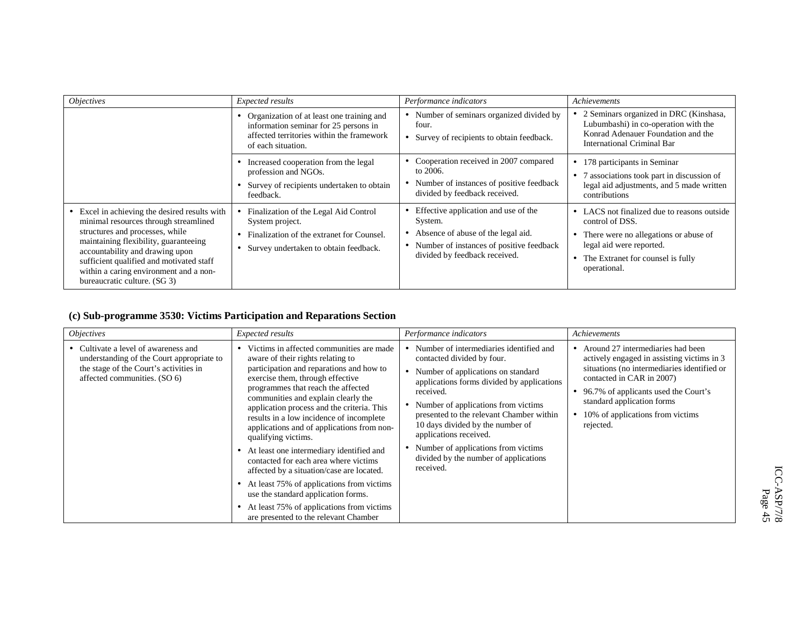| <i><b>Objectives</b></i>                                                                                                                                                                                                                                                                                                  | Expected results                                                                                                                                        | Performance indicators                                                                                                                                               | Achievements                                                                                                                                                                             |
|---------------------------------------------------------------------------------------------------------------------------------------------------------------------------------------------------------------------------------------------------------------------------------------------------------------------------|---------------------------------------------------------------------------------------------------------------------------------------------------------|----------------------------------------------------------------------------------------------------------------------------------------------------------------------|------------------------------------------------------------------------------------------------------------------------------------------------------------------------------------------|
|                                                                                                                                                                                                                                                                                                                           | • Organization of at least one training and<br>information seminar for 25 persons in<br>affected territories within the framework<br>of each situation. | Number of seminars organized divided by<br>four.<br>• Survey of recipients to obtain feedback.                                                                       | • 2 Seminars organized in DRC (Kinshasa,<br>Lubumbashi) in co-operation with the<br>Konrad Adenauer Foundation and the<br>International Criminal Bar                                     |
|                                                                                                                                                                                                                                                                                                                           | Increased cooperation from the legal<br>profession and NGOs.<br>Survey of recipients undertaken to obtain<br>feedback.                                  | • Cooperation received in 2007 compared<br>to 2006.<br>Number of instances of positive feedback<br>divided by feedback received.                                     | 178 participants in Seminar<br>associations took part in discussion of<br>legal aid adjustments, and 5 made written<br>contributions                                                     |
| Excel in achieving the desired results with<br>minimal resources through streamlined<br>structures and processes, while<br>maintaining flexibility, guaranteeing<br>accountability and drawing upon<br>sufficient qualified and motivated staff<br>within a caring environment and a non-<br>bureaucratic culture. (SG 3) | Finalization of the Legal Aid Control<br>System project.<br>• Finalization of the extranet for Counsel.<br>Survey undertaken to obtain feedback.        | Effective application and use of the<br>System.<br>Absence of abuse of the legal aid.<br>• Number of instances of positive feedback<br>divided by feedback received. | • LACS not finalized due to reasons outside<br>control of DSS.<br>There were no allegations or abuse of<br>legal aid were reported.<br>The Extranet for counsel is fully<br>operational. |

## **(c) Sub-programme 3530: Victims Participation and Reparations Section**

| <i><b>Objectives</b></i>                                                                                                                                    | Expected results                                                                                                                                                                                                                                                                                                                                                                                                                                                                                                                                                                                                                                                                                                                   | Performance indicators                                                                                                                                                                                                                                                                                                                                                                                                            | Achievements                                                                                                                                                                                                                                                                       |
|-------------------------------------------------------------------------------------------------------------------------------------------------------------|------------------------------------------------------------------------------------------------------------------------------------------------------------------------------------------------------------------------------------------------------------------------------------------------------------------------------------------------------------------------------------------------------------------------------------------------------------------------------------------------------------------------------------------------------------------------------------------------------------------------------------------------------------------------------------------------------------------------------------|-----------------------------------------------------------------------------------------------------------------------------------------------------------------------------------------------------------------------------------------------------------------------------------------------------------------------------------------------------------------------------------------------------------------------------------|------------------------------------------------------------------------------------------------------------------------------------------------------------------------------------------------------------------------------------------------------------------------------------|
| • Cultivate a level of awareness and<br>understanding of the Court appropriate to<br>the stage of the Court's activities in<br>affected communities. (SO 6) | Victims in affected communities are made<br>aware of their rights relating to<br>participation and reparations and how to<br>exercise them, through effective<br>programmes that reach the affected<br>communities and explain clearly the<br>application process and the criteria. This<br>results in a low incidence of incomplete<br>applications and of applications from non-<br>qualifying victims.<br>At least one intermediary identified and<br>$\bullet$<br>contacted for each area where victims<br>affected by a situation/case are located.<br>At least 75% of applications from victims<br>use the standard application forms.<br>At least 75% of applications from victims<br>are presented to the relevant Chamber | Number of intermediaries identified and<br>contacted divided by four.<br>Number of applications on standard<br>$\bullet$<br>applications forms divided by applications<br>received.<br>Number of applications from victims<br>presented to the relevant Chamber within<br>10 days divided by the number of<br>applications received.<br>Number of applications from victims<br>divided by the number of applications<br>received. | Around 27 intermediaries had been<br>actively engaged in assisting victims in 3<br>situations (no intermediaries identified or<br>contacted in CAR in 2007)<br>96.7% of applicants used the Court's<br>standard application forms<br>10% of applications from victims<br>rejected. |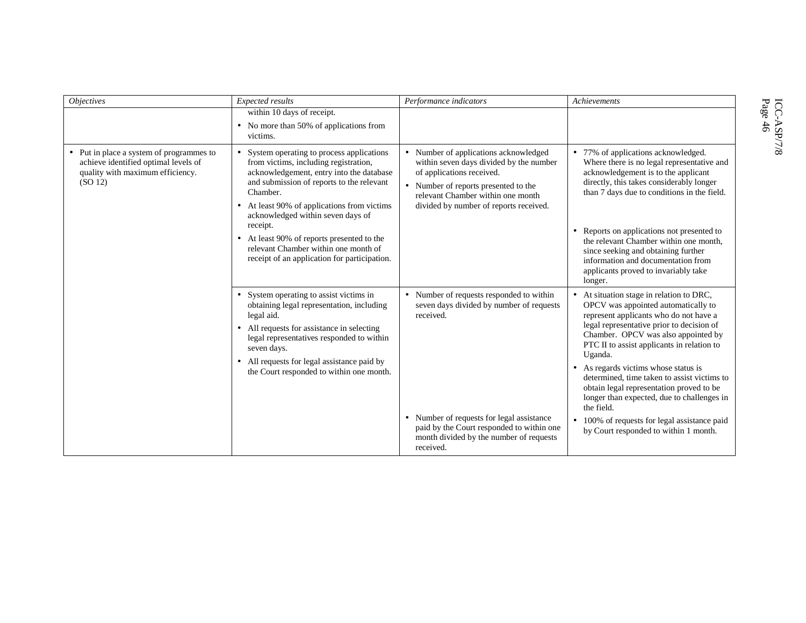| <b>Objectives</b>                                                                                                               | Expected results                                                                                                                                                                                                                                                                                                                                                                                                           | Performance indicators                                                                                                                                                                                                                              | Achievements                                                                                                                                                                                                                                                                                                                                                                                                                                                                                                                                                   |
|---------------------------------------------------------------------------------------------------------------------------------|----------------------------------------------------------------------------------------------------------------------------------------------------------------------------------------------------------------------------------------------------------------------------------------------------------------------------------------------------------------------------------------------------------------------------|-----------------------------------------------------------------------------------------------------------------------------------------------------------------------------------------------------------------------------------------------------|----------------------------------------------------------------------------------------------------------------------------------------------------------------------------------------------------------------------------------------------------------------------------------------------------------------------------------------------------------------------------------------------------------------------------------------------------------------------------------------------------------------------------------------------------------------|
|                                                                                                                                 | within 10 days of receipt.<br>• No more than 50% of applications from<br>victims.                                                                                                                                                                                                                                                                                                                                          |                                                                                                                                                                                                                                                     |                                                                                                                                                                                                                                                                                                                                                                                                                                                                                                                                                                |
| • Put in place a system of programmes to<br>achieve identified optimal levels of<br>quality with maximum efficiency.<br>(SO 12) | System operating to process applications<br>from victims, including registration,<br>acknowledgement, entry into the database<br>and submission of reports to the relevant<br>Chamber.<br>At least 90% of applications from victims<br>acknowledged within seven days of<br>receipt.<br>• At least 90% of reports presented to the<br>relevant Chamber within one month of<br>receipt of an application for participation. | • Number of applications acknowledged<br>within seven days divided by the number<br>of applications received.<br>• Number of reports presented to the<br>relevant Chamber within one month<br>divided by number of reports received.                | • 77% of applications acknowledged.<br>Where there is no legal representative and<br>acknowledgement is to the applicant<br>directly, this takes considerably longer<br>than 7 days due to conditions in the field.<br>• Reports on applications not presented to<br>the relevant Chamber within one month,<br>since seeking and obtaining further<br>information and documentation from<br>applicants proved to invariably take<br>longer.                                                                                                                    |
|                                                                                                                                 | System operating to assist victims in<br>$\bullet$<br>obtaining legal representation, including<br>legal aid.<br>All requests for assistance in selecting<br>$\bullet$<br>legal representatives responded to within<br>seven days.<br>All requests for legal assistance paid by<br>the Court responded to within one month.                                                                                                | • Number of requests responded to within<br>seven days divided by number of requests<br>received.<br>• Number of requests for legal assistance<br>paid by the Court responded to within one<br>month divided by the number of requests<br>received. | • At situation stage in relation to DRC,<br>OPCV was appointed automatically to<br>represent applicants who do not have a<br>legal representative prior to decision of<br>Chamber. OPCV was also appointed by<br>PTC II to assist applicants in relation to<br>Uganda.<br>• As regards victims whose status is<br>determined, time taken to assist victims to<br>obtain legal representation proved to be<br>longer than expected, due to challenges in<br>the field.<br>• 100% of requests for legal assistance paid<br>by Court responded to within 1 month. |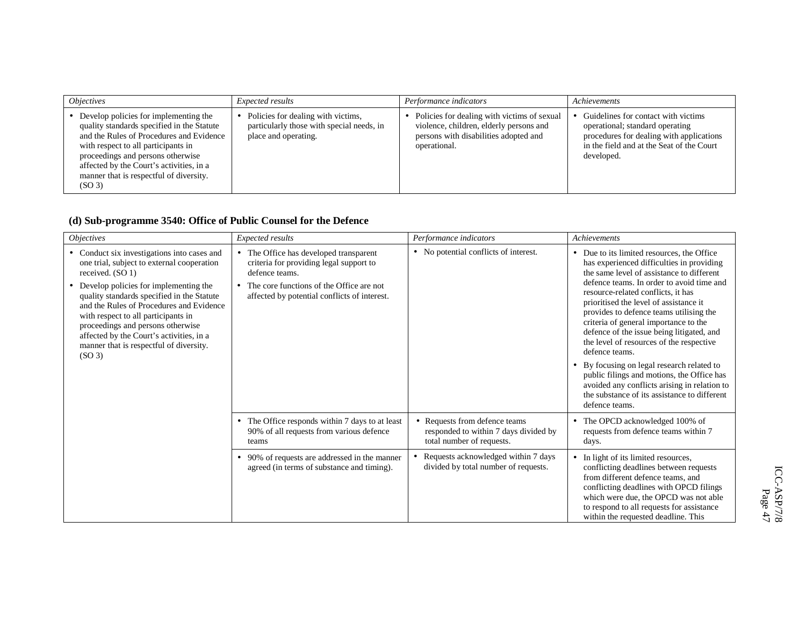| <i><b>Objectives</b></i>                                                                                                                                                                                                                                                                                                   | <i>Expected results</i>                                                                                 | Performance indicators                                                                                                                          | Achievements                                                                                                                                                                  |
|----------------------------------------------------------------------------------------------------------------------------------------------------------------------------------------------------------------------------------------------------------------------------------------------------------------------------|---------------------------------------------------------------------------------------------------------|-------------------------------------------------------------------------------------------------------------------------------------------------|-------------------------------------------------------------------------------------------------------------------------------------------------------------------------------|
| • Develop policies for implementing the<br>quality standards specified in the Statute<br>and the Rules of Procedures and Evidence<br>with respect to all participants in<br>proceedings and persons otherwise<br>affected by the Court's activities, in a<br>manner that is respectful of diversity.<br>(SO <sub>3</sub> ) | Policies for dealing with victims,<br>particularly those with special needs, in<br>place and operating. | Policies for dealing with victims of sexual<br>violence, children, elderly persons and<br>persons with disabilities adopted and<br>operational. | Guidelines for contact with victims<br>operational; standard operating<br>procedures for dealing with applications<br>in the field and at the Seat of the Court<br>developed. |

## **(d) Sub-programme 3540: Office of Public Counsel for the Defence**

| <i><b>Objectives</b></i>                                                                                                                                                                                                                                                                                                                                                                                                                  | Expected results                                                                                                                                                                                           | Performance indicators                                                                              | Achievements                                                                                                                                                                                                                                                                                                                                                                                                                                                                                                                                                                                                                                                                 |
|-------------------------------------------------------------------------------------------------------------------------------------------------------------------------------------------------------------------------------------------------------------------------------------------------------------------------------------------------------------------------------------------------------------------------------------------|------------------------------------------------------------------------------------------------------------------------------------------------------------------------------------------------------------|-----------------------------------------------------------------------------------------------------|------------------------------------------------------------------------------------------------------------------------------------------------------------------------------------------------------------------------------------------------------------------------------------------------------------------------------------------------------------------------------------------------------------------------------------------------------------------------------------------------------------------------------------------------------------------------------------------------------------------------------------------------------------------------------|
| • Conduct six investigations into cases and<br>one trial, subject to external cooperation<br>received. (SO 1)<br>Develop policies for implementing the<br>quality standards specified in the Statute<br>and the Rules of Procedures and Evidence<br>with respect to all participants in<br>proceedings and persons otherwise<br>affected by the Court's activities, in a<br>manner that is respectful of diversity.<br>(SO <sub>3</sub> ) | The Office has developed transparent<br>$\bullet$<br>criteria for providing legal support to<br>defence teams.<br>The core functions of the Office are not<br>affected by potential conflicts of interest. | • No potential conflicts of interest.                                                               | • Due to its limited resources, the Office<br>has experienced difficulties in providing<br>the same level of assistance to different<br>defence teams. In order to avoid time and<br>resource-related conflicts, it has<br>prioritised the level of assistance it<br>provides to defence teams utilising the<br>criteria of general importance to the<br>defence of the issue being litigated, and<br>the level of resources of the respective<br>defence teams.<br>By focusing on legal research related to<br>public filings and motions, the Office has<br>avoided any conflicts arising in relation to<br>the substance of its assistance to different<br>defence teams. |
|                                                                                                                                                                                                                                                                                                                                                                                                                                           | The Office responds within 7 days to at least<br>$\bullet$<br>90% of all requests from various defence<br>teams                                                                                            | • Requests from defence teams<br>responded to within 7 days divided by<br>total number of requests. | • The OPCD acknowledged 100% of<br>requests from defence teams within 7<br>days.                                                                                                                                                                                                                                                                                                                                                                                                                                                                                                                                                                                             |
|                                                                                                                                                                                                                                                                                                                                                                                                                                           | 90% of requests are addressed in the manner<br>٠<br>agreed (in terms of substance and timing).                                                                                                             | Requests acknowledged within 7 days<br>divided by total number of requests.                         | In light of its limited resources,<br>conflicting deadlines between requests<br>from different defence teams, and<br>conflicting deadlines with OPCD filings<br>which were due, the OPCD was not able<br>to respond to all requests for assistance<br>within the requested deadline. This                                                                                                                                                                                                                                                                                                                                                                                    |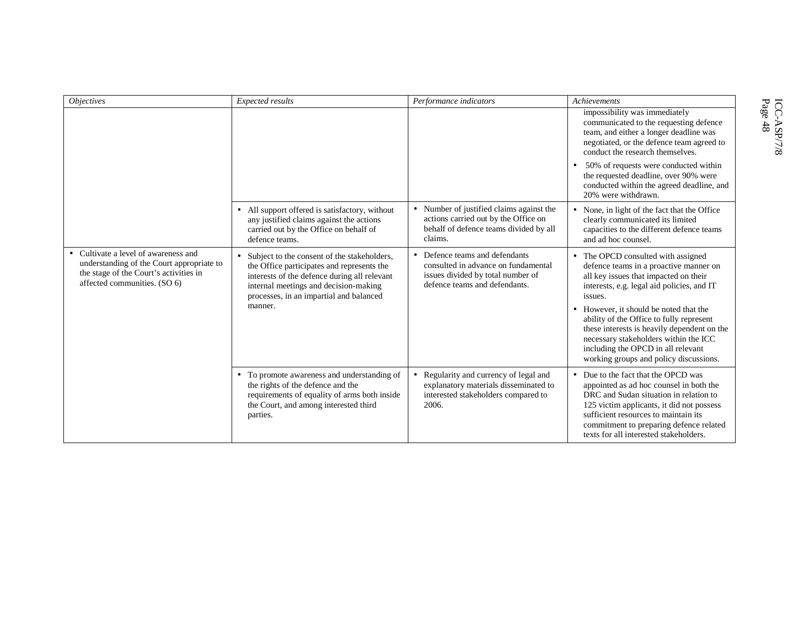| <i>Objectives</i>                                                                                                                                         | Expected results                                                                                                                                                                                                                           | Performance indicators                                                                                                                      | Achievements                                                                                                                                                                                                                                                                                       |
|-----------------------------------------------------------------------------------------------------------------------------------------------------------|--------------------------------------------------------------------------------------------------------------------------------------------------------------------------------------------------------------------------------------------|---------------------------------------------------------------------------------------------------------------------------------------------|----------------------------------------------------------------------------------------------------------------------------------------------------------------------------------------------------------------------------------------------------------------------------------------------------|
|                                                                                                                                                           |                                                                                                                                                                                                                                            |                                                                                                                                             | impossibility was immediately<br>communicated to the requesting defence<br>team, and either a longer deadline was<br>negotiated, or the defence team agreed to<br>conduct the research themselves.                                                                                                 |
|                                                                                                                                                           |                                                                                                                                                                                                                                            |                                                                                                                                             | 50% of requests were conducted within<br>the requested deadline, over 90% were<br>conducted within the agreed deadline, and<br>20% were withdrawn.                                                                                                                                                 |
|                                                                                                                                                           | • All support offered is satisfactory, without<br>any justified claims against the actions<br>carried out by the Office on behalf of<br>defence teams.                                                                                     | • Number of justified claims against the<br>actions carried out by the Office on<br>behalf of defence teams divided by all<br>claims.       | • None, in light of the fact that the Office<br>clearly communicated its limited<br>capacities to the different defence teams<br>and ad hoc counsel.                                                                                                                                               |
| Cultivate a level of awareness and<br>understanding of the Court appropriate to<br>the stage of the Court's activities in<br>affected communities. (SO 6) | • Subject to the consent of the stakeholders,<br>the Office participates and represents the<br>interests of the defence during all relevant<br>internal meetings and decision-making<br>processes, in an impartial and balanced<br>manner. | • Defence teams and defendants<br>consulted in advance on fundamental<br>issues divided by total number of<br>defence teams and defendants. | • The OPCD consulted with assigned<br>defence teams in a proactive manner on<br>all key issues that impacted on their<br>interests, e.g. legal aid policies, and IT<br>issues.<br>• However, it should be noted that the                                                                           |
|                                                                                                                                                           |                                                                                                                                                                                                                                            |                                                                                                                                             | ability of the Office to fully represent<br>these interests is heavily dependent on the<br>necessary stakeholders within the ICC<br>including the OPCD in all relevant<br>working groups and policy discussions.                                                                                   |
|                                                                                                                                                           | • To promote awareness and understanding of<br>the rights of the defence and the<br>requirements of equality of arms both inside<br>the Court, and among interested third<br>parties.                                                      | • Regularity and currency of legal and<br>explanatory materials disseminated to<br>interested stakeholders compared to<br>2006.             | • Due to the fact that the OPCD was<br>appointed as ad hoc counsel in both the<br>DRC and Sudan situation in relation to<br>125 victim applicants, it did not possess<br>sufficient resources to maintain its<br>commitment to preparing defence related<br>texts for all interested stakeholders. |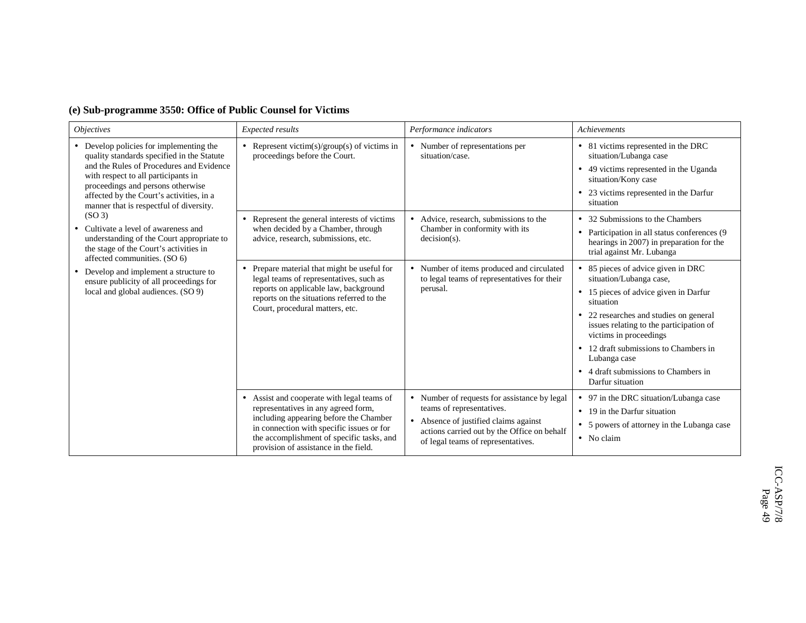| <b>Objectives</b>                                                                                                                                                                                                                                                                                                                                                                                                                                       | Expected results                                                                                                                                                                                                                                                          | Performance indicators                                                                                                                                                                                             | Achievements                                                                                                                                                                                                                                                                                                                                          |
|---------------------------------------------------------------------------------------------------------------------------------------------------------------------------------------------------------------------------------------------------------------------------------------------------------------------------------------------------------------------------------------------------------------------------------------------------------|---------------------------------------------------------------------------------------------------------------------------------------------------------------------------------------------------------------------------------------------------------------------------|--------------------------------------------------------------------------------------------------------------------------------------------------------------------------------------------------------------------|-------------------------------------------------------------------------------------------------------------------------------------------------------------------------------------------------------------------------------------------------------------------------------------------------------------------------------------------------------|
| • Develop policies for implementing the<br>quality standards specified in the Statute<br>and the Rules of Procedures and Evidence<br>with respect to all participants in<br>proceedings and persons otherwise<br>affected by the Court's activities, in a<br>manner that is respectful of diversity.<br>(SO <sub>3</sub> )<br>Cultivate a level of awareness and<br>understanding of the Court appropriate to<br>the stage of the Court's activities in | Represent victim(s)/group(s) of victims in<br>proceedings before the Court.                                                                                                                                                                                               | • Number of representations per<br>situation/case.                                                                                                                                                                 | • 81 victims represented in the DRC<br>situation/Lubanga case<br>• 49 victims represented in the Uganda<br>situation/Kony case<br>• 23 victims represented in the Darfur<br>situation                                                                                                                                                                 |
|                                                                                                                                                                                                                                                                                                                                                                                                                                                         | Represent the general interests of victims<br>$\bullet$<br>when decided by a Chamber, through<br>advice, research, submissions, etc.                                                                                                                                      | • Advice, research, submissions to the<br>Chamber in conformity with its<br>$decision(s)$ .                                                                                                                        | • 32 Submissions to the Chambers<br>• Participation in all status conferences (9)<br>hearings in 2007) in preparation for the<br>trial against Mr. Lubanga                                                                                                                                                                                            |
| affected communities. (SO 6)<br>Develop and implement a structure to<br>$\bullet$<br>ensure publicity of all proceedings for<br>local and global audiences. (SO 9)                                                                                                                                                                                                                                                                                      | Prepare material that might be useful for<br>$\bullet$<br>legal teams of representatives, such as<br>reports on applicable law, background<br>reports on the situations referred to the<br>Court, procedural matters, etc.                                                | • Number of items produced and circulated<br>to legal teams of representatives for their<br>perusal.                                                                                                               | • 85 pieces of advice given in DRC<br>situation/Lubanga case,<br>• 15 pieces of advice given in Darfur<br>situation<br>• 22 researches and studies on general<br>issues relating to the participation of<br>victims in proceedings<br>12 draft submissions to Chambers in<br>Lubanga case<br>• 4 draft submissions to Chambers in<br>Darfur situation |
|                                                                                                                                                                                                                                                                                                                                                                                                                                                         | Assist and cooperate with legal teams of<br>$\bullet$<br>representatives in any agreed form,<br>including appearing before the Chamber<br>in connection with specific issues or for<br>the accomplishment of specific tasks, and<br>provision of assistance in the field. | Number of requests for assistance by legal<br>$\bullet$<br>teams of representatives.<br>• Absence of justified claims against<br>actions carried out by the Office on behalf<br>of legal teams of representatives. | • 97 in the DRC situation/Lubanga case<br>• 19 in the Darfur situation<br>• 5 powers of attorney in the Lubanga case<br>$\bullet$ No claim                                                                                                                                                                                                            |

#### **(e) Sub-programme 3550: Office of Public Counsel for Victims**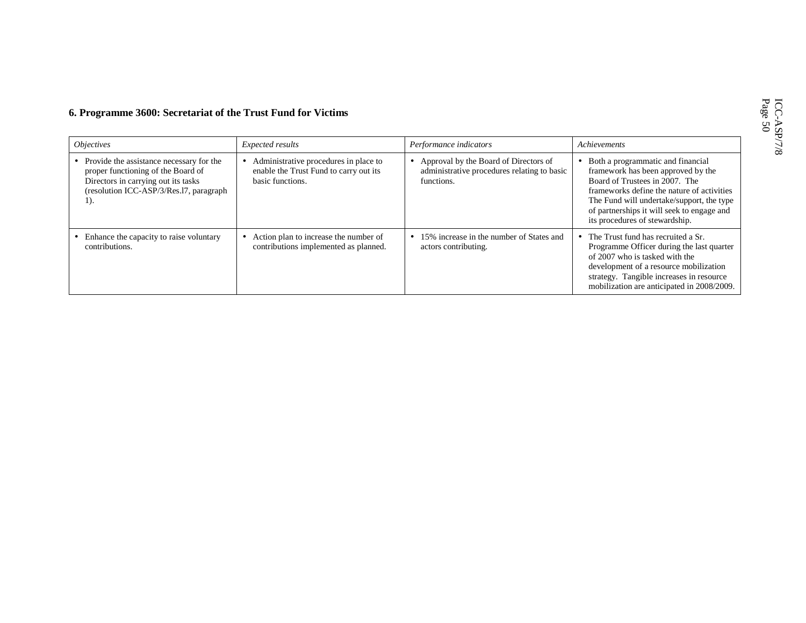| <i><b>Objectives</b></i>                                                                                                                                                    | Expected results                                                                                    | Performance indicators                                                                             | Achievements                                                                                                                                                                                                                                                                         |
|-----------------------------------------------------------------------------------------------------------------------------------------------------------------------------|-----------------------------------------------------------------------------------------------------|----------------------------------------------------------------------------------------------------|--------------------------------------------------------------------------------------------------------------------------------------------------------------------------------------------------------------------------------------------------------------------------------------|
| • Provide the assistance necessary for the<br>proper functioning of the Board of<br>Directors in carrying out its tasks<br>(resolution ICC-ASP/3/Res.17, paragraph<br>$1$ . | Administrative procedures in place to<br>enable the Trust Fund to carry out its<br>basic functions. | Approval by the Board of Directors of<br>administrative procedures relating to basic<br>functions. | Both a programmatic and financial<br>framework has been approved by the<br>Board of Trustees in 2007. The<br>frameworks define the nature of activities<br>The Fund will undertake/support, the type<br>of partnerships it will seek to engage and<br>its procedures of stewardship. |
| Enhance the capacity to raise voluntary<br>contributions.                                                                                                                   | Action plan to increase the number of<br>contributions implemented as planned.                      | 15% increase in the number of States and<br>actors contributing.                                   | The Trust fund has recruited a Sr.<br>Programme Officer during the last quarter<br>of 2007 who is tasked with the<br>development of a resource mobilization<br>strategy. Tangible increases in resource<br>mobilization are anticipated in 2008/2009.                                |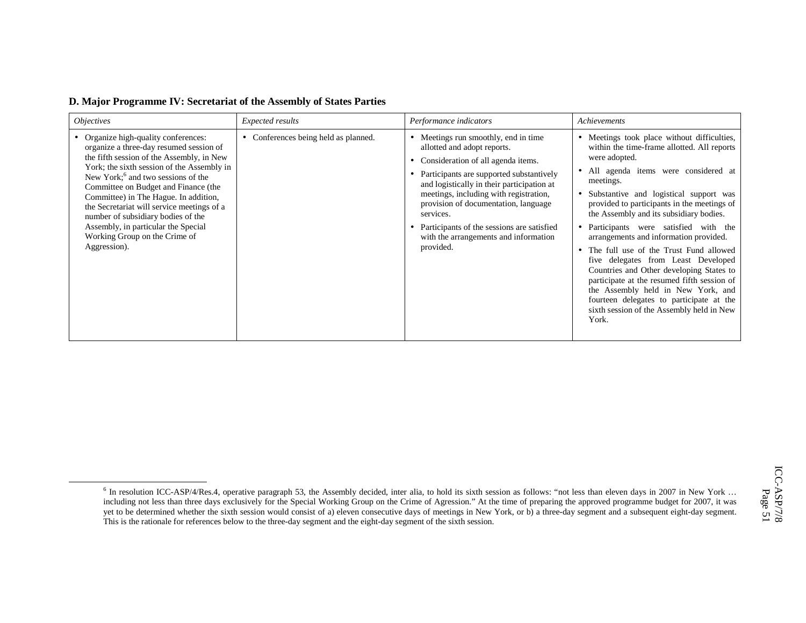| D. Major Programme IV: Secretariat of the Assembly of States Parties |  |  |  |
|----------------------------------------------------------------------|--|--|--|
|                                                                      |  |  |  |

| <i><b>Objectives</b></i>                                                                                                                                                                                                                                                                                                                                                                                                                                                                | Expected results                     | Performance indicators                                                                                                                                                                                                                                                                                                                                                                               | Achievements                                                                                                                                                                                                                                                                                                                                                                                                                                                                                                                                                                                                                                                                                                    |
|-----------------------------------------------------------------------------------------------------------------------------------------------------------------------------------------------------------------------------------------------------------------------------------------------------------------------------------------------------------------------------------------------------------------------------------------------------------------------------------------|--------------------------------------|------------------------------------------------------------------------------------------------------------------------------------------------------------------------------------------------------------------------------------------------------------------------------------------------------------------------------------------------------------------------------------------------------|-----------------------------------------------------------------------------------------------------------------------------------------------------------------------------------------------------------------------------------------------------------------------------------------------------------------------------------------------------------------------------------------------------------------------------------------------------------------------------------------------------------------------------------------------------------------------------------------------------------------------------------------------------------------------------------------------------------------|
| Organize high-quality conferences:<br>organize a three-day resumed session of<br>the fifth session of the Assembly, in New<br>York; the sixth session of the Assembly in<br>New York; <sup>6</sup> and two sessions of the<br>Committee on Budget and Finance (the<br>Committee) in The Hague. In addition,<br>the Secretariat will service meetings of a<br>number of subsidiary bodies of the<br>Assembly, in particular the Special<br>Working Group on the Crime of<br>Aggression). | • Conferences being held as planned. | Meetings run smoothly, end in time<br>allotted and adopt reports.<br>Consideration of all agenda items.<br>Participants are supported substantively<br>and logistically in their participation at<br>meetings, including with registration,<br>provision of documentation, language<br>services.<br>Participants of the sessions are satisfied<br>with the arrangements and information<br>provided. | • Meetings took place without difficulties,<br>within the time-frame allotted. All reports<br>were adopted.<br>• All agenda items were considered at<br>meetings.<br>• Substantive and logistical support was<br>provided to participants in the meetings of<br>the Assembly and its subsidiary bodies.<br>• Participants were satisfied with the<br>arrangements and information provided.<br>The full use of the Trust Fund allowed<br>five delegates from Least Developed<br>Countries and Other developing States to<br>participate at the resumed fifth session of<br>the Assembly held in New York, and<br>fourteen delegates to participate at the<br>sixth session of the Assembly held in New<br>York. |

<sup>&</sup>lt;sup>6</sup> In resolution ICC-ASP/4/Res.4, operative paragraph 53, the Assembly decided, inter alia, to hold its sixth session as follows: "not less than eleven days in 2007 in New York ... including not less than three days exclusively for the Special Working Group on the Crime of Agression." At the time of preparing the approved programme budget for 2007, it was yet to be determined whether the sixth session would consist of a) eleven consecutive days of meetings in New York, or b) a three-day segment and a subsequent eight-day segment. This is the rationale for references below to the three-day segment and the eight-day segment of the sixth session.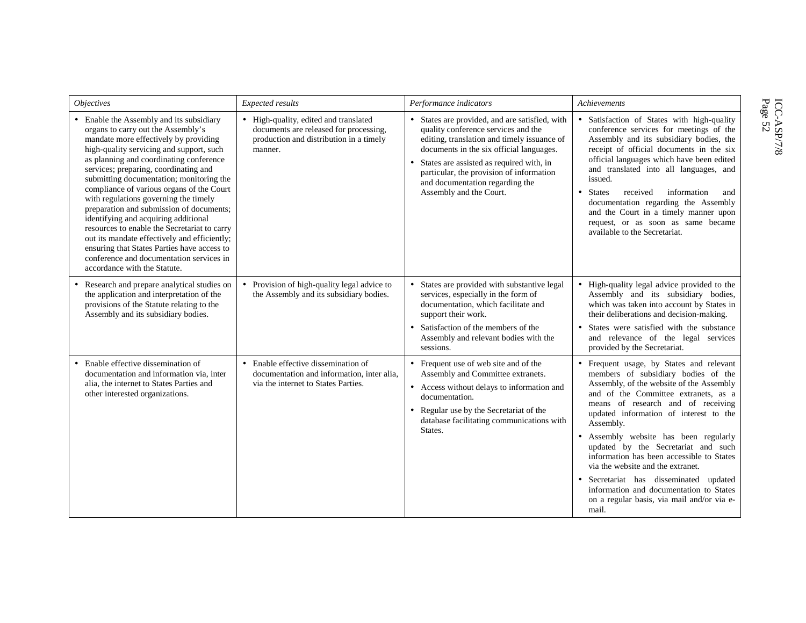| <i><b>Objectives</b></i>                                                                                                                                                                                                                                                                                                                                                                                                                                                                                                                                                                                                                                                                                 | Expected results                                                                                                                    | Performance indicators                                                                                                                                                                                                                                                                                                                   | Achievements                                                                                                                                                                                                                                                                                                                                                                                                                                                                                                                                                               |
|----------------------------------------------------------------------------------------------------------------------------------------------------------------------------------------------------------------------------------------------------------------------------------------------------------------------------------------------------------------------------------------------------------------------------------------------------------------------------------------------------------------------------------------------------------------------------------------------------------------------------------------------------------------------------------------------------------|-------------------------------------------------------------------------------------------------------------------------------------|------------------------------------------------------------------------------------------------------------------------------------------------------------------------------------------------------------------------------------------------------------------------------------------------------------------------------------------|----------------------------------------------------------------------------------------------------------------------------------------------------------------------------------------------------------------------------------------------------------------------------------------------------------------------------------------------------------------------------------------------------------------------------------------------------------------------------------------------------------------------------------------------------------------------------|
| • Enable the Assembly and its subsidiary<br>organs to carry out the Assembly's<br>mandate more effectively by providing<br>high-quality servicing and support, such<br>as planning and coordinating conference<br>services; preparing, coordinating and<br>submitting documentation; monitoring the<br>compliance of various organs of the Court<br>with regulations governing the timely<br>preparation and submission of documents;<br>identifying and acquiring additional<br>resources to enable the Secretariat to carry<br>out its mandate effectively and efficiently;<br>ensuring that States Parties have access to<br>conference and documentation services in<br>accordance with the Statute. | High-quality, edited and translated<br>documents are released for processing,<br>production and distribution in a timely<br>manner. | • States are provided, and are satisfied, with<br>quality conference services and the<br>editing, translation and timely issuance of<br>documents in the six official languages.<br>• States are assisted as required with, in<br>particular, the provision of information<br>and documentation regarding the<br>Assembly and the Court. | Satisfaction of States with high-quality<br>conference services for meetings of the<br>Assembly and its subsidiary bodies, the<br>receipt of official documents in the six<br>official languages which have been edited<br>and translated into all languages, and<br>issued.<br><b>States</b><br>received<br>information<br>and<br>$\bullet$<br>documentation regarding the Assembly<br>and the Court in a timely manner upon<br>request, or as soon as same became<br>available to the Secretariat.                                                                       |
| Research and prepare analytical studies on<br>the application and interpretation of the<br>provisions of the Statute relating to the<br>Assembly and its subsidiary bodies.                                                                                                                                                                                                                                                                                                                                                                                                                                                                                                                              | • Provision of high-quality legal advice to<br>the Assembly and its subsidiary bodies.                                              | • States are provided with substantive legal<br>services, especially in the form of<br>documentation, which facilitate and<br>support their work.<br>Satisfaction of the members of the<br>Assembly and relevant bodies with the<br>sessions.                                                                                            | • High-quality legal advice provided to the<br>Assembly and its subsidiary bodies,<br>which was taken into account by States in<br>their deliberations and decision-making.<br>States were satisfied with the substance<br>and relevance of the legal services<br>provided by the Secretariat.                                                                                                                                                                                                                                                                             |
| Enable effective dissemination of<br>documentation and information via, inter<br>alia, the internet to States Parties and<br>other interested organizations.                                                                                                                                                                                                                                                                                                                                                                                                                                                                                                                                             | • Enable effective dissemination of<br>documentation and information, inter alia,<br>via the internet to States Parties.            | • Frequent use of web site and of the<br>Assembly and Committee extranets.<br>• Access without delays to information and<br>documentation.<br>• Regular use by the Secretariat of the<br>database facilitating communications with<br>States.                                                                                            | • Frequent usage, by States and relevant<br>members of subsidiary bodies of the<br>Assembly, of the website of the Assembly<br>and of the Committee extranets, as a<br>means of research and of receiving<br>updated information of interest to the<br>Assembly.<br>Assembly website has been regularly<br>updated by the Secretariat and such<br>information has been accessible to States<br>via the website and the extranet.<br>Secretariat has disseminated updated<br>information and documentation to States<br>on a regular basis, via mail and/or via e-<br>mail. |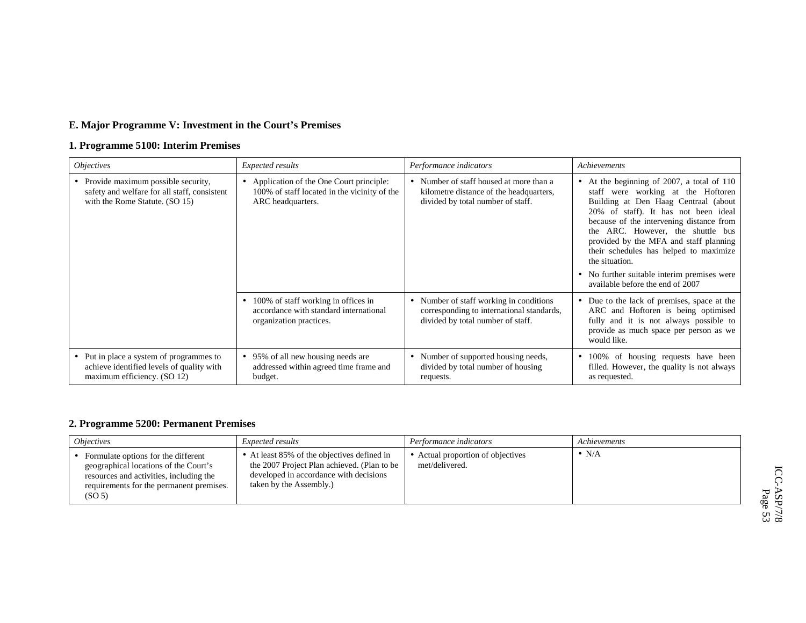## **E. Major Programme V: Investment in the Court's Premises**

## **1. Programme 5100: Interim Premises**

| <i><b>Objectives</b></i>                                                                                               | Expected results                                                                                                      | Performance indicators                                                                                                    | Achievements                                                                                                                                                                                                                                                                                                                                                                                                                                  |
|------------------------------------------------------------------------------------------------------------------------|-----------------------------------------------------------------------------------------------------------------------|---------------------------------------------------------------------------------------------------------------------------|-----------------------------------------------------------------------------------------------------------------------------------------------------------------------------------------------------------------------------------------------------------------------------------------------------------------------------------------------------------------------------------------------------------------------------------------------|
| • Provide maximum possible security,<br>safety and welfare for all staff, consistent<br>with the Rome Statute. (SO 15) | • Application of the One Court principle:<br>100% of staff located in the vicinity of the<br>ARC headquarters.        | • Number of staff housed at more than a<br>kilometre distance of the headquarters,<br>divided by total number of staff.   | • At the beginning of 2007, a total of 110<br>staff were working at the Hoftoren<br>Building at Den Haag Centraal (about<br>20% of staff). It has not been ideal<br>because of the intervening distance from<br>ARC. However, the shuttle bus<br>the<br>provided by the MFA and staff planning<br>their schedules has helped to maximize<br>the situation.<br>• No further suitable interim premises were<br>available before the end of 2007 |
|                                                                                                                        | 100% of staff working in offices in<br>$\bullet$<br>accordance with standard international<br>organization practices. | • Number of staff working in conditions<br>corresponding to international standards,<br>divided by total number of staff. | • Due to the lack of premises, space at the<br>ARC and Hoftoren is being optimised<br>fully and it is not always possible to<br>provide as much space per person as we<br>would like.                                                                                                                                                                                                                                                         |
| • Put in place a system of programmes to<br>achieve identified levels of quality with<br>maximum efficiency. (SO 12)   | • 95% of all new housing needs are<br>addressed within agreed time frame and<br>budget.                               | Number of supported housing needs,<br>divided by total number of housing<br>requests.                                     | 100% of housing requests have been<br>filled. However, the quality is not always<br>as requested.                                                                                                                                                                                                                                                                                                                                             |

## **2. Programme 5200: Permanent Premises**

| <i><b>Objectives</b></i>                                                                                                                                                                  | <i>Expected results</i>                                                                                                                                         | Performance indicators                            | Achievements  |
|-------------------------------------------------------------------------------------------------------------------------------------------------------------------------------------------|-----------------------------------------------------------------------------------------------------------------------------------------------------------------|---------------------------------------------------|---------------|
| Formulate options for the different<br>geographical locations of the Court's<br>resources and activities, including the<br>requirements for the permanent premises.<br>(SO <sub>5</sub> ) | • At least 85% of the objectives defined in<br>the 2007 Project Plan achieved. (Plan to be<br>developed in accordance with decisions<br>taken by the Assembly.) | Actual proportion of objectives<br>met/delivered. | $\bullet$ N/A |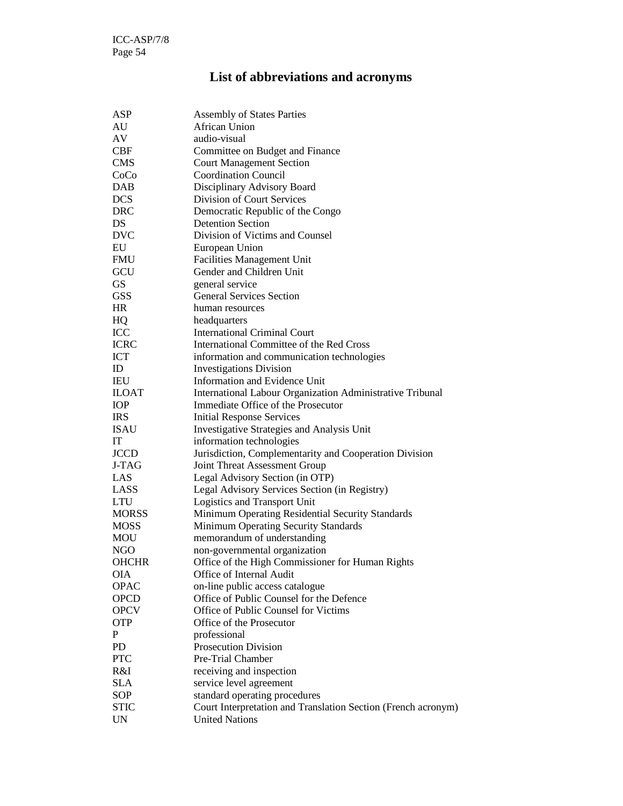# **List of abbreviations and acronyms**

| ASP          | <b>Assembly of States Parties</b>                             |
|--------------|---------------------------------------------------------------|
| AU           | <b>African Union</b>                                          |
| AV           | audio-visual                                                  |
| <b>CBF</b>   | Committee on Budget and Finance                               |
| <b>CMS</b>   | <b>Court Management Section</b>                               |
| CoCo         | <b>Coordination Council</b>                                   |
| <b>DAB</b>   | Disciplinary Advisory Board                                   |
| <b>DCS</b>   | Division of Court Services                                    |
| <b>DRC</b>   | Democratic Republic of the Congo                              |
| DS           | <b>Detention Section</b>                                      |
| <b>DVC</b>   | Division of Victims and Counsel                               |
| EU           | European Union                                                |
| <b>FMU</b>   | <b>Facilities Management Unit</b>                             |
| GCU          | Gender and Children Unit                                      |
| <b>GS</b>    | general service                                               |
| <b>GSS</b>   | <b>General Services Section</b>                               |
| HR           | human resources                                               |
| HQ           | headquarters                                                  |
| ICC          | <b>International Criminal Court</b>                           |
| <b>ICRC</b>  | International Committee of the Red Cross                      |
| <b>ICT</b>   | information and communication technologies                    |
| ID           | <b>Investigations Division</b>                                |
| IEU          | Information and Evidence Unit                                 |
| <b>ILOAT</b> | International Labour Organization Administrative Tribunal     |
| IOP          | Immediate Office of the Prosecutor                            |
| <b>IRS</b>   | <b>Initial Response Services</b>                              |
| <b>ISAU</b>  | <b>Investigative Strategies and Analysis Unit</b>             |
| IT           | information technologies                                      |
| <b>JCCD</b>  | Jurisdiction, Complementarity and Cooperation Division        |
| J-TAG        | Joint Threat Assessment Group                                 |
| LAS          | Legal Advisory Section (in OTP)                               |
| LASS         | Legal Advisory Services Section (in Registry)                 |
| <b>LTU</b>   |                                                               |
|              | Logistics and Transport Unit                                  |
| <b>MORSS</b> | Minimum Operating Residential Security Standards              |
| <b>MOSS</b>  | Minimum Operating Security Standards                          |
| MOU          | memorandum of understanding                                   |
| NGO          | non-governmental organization                                 |
| OHCHR        | Office of the High Commissioner for Human Rights              |
| OIA          | Office of Internal Audit                                      |
| <b>OPAC</b>  | on-line public access catalogue                               |
| <b>OPCD</b>  | Office of Public Counsel for the Defence                      |
| <b>OPCV</b>  | Office of Public Counsel for Victims                          |
| <b>OTP</b>   | Office of the Prosecutor                                      |
| P            | professional                                                  |
| PD           | <b>Prosecution Division</b>                                   |
| <b>PTC</b>   | Pre-Trial Chamber                                             |
| R&I          | receiving and inspection                                      |
| <b>SLA</b>   | service level agreement                                       |
| <b>SOP</b>   | standard operating procedures                                 |
| <b>STIC</b>  | Court Interpretation and Translation Section (French acronym) |
| <b>UN</b>    | <b>United Nations</b>                                         |